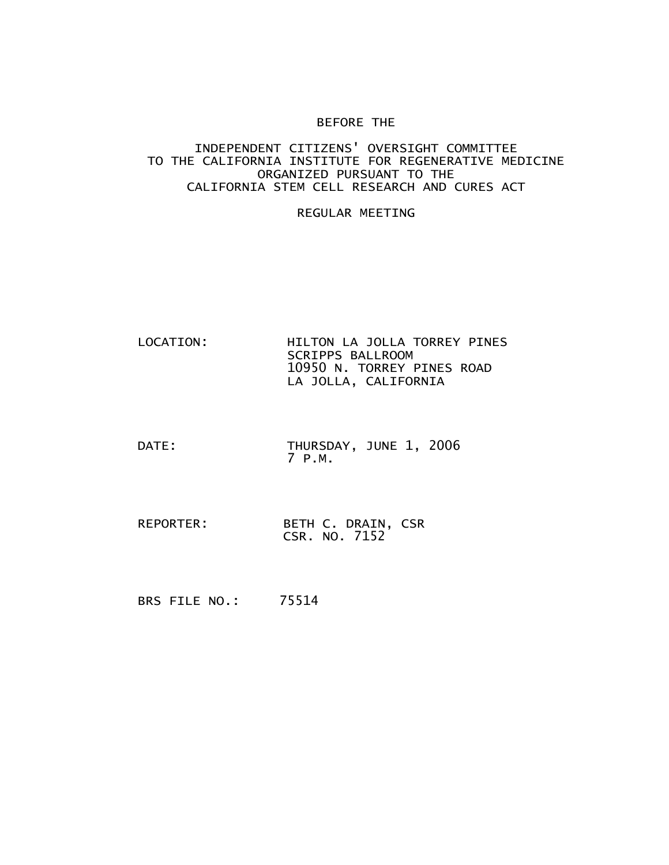## BEFORE THE

## INDEPENDENT CITIZENS' OVERSIGHT COMMITTEE TO THE CALIFORNIA INSTITUTE FOR REGENERATIVE MEDICINE ORGANIZED PURSUANT TO THE CALIFORNIA STEM CELL RESEARCH AND CURES ACT

## REGULAR MEETING

- LOCATION: HILTON LA JOLLA TORREY PINES SCRIPPS BALLROOM 10950 N. TORREY PINES ROAD LA JOLLA, CALIFORNIA
- DATE: THURSDAY, JUNE 1, 2006 7 P.M.
- REPORTER: BETH C. DRAIN, CSR CSR. NO. 7152

BRS FILE NO.: 75514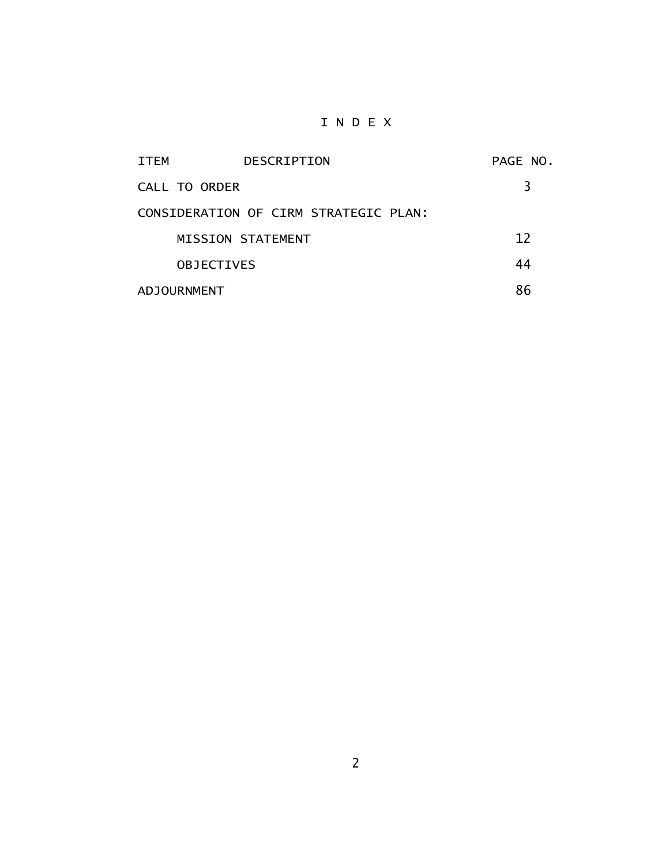## I N D E X

| <b>ITEM</b>        | <b>DESCRIPTION</b>                    | PAGE NO. |
|--------------------|---------------------------------------|----------|
| CALL TO ORDER      |                                       | 3        |
|                    | CONSIDERATION OF CIRM STRATEGIC PLAN: |          |
|                    | MISSION STATEMENT                     | 12       |
| <b>OBJECTIVES</b>  |                                       | 44       |
| <b>ADJOURNMENT</b> |                                       | 86       |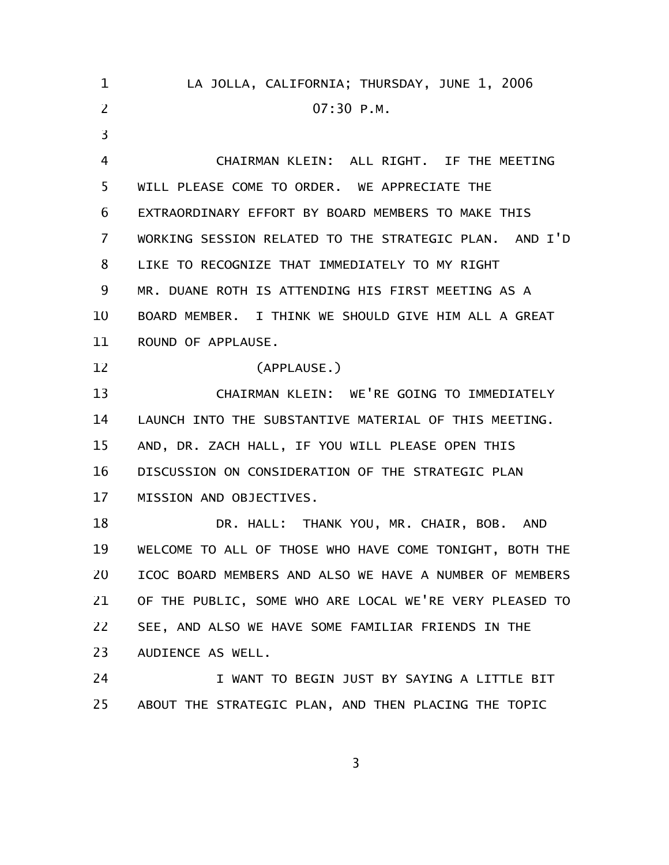| 1  | LA JOLLA, CALIFORNIA; THURSDAY, JUNE 1, 2006            |  |
|----|---------------------------------------------------------|--|
| 2  | 07:30 P.M.                                              |  |
| 3  |                                                         |  |
| 4  | CHAIRMAN KLEIN: ALL RIGHT. IF THE MEETING               |  |
| 5  | WILL PLEASE COME TO ORDER. WE APPRECIATE THE            |  |
| 6  | EXTRAORDINARY EFFORT BY BOARD MEMBERS TO MAKE THIS      |  |
| 7  | WORKING SESSION RELATED TO THE STRATEGIC PLAN. AND I'D  |  |
| 8  | LIKE TO RECOGNIZE THAT IMMEDIATELY TO MY RIGHT          |  |
| 9  | MR. DUANE ROTH IS ATTENDING HIS FIRST MEETING AS A      |  |
| 10 | BOARD MEMBER. I THINK WE SHOULD GIVE HIM ALL A GREAT    |  |
| 11 | ROUND OF APPLAUSE.                                      |  |
| 12 | (APPLAUSE.)                                             |  |
| 13 | CHAIRMAN KLEIN: WE'RE GOING TO IMMEDIATELY              |  |
| 14 | LAUNCH INTO THE SUBSTANTIVE MATERIAL OF THIS MEETING.   |  |
| 15 | AND, DR. ZACH HALL, IF YOU WILL PLEASE OPEN THIS        |  |
| 16 | DISCUSSION ON CONSIDERATION OF THE STRATEGIC PLAN       |  |
| 17 | MISSION AND OBJECTIVES.                                 |  |
| 18 | DR. HALL: THANK YOU, MR. CHAIR, BOB. AND                |  |
| 19 | WELCOME TO ALL OF THOSE WHO HAVE COME TONIGHT, BOTH THE |  |
| 20 | ICOC BOARD MEMBERS AND ALSO WE HAVE A NUMBER OF MEMBERS |  |
| 21 | OF THE PUBLIC, SOME WHO ARE LOCAL WE'RE VERY PLEASED TO |  |
| 22 | SEE, AND ALSO WE HAVE SOME FAMILIAR FRIENDS IN THE      |  |
| 23 | AUDIENCE AS WELL.                                       |  |
| 24 | I WANT TO BEGIN JUST BY SAYING A LITTLE BIT             |  |
| 25 | ABOUT THE STRATEGIC PLAN, AND THEN PLACING THE TOPIC    |  |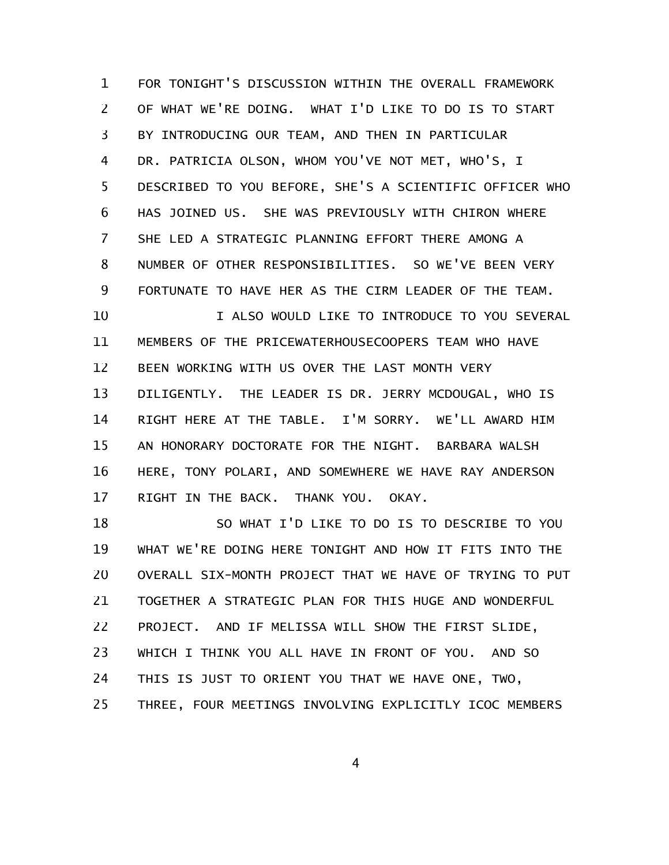FOR TONIGHT'S DISCUSSION WITHIN THE OVERALL FRAMEWORK OF WHAT WE'RE DOING. WHAT I'D LIKE TO DO IS TO START BY INTRODUCING OUR TEAM, AND THEN IN PARTICULAR DR. PATRICIA OLSON, WHOM YOU'VE NOT MET, WHO'S, I DESCRIBED TO YOU BEFORE, SHE'S A SCIENTIFIC OFFICER WHO HAS JOINED US. SHE WAS PREVIOUSLY WITH CHIRON WHERE SHE LED A STRATEGIC PLANNING EFFORT THERE AMONG A NUMBER OF OTHER RESPONSIBILITIES. SO WE'VE BEEN VERY FORTUNATE TO HAVE HER AS THE CIRM LEADER OF THE TEAM. I ALSO WOULD LIKE TO INTRODUCE TO YOU SEVERAL MEMBERS OF THE PRICEWATERHOUSECOOPERS TEAM WHO HAVE BEEN WORKING WITH US OVER THE LAST MONTH VERY 1 2 3 4 5 6 7 8 9 10 11 12

DILIGENTLY. THE LEADER IS DR. JERRY MCDOUGAL, WHO IS RIGHT HERE AT THE TABLE. I'M SORRY. WE'LL AWARD HIM AN HONORARY DOCTORATE FOR THE NIGHT. BARBARA WALSH HERE, TONY POLARI, AND SOMEWHERE WE HAVE RAY ANDERSON RIGHT IN THE BACK. THANK YOU. OKAY. 13 14 15 16 17

SO WHAT I'D LIKE TO DO IS TO DESCRIBE TO YOU WHAT WE'RE DOING HERE TONIGHT AND HOW IT FITS INTO THE OVERALL SIX-MONTH PROJECT THAT WE HAVE OF TRYING TO PUT TOGETHER A STRATEGIC PLAN FOR THIS HUGE AND WONDERFUL PROJECT. AND IF MELISSA WILL SHOW THE FIRST SLIDE, WHICH I THINK YOU ALL HAVE IN FRONT OF YOU. AND SO THIS IS JUST TO ORIENT YOU THAT WE HAVE ONE, TWO, THREE, FOUR MEETINGS INVOLVING EXPLICITLY ICOC MEMBERS 18 19 20 21 22 23 24 25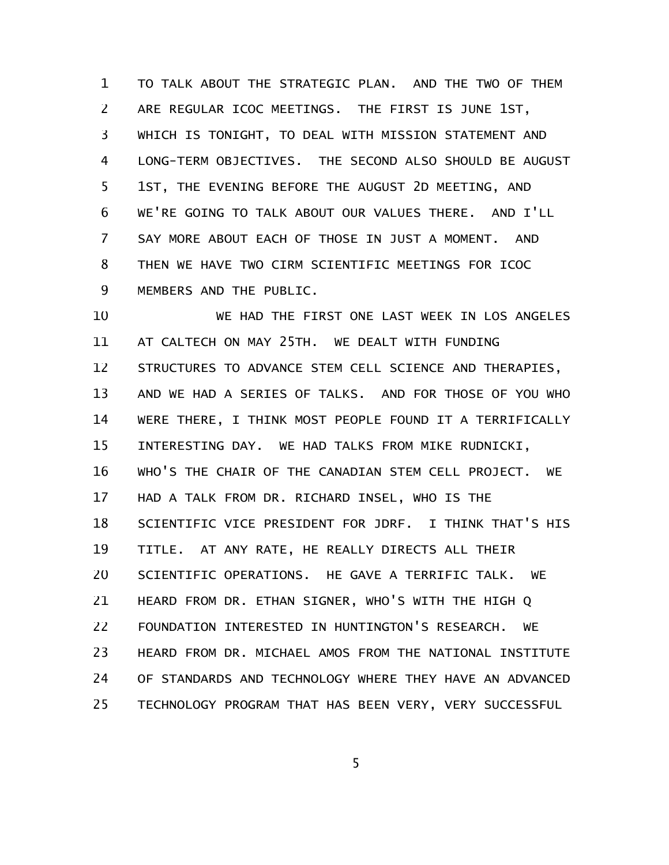TO TALK ABOUT THE STRATEGIC PLAN. AND THE TWO OF THEM ARE REGULAR ICOC MEETINGS. THE FIRST IS JUNE 1ST, WHICH IS TONIGHT, TO DEAL WITH MISSION STATEMENT AND LONG-TERM OBJECTIVES. THE SECOND ALSO SHOULD BE AUGUST 1ST, THE EVENING BEFORE THE AUGUST 2D MEETING, AND WE'RE GOING TO TALK ABOUT OUR VALUES THERE. AND I'LL SAY MORE ABOUT EACH OF THOSE IN JUST A MOMENT. AND THEN WE HAVE TWO CIRM SCIENTIFIC MEETINGS FOR ICOC MEMBERS AND THE PUBLIC. 1 2 3 4 5 6 7 8 9

WE HAD THE FIRST ONE LAST WEEK IN LOS ANGELES AT CALTECH ON MAY 25TH. WE DEALT WITH FUNDING STRUCTURES TO ADVANCE STEM CELL SCIENCE AND THERAPIES, AND WE HAD A SERIES OF TALKS. AND FOR THOSE OF YOU WHO WERE THERE, I THINK MOST PEOPLE FOUND IT A TERRIFICALLY INTERESTING DAY. WE HAD TALKS FROM MIKE RUDNICKI, WHO'S THE CHAIR OF THE CANADIAN STEM CELL PROJECT. WE HAD A TALK FROM DR. RICHARD INSEL, WHO IS THE SCIENTIFIC VICE PRESIDENT FOR JDRF. I THINK THAT'S HIS TITLE. AT ANY RATE, HE REALLY DIRECTS ALL THEIR SCIENTIFIC OPERATIONS. HE GAVE A TERRIFIC TALK. WE HEARD FROM DR. ETHAN SIGNER, WHO'S WITH THE HIGH Q FOUNDATION INTERESTED IN HUNTINGTON'S RESEARCH. WE HEARD FROM DR. MICHAEL AMOS FROM THE NATIONAL INSTITUTE OF STANDARDS AND TECHNOLOGY WHERE THEY HAVE AN ADVANCED TECHNOLOGY PROGRAM THAT HAS BEEN VERY, VERY SUCCESSFUL 10 11 12 13 14 15 16 17 18 19 20 21 22 23 24 25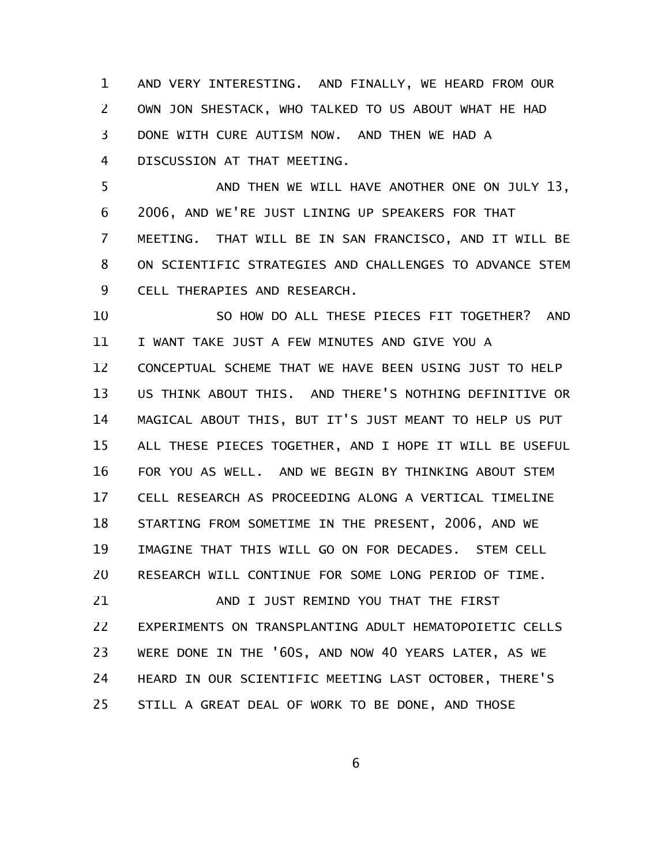AND VERY INTERESTING. AND FINALLY, WE HEARD FROM OUR OWN JON SHESTACK, WHO TALKED TO US ABOUT WHAT HE HAD DONE WITH CURE AUTISM NOW. AND THEN WE HAD A DISCUSSION AT THAT MEETING. 1 2 3 4

AND THEN WE WILL HAVE ANOTHER ONE ON JULY 13, 2006, AND WE'RE JUST LINING UP SPEAKERS FOR THAT MEETING. THAT WILL BE IN SAN FRANCISCO, AND IT WILL BE ON SCIENTIFIC STRATEGIES AND CHALLENGES TO ADVANCE STEM CELL THERAPIES AND RESEARCH. 5 6 7 8 9

SO HOW DO ALL THESE PIECES FIT TOGETHER? AND I WANT TAKE JUST A FEW MINUTES AND GIVE YOU A CONCEPTUAL SCHEME THAT WE HAVE BEEN USING JUST TO HELP US THINK ABOUT THIS. AND THERE'S NOTHING DEFINITIVE OR MAGICAL ABOUT THIS, BUT IT'S JUST MEANT TO HELP US PUT ALL THESE PIECES TOGETHER, AND I HOPE IT WILL BE USEFUL FOR YOU AS WELL. AND WE BEGIN BY THINKING ABOUT STEM CELL RESEARCH AS PROCEEDING ALONG A VERTICAL TIMELINE STARTING FROM SOMETIME IN THE PRESENT, 2006, AND WE IMAGINE THAT THIS WILL GO ON FOR DECADES. STEM CELL RESEARCH WILL CONTINUE FOR SOME LONG PERIOD OF TIME. AND I JUST REMIND YOU THAT THE FIRST 10 11 12 13 14 15 16 17 18 19 20 21

EXPERIMENTS ON TRANSPLANTING ADULT HEMATOPOIETIC CELLS WERE DONE IN THE '60S, AND NOW 40 YEARS LATER, AS WE HEARD IN OUR SCIENTIFIC MEETING LAST OCTOBER, THERE'S STILL A GREAT DEAL OF WORK TO BE DONE, AND THOSE 22 23 24 25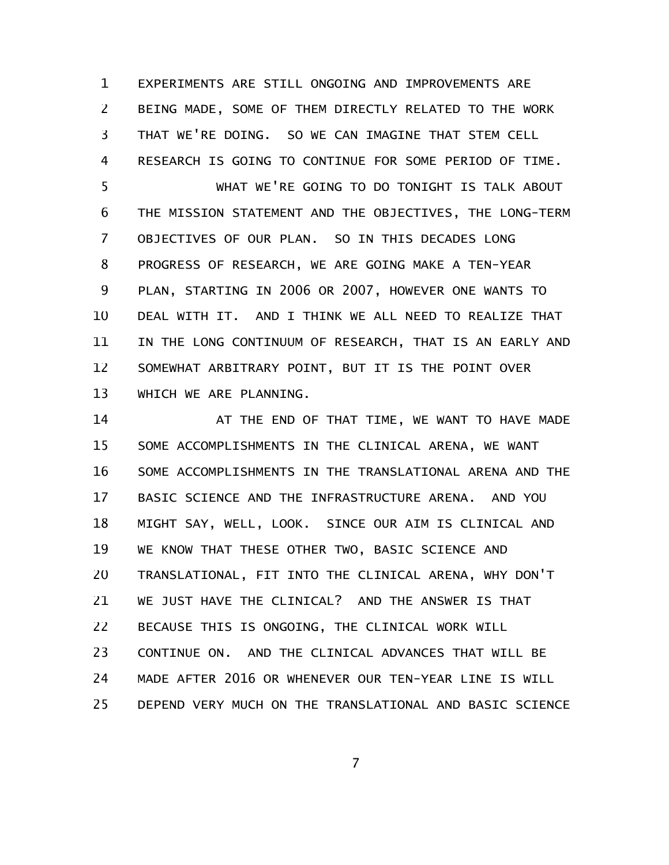EXPERIMENTS ARE STILL ONGOING AND IMPROVEMENTS ARE BEING MADE, SOME OF THEM DIRECTLY RELATED TO THE WORK THAT WE'RE DOING. SO WE CAN IMAGINE THAT STEM CELL RESEARCH IS GOING TO CONTINUE FOR SOME PERIOD OF TIME. WHAT WE'RE GOING TO DO TONIGHT IS TALK ABOUT THE MISSION STATEMENT AND THE OBJECTIVES, THE LONG-TERM OBJECTIVES OF OUR PLAN. SO IN THIS DECADES LONG 1 2 3 4 5 6 7

PROGRESS OF RESEARCH, WE ARE GOING MAKE A TEN-YEAR PLAN, STARTING IN 2006 OR 2007, HOWEVER ONE WANTS TO DEAL WITH IT. AND I THINK WE ALL NEED TO REALIZE THAT IN THE LONG CONTINUUM OF RESEARCH, THAT IS AN EARLY AND SOMEWHAT ARBITRARY POINT, BUT IT IS THE POINT OVER WHICH WE ARE PLANNING. 8 9 10 11 12 13

AT THE END OF THAT TIME, WE WANT TO HAVE MADE SOME ACCOMPLISHMENTS IN THE CLINICAL ARENA, WE WANT SOME ACCOMPLISHMENTS IN THE TRANSLATIONAL ARENA AND THE BASIC SCIENCE AND THE INFRASTRUCTURE ARENA. AND YOU MIGHT SAY, WELL, LOOK. SINCE OUR AIM IS CLINICAL AND WE KNOW THAT THESE OTHER TWO, BASIC SCIENCE AND TRANSLATIONAL, FIT INTO THE CLINICAL ARENA, WHY DON'T WE JUST HAVE THE CLINICAL? AND THE ANSWER IS THAT BECAUSE THIS IS ONGOING, THE CLINICAL WORK WILL CONTINUE ON. AND THE CLINICAL ADVANCES THAT WILL BE MADE AFTER 2016 OR WHENEVER OUR TEN-YEAR LINE IS WILL DEPEND VERY MUCH ON THE TRANSLATIONAL AND BASIC SCIENCE 14 15 16 17 18 19 20 21 22 23 24 25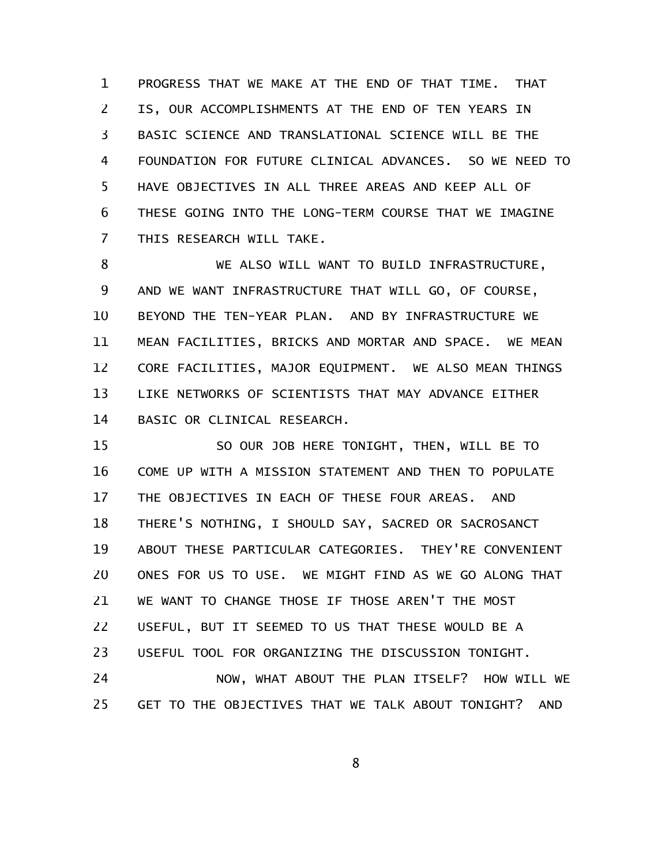PROGRESS THAT WE MAKE AT THE END OF THAT TIME. THAT IS, OUR ACCOMPLISHMENTS AT THE END OF TEN YEARS IN BASIC SCIENCE AND TRANSLATIONAL SCIENCE WILL BE THE FOUNDATION FOR FUTURE CLINICAL ADVANCES. SO WE NEED TO HAVE OBJECTIVES IN ALL THREE AREAS AND KEEP ALL OF THESE GOING INTO THE LONG-TERM COURSE THAT WE IMAGINE THIS RESEARCH WILL TAKE. 1 2 3 4 5 6 7

WE ALSO WILL WANT TO BUILD INFRASTRUCTURE, AND WE WANT INFRASTRUCTURE THAT WILL GO, OF COURSE, BEYOND THE TEN-YEAR PLAN. AND BY INFRASTRUCTURE WE MEAN FACILITIES, BRICKS AND MORTAR AND SPACE. WE MEAN CORE FACILITIES, MAJOR EQUIPMENT. WE ALSO MEAN THINGS LIKE NETWORKS OF SCIENTISTS THAT MAY ADVANCE EITHER BASIC OR CLINICAL RESEARCH. 8 9 10 11 12 13 14

SO OUR JOB HERE TONIGHT, THEN, WILL BE TO COME UP WITH A MISSION STATEMENT AND THEN TO POPULATE THE OBJECTIVES IN EACH OF THESE FOUR AREAS. AND THERE'S NOTHING, I SHOULD SAY, SACRED OR SACROSANCT ABOUT THESE PARTICULAR CATEGORIES. THEY'RE CONVENIENT ONES FOR US TO USE. WE MIGHT FIND AS WE GO ALONG THAT WE WANT TO CHANGE THOSE IF THOSE AREN'T THE MOST USEFUL, BUT IT SEEMED TO US THAT THESE WOULD BE A USEFUL TOOL FOR ORGANIZING THE DISCUSSION TONIGHT. 15 16 17 18 19 20 21 22 23

NOW, WHAT ABOUT THE PLAN ITSELF? HOW WILL WE GET TO THE OBJECTIVES THAT WE TALK ABOUT TONIGHT? AND 24 25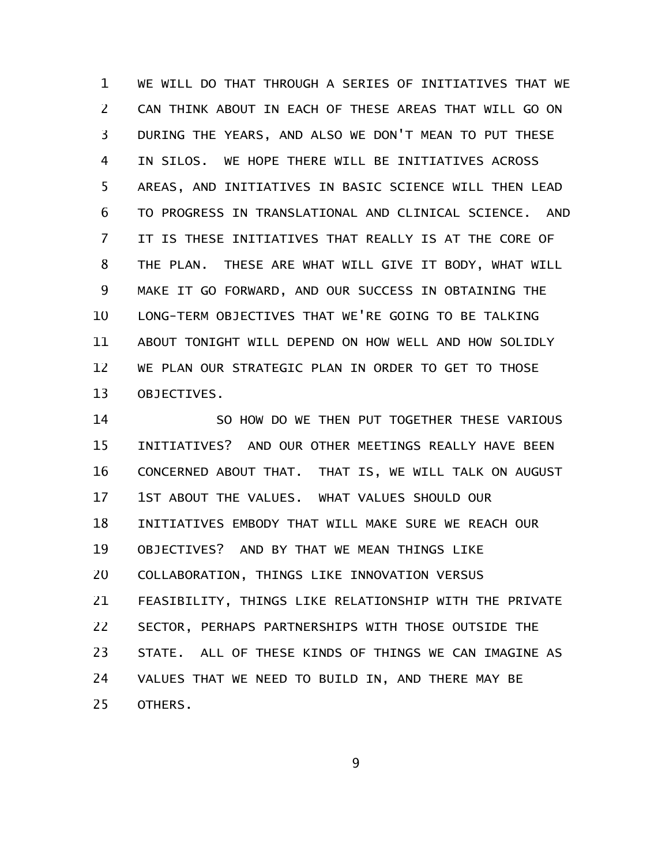WE WILL DO THAT THROUGH A SERIES OF INITIATIVES THAT WE CAN THINK ABOUT IN EACH OF THESE AREAS THAT WILL GO ON DURING THE YEARS, AND ALSO WE DON'T MEAN TO PUT THESE IN SILOS. WE HOPE THERE WILL BE INITIATIVES ACROSS AREAS, AND INITIATIVES IN BASIC SCIENCE WILL THEN LEAD TO PROGRESS IN TRANSLATIONAL AND CLINICAL SCIENCE. AND IT IS THESE INITIATIVES THAT REALLY IS AT THE CORE OF THE PLAN. THESE ARE WHAT WILL GIVE IT BODY, WHAT WILL MAKE IT GO FORWARD, AND OUR SUCCESS IN OBTAINING THE LONG-TERM OBJECTIVES THAT WE'RE GOING TO BE TALKING ABOUT TONIGHT WILL DEPEND ON HOW WELL AND HOW SOLIDLY WE PLAN OUR STRATEGIC PLAN IN ORDER TO GET TO THOSE OBJECTIVES. 1 2 3 4 5 6 7 8 9 10 11 12 13

SO HOW DO WE THEN PUT TOGETHER THESE VARIOUS INITIATIVES? AND OUR OTHER MEETINGS REALLY HAVE BEEN CONCERNED ABOUT THAT. THAT IS, WE WILL TALK ON AUGUST 1ST ABOUT THE VALUES. WHAT VALUES SHOULD OUR INITIATIVES EMBODY THAT WILL MAKE SURE WE REACH OUR OBJECTIVES? AND BY THAT WE MEAN THINGS LIKE COLLABORATION, THINGS LIKE INNOVATION VERSUS FEASIBILITY, THINGS LIKE RELATIONSHIP WITH THE PRIVATE SECTOR, PERHAPS PARTNERSHIPS WITH THOSE OUTSIDE THE STATE. ALL OF THESE KINDS OF THINGS WE CAN IMAGINE AS VALUES THAT WE NEED TO BUILD IN, AND THERE MAY BE OTHERS. 14 15 16 17 18 19 20 21 22 23 24 25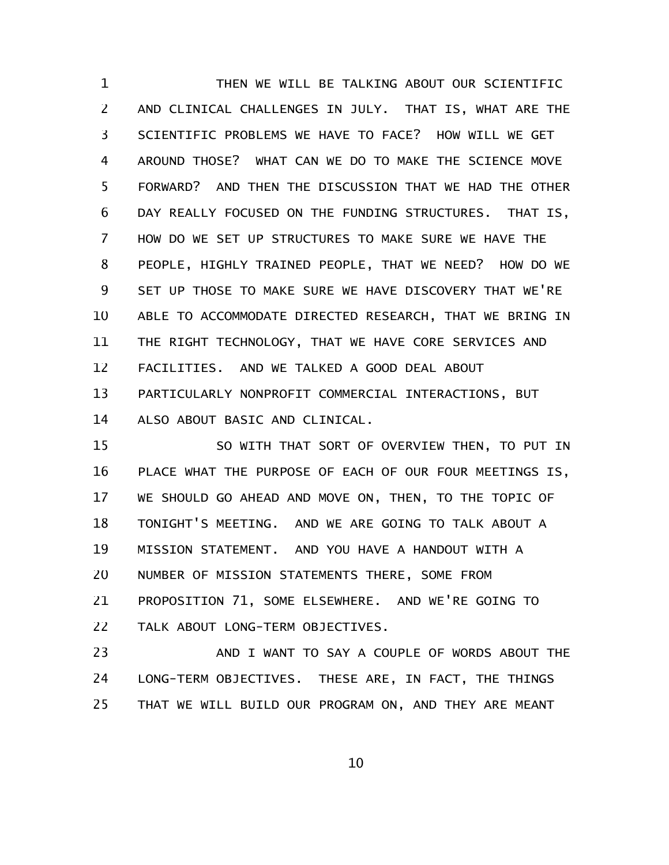THEN WE WILL BE TALKING ABOUT OUR SCIENTIFIC AND CLINICAL CHALLENGES IN JULY. THAT IS, WHAT ARE THE SCIENTIFIC PROBLEMS WE HAVE TO FACE? HOW WILL WE GET AROUND THOSE? WHAT CAN WE DO TO MAKE THE SCIENCE MOVE FORWARD? AND THEN THE DISCUSSION THAT WE HAD THE OTHER DAY REALLY FOCUSED ON THE FUNDING STRUCTURES. THAT IS, HOW DO WE SET UP STRUCTURES TO MAKE SURE WE HAVE THE PEOPLE, HIGHLY TRAINED PEOPLE, THAT WE NEED? HOW DO WE SET UP THOSE TO MAKE SURE WE HAVE DISCOVERY THAT WE'RE ABLE TO ACCOMMODATE DIRECTED RESEARCH, THAT WE BRING IN THE RIGHT TECHNOLOGY, THAT WE HAVE CORE SERVICES AND FACILITIES. AND WE TALKED A GOOD DEAL ABOUT PARTICULARLY NONPROFIT COMMERCIAL INTERACTIONS, BUT ALSO ABOUT BASIC AND CLINICAL. 1 2 3 4 5 6 7 8 9 10 11 12 13 14

SO WITH THAT SORT OF OVERVIEW THEN, TO PUT IN PLACE WHAT THE PURPOSE OF EACH OF OUR FOUR MEETINGS IS, WE SHOULD GO AHEAD AND MOVE ON, THEN, TO THE TOPIC OF TONIGHT'S MEETING. AND WE ARE GOING TO TALK ABOUT A MISSION STATEMENT. AND YOU HAVE A HANDOUT WITH A NUMBER OF MISSION STATEMENTS THERE, SOME FROM PROPOSITION 71, SOME ELSEWHERE. AND WE'RE GOING TO TALK ABOUT LONG-TERM OBJECTIVES. 15 16 17 18 19 20 21 22

AND I WANT TO SAY A COUPLE OF WORDS ABOUT THE LONG-TERM OBJECTIVES. THESE ARE, IN FACT, THE THINGS THAT WE WILL BUILD OUR PROGRAM ON, AND THEY ARE MEANT 23 24 25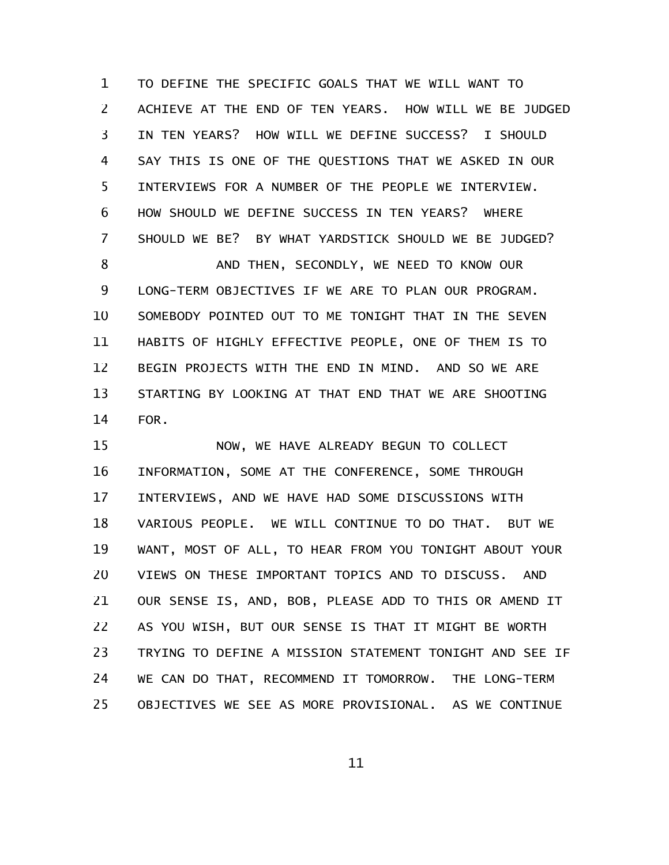TO DEFINE THE SPECIFIC GOALS THAT WE WILL WANT TO ACHIEVE AT THE END OF TEN YEARS. HOW WILL WE BE JUDGED IN TEN YEARS? HOW WILL WE DEFINE SUCCESS? I SHOULD SAY THIS IS ONE OF THE QUESTIONS THAT WE ASKED IN OUR INTERVIEWS FOR A NUMBER OF THE PEOPLE WE INTERVIEW. HOW SHOULD WE DEFINE SUCCESS IN TEN YEARS? WHERE SHOULD WE BE? BY WHAT YARDSTICK SHOULD WE BE JUDGED? AND THEN, SECONDLY, WE NEED TO KNOW OUR LONG-TERM OBJECTIVES IF WE ARE TO PLAN OUR PROGRAM. SOMEBODY POINTED OUT TO ME TONIGHT THAT IN THE SEVEN HABITS OF HIGHLY EFFECTIVE PEOPLE, ONE OF THEM IS TO BEGIN PROJECTS WITH THE END IN MIND. AND SO WE ARE STARTING BY LOOKING AT THAT END THAT WE ARE SHOOTING FOR. 1 2 3 4 5 6 7 8 9 10 11 12 13 14

NOW, WE HAVE ALREADY BEGUN TO COLLECT INFORMATION, SOME AT THE CONFERENCE, SOME THROUGH INTERVIEWS, AND WE HAVE HAD SOME DISCUSSIONS WITH VARIOUS PEOPLE. WE WILL CONTINUE TO DO THAT. BUT WE WANT, MOST OF ALL, TO HEAR FROM YOU TONIGHT ABOUT YOUR VIEWS ON THESE IMPORTANT TOPICS AND TO DISCUSS. AND OUR SENSE IS, AND, BOB, PLEASE ADD TO THIS OR AMEND IT AS YOU WISH, BUT OUR SENSE IS THAT IT MIGHT BE WORTH TRYING TO DEFINE A MISSION STATEMENT TONIGHT AND SEE IF WE CAN DO THAT, RECOMMEND IT TOMORROW. THE LONG-TERM OBJECTIVES WE SEE AS MORE PROVISIONAL. AS WE CONTINUE 15 16 17 18 19 20 21 22 23 24 25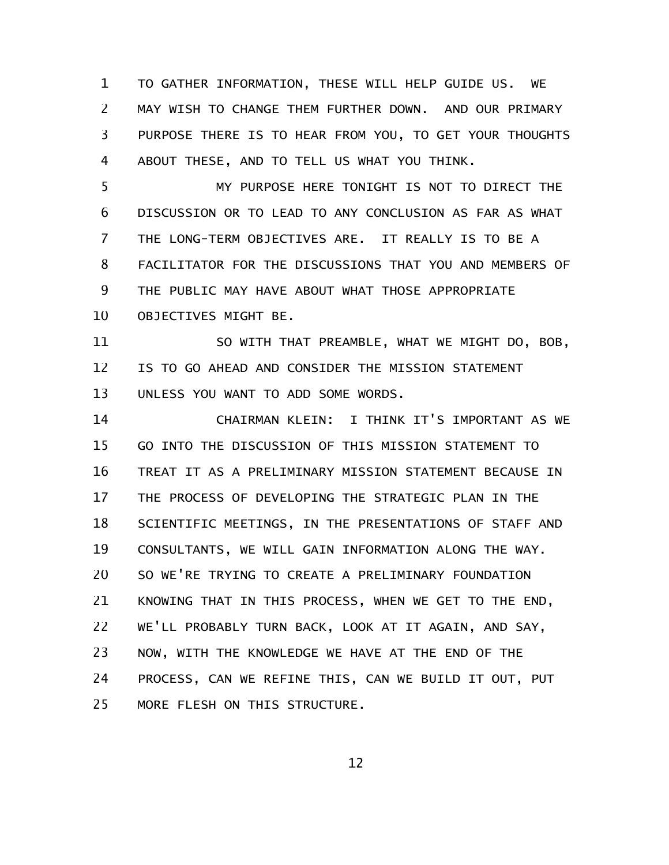TO GATHER INFORMATION, THESE WILL HELP GUIDE US. WE MAY WISH TO CHANGE THEM FURTHER DOWN. AND OUR PRIMARY PURPOSE THERE IS TO HEAR FROM YOU, TO GET YOUR THOUGHTS ABOUT THESE, AND TO TELL US WHAT YOU THINK. 1 2 3 4

MY PURPOSE HERE TONIGHT IS NOT TO DIRECT THE DISCUSSION OR TO LEAD TO ANY CONCLUSION AS FAR AS WHAT THE LONG-TERM OBJECTIVES ARE. IT REALLY IS TO BE A FACILITATOR FOR THE DISCUSSIONS THAT YOU AND MEMBERS OF THE PUBLIC MAY HAVE ABOUT WHAT THOSE APPROPRIATE OBJECTIVES MIGHT BE. 5 6 7 8 9 10

SO WITH THAT PREAMBLE, WHAT WE MIGHT DO, BOB, IS TO GO AHEAD AND CONSIDER THE MISSION STATEMENT UNLESS YOU WANT TO ADD SOME WORDS. 11 12 13

CHAIRMAN KLEIN: I THINK IT'S IMPORTANT AS WE GO INTO THE DISCUSSION OF THIS MISSION STATEMENT TO TREAT IT AS A PRELIMINARY MISSION STATEMENT BECAUSE IN THE PROCESS OF DEVELOPING THE STRATEGIC PLAN IN THE SCIENTIFIC MEETINGS, IN THE PRESENTATIONS OF STAFF AND CONSULTANTS, WE WILL GAIN INFORMATION ALONG THE WAY. SO WE'RE TRYING TO CREATE A PRELIMINARY FOUNDATION KNOWING THAT IN THIS PROCESS, WHEN WE GET TO THE END, WE'LL PROBABLY TURN BACK, LOOK AT IT AGAIN, AND SAY, NOW, WITH THE KNOWLEDGE WE HAVE AT THE END OF THE PROCESS, CAN WE REFINE THIS, CAN WE BUILD IT OUT, PUT MORE FLESH ON THIS STRUCTURE. 14 15 16 17 18 19 20 21 22 23 24 25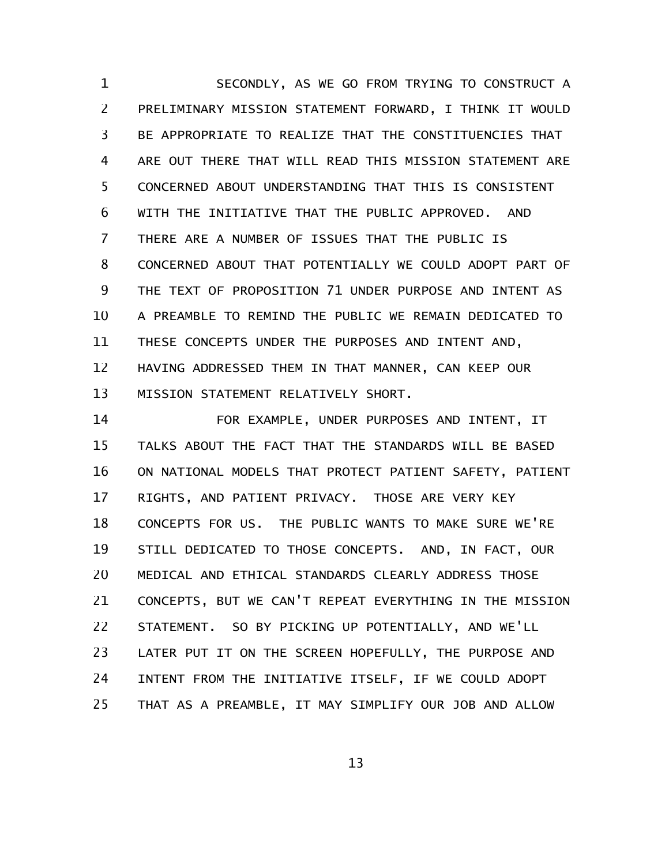SECONDLY, AS WE GO FROM TRYING TO CONSTRUCT A PRELIMINARY MISSION STATEMENT FORWARD, I THINK IT WOULD BE APPROPRIATE TO REALIZE THAT THE CONSTITUENCIES THAT ARE OUT THERE THAT WILL READ THIS MISSION STATEMENT ARE CONCERNED ABOUT UNDERSTANDING THAT THIS IS CONSISTENT WITH THE INITIATIVE THAT THE PUBLIC APPROVED. AND THERE ARE A NUMBER OF ISSUES THAT THE PUBLIC IS CONCERNED ABOUT THAT POTENTIALLY WE COULD ADOPT PART OF THE TEXT OF PROPOSITION 71 UNDER PURPOSE AND INTENT AS A PREAMBLE TO REMIND THE PUBLIC WE REMAIN DEDICATED TO THESE CONCEPTS UNDER THE PURPOSES AND INTENT AND, HAVING ADDRESSED THEM IN THAT MANNER, CAN KEEP OUR MISSION STATEMENT RELATIVELY SHORT. 1 2 3 4 5 6 7 8 9 10 11 12 13

FOR EXAMPLE, UNDER PURPOSES AND INTENT, IT TALKS ABOUT THE FACT THAT THE STANDARDS WILL BE BASED ON NATIONAL MODELS THAT PROTECT PATIENT SAFETY, PATIENT RIGHTS, AND PATIENT PRIVACY. THOSE ARE VERY KEY CONCEPTS FOR US. THE PUBLIC WANTS TO MAKE SURE WE'RE STILL DEDICATED TO THOSE CONCEPTS. AND, IN FACT, OUR MEDICAL AND ETHICAL STANDARDS CLEARLY ADDRESS THOSE CONCEPTS, BUT WE CAN'T REPEAT EVERYTHING IN THE MISSION STATEMENT. SO BY PICKING UP POTENTIALLY, AND WE'LL LATER PUT IT ON THE SCREEN HOPEFULLY, THE PURPOSE AND INTENT FROM THE INITIATIVE ITSELF, IF WE COULD ADOPT THAT AS A PREAMBLE, IT MAY SIMPLIFY OUR JOB AND ALLOW 14 15 16 17 18 19 20 21 22 23 24 25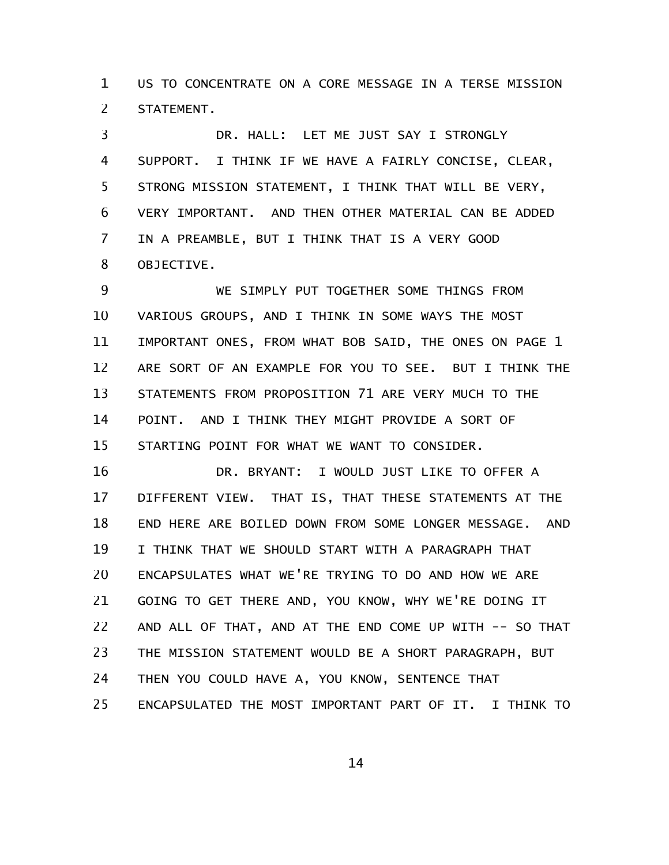US TO CONCENTRATE ON A CORE MESSAGE IN A TERSE MISSION STATEMENT. 1 2

DR. HALL: LET ME JUST SAY I STRONGLY SUPPORT. I THINK IF WE HAVE A FAIRLY CONCISE, CLEAR, STRONG MISSION STATEMENT, I THINK THAT WILL BE VERY, VERY IMPORTANT. AND THEN OTHER MATERIAL CAN BE ADDED IN A PREAMBLE, BUT I THINK THAT IS A VERY GOOD OBJECTIVE. 3 4 5 6 7 8

WE SIMPLY PUT TOGETHER SOME THINGS FROM VARIOUS GROUPS, AND I THINK IN SOME WAYS THE MOST IMPORTANT ONES, FROM WHAT BOB SAID, THE ONES ON PAGE 1 ARE SORT OF AN EXAMPLE FOR YOU TO SEE. BUT I THINK THE STATEMENTS FROM PROPOSITION 71 ARE VERY MUCH TO THE POINT. AND I THINK THEY MIGHT PROVIDE A SORT OF STARTING POINT FOR WHAT WE WANT TO CONSIDER. 9 10 11 12 13 14 15

DR. BRYANT: I WOULD JUST LIKE TO OFFER A DIFFERENT VIEW. THAT IS, THAT THESE STATEMENTS AT THE END HERE ARE BOILED DOWN FROM SOME LONGER MESSAGE. AND I THINK THAT WE SHOULD START WITH A PARAGRAPH THAT ENCAPSULATES WHAT WE'RE TRYING TO DO AND HOW WE ARE GOING TO GET THERE AND, YOU KNOW, WHY WE'RE DOING IT AND ALL OF THAT, AND AT THE END COME UP WITH -- SO THAT THE MISSION STATEMENT WOULD BE A SHORT PARAGRAPH, BUT THEN YOU COULD HAVE A, YOU KNOW, SENTENCE THAT ENCAPSULATED THE MOST IMPORTANT PART OF IT. I THINK TO 16 17 18 19 20 21 22 23 24 25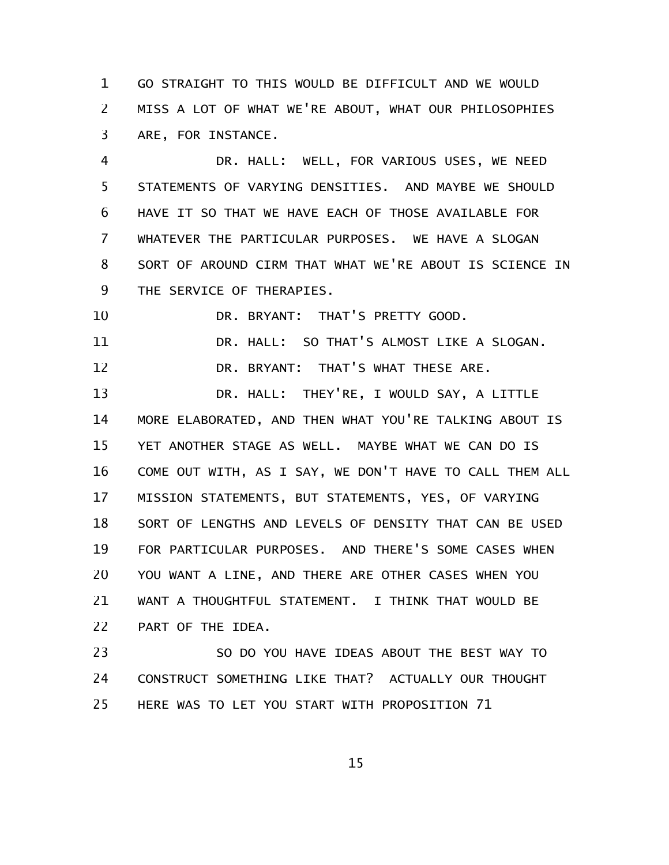GO STRAIGHT TO THIS WOULD BE DIFFICULT AND WE WOULD MISS A LOT OF WHAT WE'RE ABOUT, WHAT OUR PHILOSOPHIES ARE, FOR INSTANCE. 1 2 3

DR. HALL: WELL, FOR VARIOUS USES, WE NEED STATEMENTS OF VARYING DENSITIES. AND MAYBE WE SHOULD HAVE IT SO THAT WE HAVE EACH OF THOSE AVAILABLE FOR WHATEVER THE PARTICULAR PURPOSES. WE HAVE A SLOGAN SORT OF AROUND CIRM THAT WHAT WE'RE ABOUT IS SCIENCE IN THE SERVICE OF THERAPIES. 4 5 6 7 8 9

DR. BRYANT: THAT'S PRETTY GOOD. 10

DR. HALL: SO THAT'S ALMOST LIKE A SLOGAN. 11

DR. BRYANT: THAT'S WHAT THESE ARE. 12

DR. HALL: THEY'RE, I WOULD SAY, A LITTLE MORE ELABORATED, AND THEN WHAT YOU'RE TALKING ABOUT IS YET ANOTHER STAGE AS WELL. MAYBE WHAT WE CAN DO IS COME OUT WITH, AS I SAY, WE DON'T HAVE TO CALL THEM ALL MISSION STATEMENTS, BUT STATEMENTS, YES, OF VARYING SORT OF LENGTHS AND LEVELS OF DENSITY THAT CAN BE USED FOR PARTICULAR PURPOSES. AND THERE'S SOME CASES WHEN YOU WANT A LINE, AND THERE ARE OTHER CASES WHEN YOU WANT A THOUGHTFUL STATEMENT. I THINK THAT WOULD BE PART OF THE IDEA. 13 14 15 16 17 18 19 20 21 22

SO DO YOU HAVE IDEAS ABOUT THE BEST WAY TO CONSTRUCT SOMETHING LIKE THAT? ACTUALLY OUR THOUGHT HERE WAS TO LET YOU START WITH PROPOSITION 71 23 24 25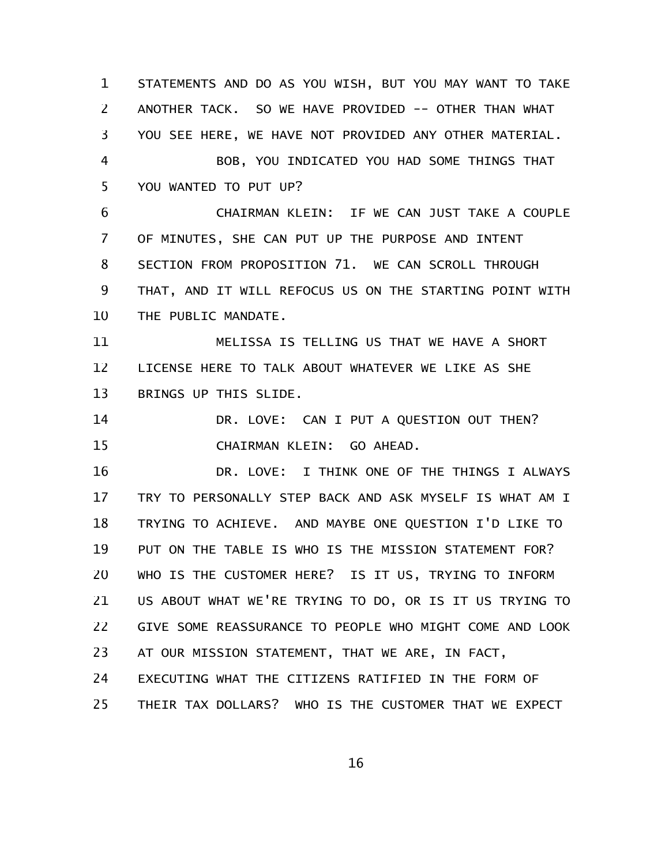STATEMENTS AND DO AS YOU WISH, BUT YOU MAY WANT TO TAKE ANOTHER TACK. SO WE HAVE PROVIDED -- OTHER THAN WHAT YOU SEE HERE, WE HAVE NOT PROVIDED ANY OTHER MATERIAL. BOB, YOU INDICATED YOU HAD SOME THINGS THAT YOU WANTED TO PUT UP? CHAIRMAN KLEIN: IF WE CAN JUST TAKE A COUPLE OF MINUTES, SHE CAN PUT UP THE PURPOSE AND INTENT SECTION FROM PROPOSITION 71. WE CAN SCROLL THROUGH THAT, AND IT WILL REFOCUS US ON THE STARTING POINT WITH THE PUBLIC MANDATE. MELISSA IS TELLING US THAT WE HAVE A SHORT LICENSE HERE TO TALK ABOUT WHATEVER WE LIKE AS SHE BRINGS UP THIS SLIDE. DR. LOVE: CAN I PUT A QUESTION OUT THEN? CHAIRMAN KLEIN: GO AHEAD. DR. LOVE: I THINK ONE OF THE THINGS I ALWAYS TRY TO PERSONALLY STEP BACK AND ASK MYSELF IS WHAT AM I TRYING TO ACHIEVE. AND MAYBE ONE QUESTION I'D LIKE TO PUT ON THE TABLE IS WHO IS THE MISSION STATEMENT FOR? WHO IS THE CUSTOMER HERE? IS IT US, TRYING TO INFORM US ABOUT WHAT WE'RE TRYING TO DO, OR IS IT US TRYING TO GIVE SOME REASSURANCE TO PEOPLE WHO MIGHT COME AND LOOK AT OUR MISSION STATEMENT, THAT WE ARE, IN FACT, EXECUTING WHAT THE CITIZENS RATIFIED IN THE FORM OF THEIR TAX DOLLARS? WHO IS THE CUSTOMER THAT WE EXPECT 1 2 3 4 5 6 7 8 9 10 11 12 13 14 15 16 17 18 19 20 21 22 23 24 25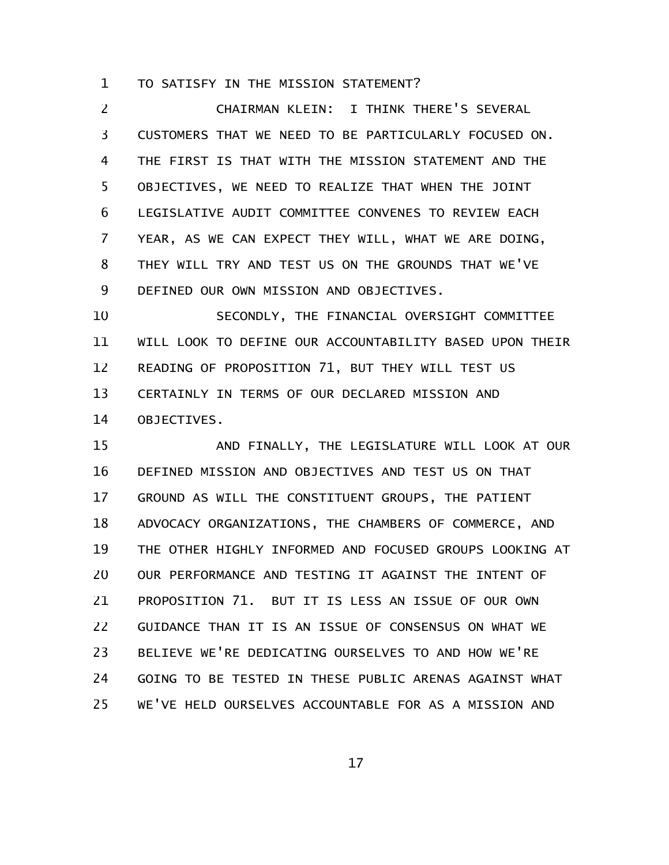TO SATISFY IN THE MISSION STATEMENT? 1

CHAIRMAN KLEIN: I THINK THERE'S SEVERAL CUSTOMERS THAT WE NEED TO BE PARTICULARLY FOCUSED ON. THE FIRST IS THAT WITH THE MISSION STATEMENT AND THE OBJECTIVES, WE NEED TO REALIZE THAT WHEN THE JOINT LEGISLATIVE AUDIT COMMITTEE CONVENES TO REVIEW EACH YEAR, AS WE CAN EXPECT THEY WILL, WHAT WE ARE DOING, THEY WILL TRY AND TEST US ON THE GROUNDS THAT WE'VE DEFINED OUR OWN MISSION AND OBJECTIVES. 2 3 4 5 6 7 8 9

SECONDLY, THE FINANCIAL OVERSIGHT COMMITTEE WILL LOOK TO DEFINE OUR ACCOUNTABILITY BASED UPON THEIR READING OF PROPOSITION 71, BUT THEY WILL TEST US CERTAINLY IN TERMS OF OUR DECLARED MISSION AND OBJECTIVES. 10 11 12 13 14

AND FINALLY, THE LEGISLATURE WILL LOOK AT OUR DEFINED MISSION AND OBJECTIVES AND TEST US ON THAT GROUND AS WILL THE CONSTITUENT GROUPS, THE PATIENT ADVOCACY ORGANIZATIONS, THE CHAMBERS OF COMMERCE, AND THE OTHER HIGHLY INFORMED AND FOCUSED GROUPS LOOKING AT OUR PERFORMANCE AND TESTING IT AGAINST THE INTENT OF PROPOSITION 71. BUT IT IS LESS AN ISSUE OF OUR OWN GUIDANCE THAN IT IS AN ISSUE OF CONSENSUS ON WHAT WE BELIEVE WE'RE DEDICATING OURSELVES TO AND HOW WE'RE GOING TO BE TESTED IN THESE PUBLIC ARENAS AGAINST WHAT WE'VE HELD OURSELVES ACCOUNTABLE FOR AS A MISSION AND 15 16 17 18 19 20 21 22 23 24 25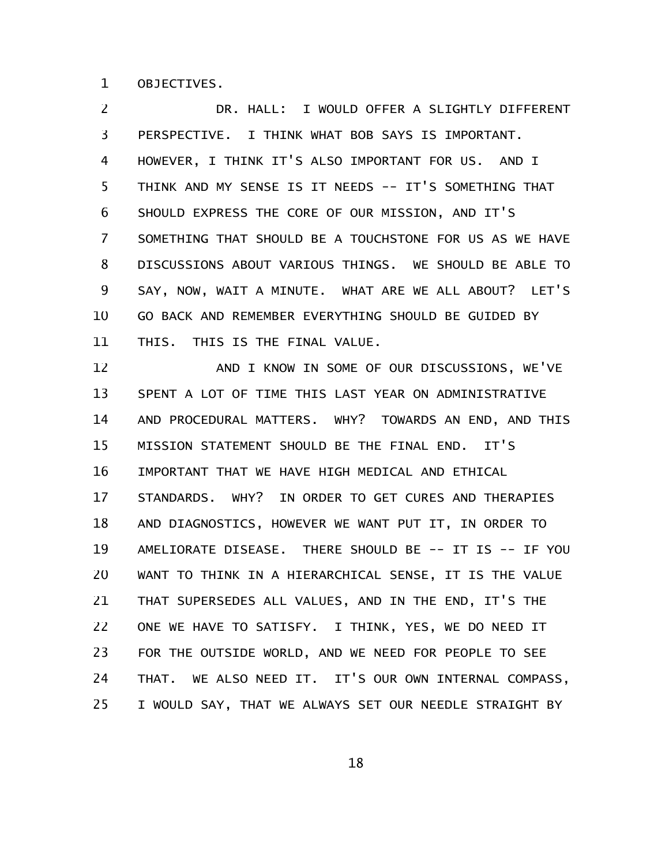OBJECTIVES. 1

DR. HALL: I WOULD OFFER A SLIGHTLY DIFFERENT PERSPECTIVE. I THINK WHAT BOB SAYS IS IMPORTANT. HOWEVER, I THINK IT'S ALSO IMPORTANT FOR US. AND I THINK AND MY SENSE IS IT NEEDS -- IT'S SOMETHING THAT SHOULD EXPRESS THE CORE OF OUR MISSION, AND IT'S SOMETHING THAT SHOULD BE A TOUCHSTONE FOR US AS WE HAVE DISCUSSIONS ABOUT VARIOUS THINGS. WE SHOULD BE ABLE TO SAY, NOW, WAIT A MINUTE. WHAT ARE WE ALL ABOUT? LET'S GO BACK AND REMEMBER EVERYTHING SHOULD BE GUIDED BY THIS. THIS IS THE FINAL VALUE. 2 3 4 5 6 7 8 9 10 11

AND I KNOW IN SOME OF OUR DISCUSSIONS, WE'VE SPENT A LOT OF TIME THIS LAST YEAR ON ADMINISTRATIVE AND PROCEDURAL MATTERS. WHY? TOWARDS AN END, AND THIS MISSION STATEMENT SHOULD BE THE FINAL END. IT'S IMPORTANT THAT WE HAVE HIGH MEDICAL AND ETHICAL STANDARDS. WHY? IN ORDER TO GET CURES AND THERAPIES AND DIAGNOSTICS, HOWEVER WE WANT PUT IT, IN ORDER TO AMELIORATE DISEASE. THERE SHOULD BE -- IT IS -- IF YOU WANT TO THINK IN A HIERARCHICAL SENSE, IT IS THE VALUE THAT SUPERSEDES ALL VALUES, AND IN THE END, IT'S THE ONE WE HAVE TO SATISFY. I THINK, YES, WE DO NEED IT FOR THE OUTSIDE WORLD, AND WE NEED FOR PEOPLE TO SEE THAT. WE ALSO NEED IT. IT'S OUR OWN INTERNAL COMPASS, I WOULD SAY, THAT WE ALWAYS SET OUR NEEDLE STRAIGHT BY 12 13 14 15 16 17 18 19 20 21 22 23 24 25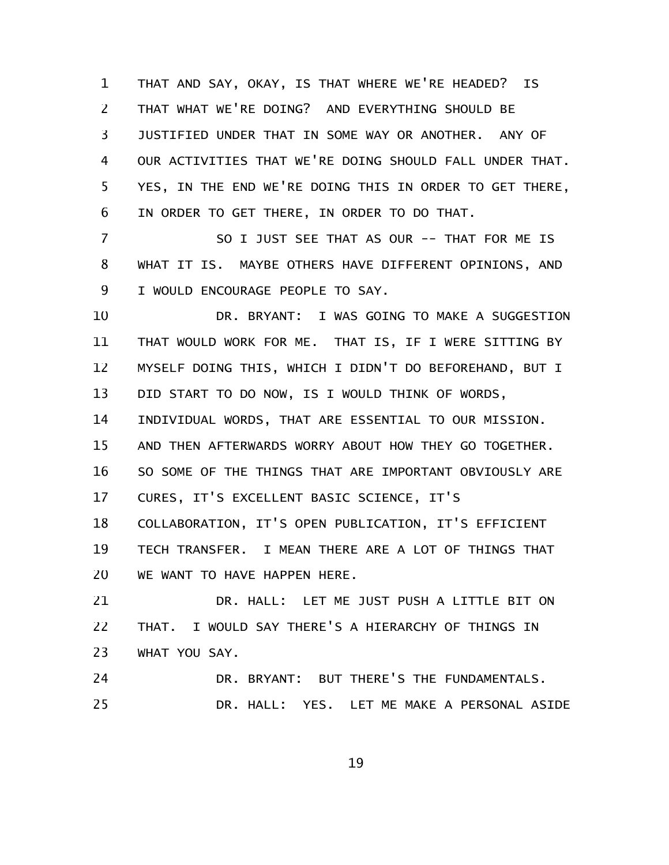THAT AND SAY, OKAY, IS THAT WHERE WE'RE HEADED? IS THAT WHAT WE'RE DOING? AND EVERYTHING SHOULD BE JUSTIFIED UNDER THAT IN SOME WAY OR ANOTHER. ANY OF OUR ACTIVITIES THAT WE'RE DOING SHOULD FALL UNDER THAT. YES, IN THE END WE'RE DOING THIS IN ORDER TO GET THERE, IN ORDER TO GET THERE, IN ORDER TO DO THAT. 1 2 3 4 5 6

SO I JUST SEE THAT AS OUR -- THAT FOR ME IS WHAT IT IS. MAYBE OTHERS HAVE DIFFERENT OPINIONS, AND I WOULD ENCOURAGE PEOPLE TO SAY. 7 8 9

DR. BRYANT: I WAS GOING TO MAKE A SUGGESTION THAT WOULD WORK FOR ME. THAT IS, IF I WERE SITTING BY MYSELF DOING THIS, WHICH I DIDN'T DO BEFOREHAND, BUT I DID START TO DO NOW, IS I WOULD THINK OF WORDS, INDIVIDUAL WORDS, THAT ARE ESSENTIAL TO OUR MISSION. AND THEN AFTERWARDS WORRY ABOUT HOW THEY GO TOGETHER. SO SOME OF THE THINGS THAT ARE IMPORTANT OBVIOUSLY ARE CURES, IT'S EXCELLENT BASIC SCIENCE, IT'S COLLABORATION, IT'S OPEN PUBLICATION, IT'S EFFICIENT TECH TRANSFER. I MEAN THERE ARE A LOT OF THINGS THAT WE WANT TO HAVE HAPPEN HERE. DR. HALL: LET ME JUST PUSH A LITTLE BIT ON 10 11 12 13 14 15 16 17 18 19 20 21

THAT. I WOULD SAY THERE'S A HIERARCHY OF THINGS IN WHAT YOU SAY. 22 23

DR. BRYANT: BUT THERE'S THE FUNDAMENTALS. DR. HALL: YES. LET ME MAKE A PERSONAL ASIDE 24 25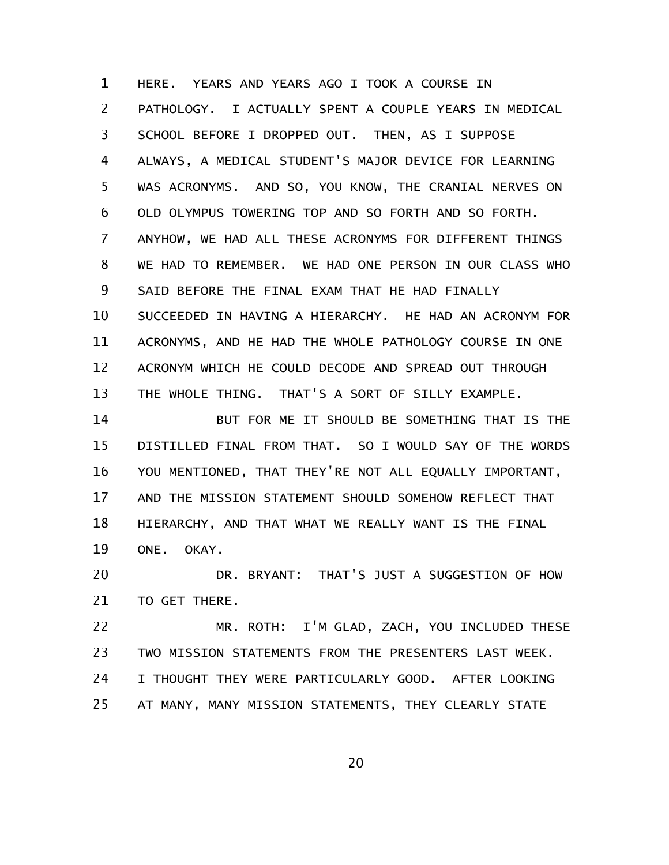HERE. YEARS AND YEARS AGO I TOOK A COURSE IN PATHOLOGY. I ACTUALLY SPENT A COUPLE YEARS IN MEDICAL SCHOOL BEFORE I DROPPED OUT. THEN, AS I SUPPOSE ALWAYS, A MEDICAL STUDENT'S MAJOR DEVICE FOR LEARNING WAS ACRONYMS. AND SO, YOU KNOW, THE CRANIAL NERVES ON OLD OLYMPUS TOWERING TOP AND SO FORTH AND SO FORTH. ANYHOW, WE HAD ALL THESE ACRONYMS FOR DIFFERENT THINGS WE HAD TO REMEMBER. WE HAD ONE PERSON IN OUR CLASS WHO SAID BEFORE THE FINAL EXAM THAT HE HAD FINALLY SUCCEEDED IN HAVING A HIERARCHY. HE HAD AN ACRONYM FOR ACRONYMS, AND HE HAD THE WHOLE PATHOLOGY COURSE IN ONE ACRONYM WHICH HE COULD DECODE AND SPREAD OUT THROUGH THE WHOLE THING. THAT'S A SORT OF SILLY EXAMPLE. 1 2 3 4 5 6 7 8 9 10 11 12 13

BUT FOR ME IT SHOULD BE SOMETHING THAT IS THE DISTILLED FINAL FROM THAT. SO I WOULD SAY OF THE WORDS YOU MENTIONED, THAT THEY'RE NOT ALL EQUALLY IMPORTANT, AND THE MISSION STATEMENT SHOULD SOMEHOW REFLECT THAT HIERARCHY, AND THAT WHAT WE REALLY WANT IS THE FINAL ONE. OKAY. 14 15 16 17 18 19

DR. BRYANT: THAT'S JUST A SUGGESTION OF HOW TO GET THERE. 20 21

MR. ROTH: I'M GLAD, ZACH, YOU INCLUDED THESE TWO MISSION STATEMENTS FROM THE PRESENTERS LAST WEEK. I THOUGHT THEY WERE PARTICULARLY GOOD. AFTER LOOKING AT MANY, MANY MISSION STATEMENTS, THEY CLEARLY STATE 22 23 24 25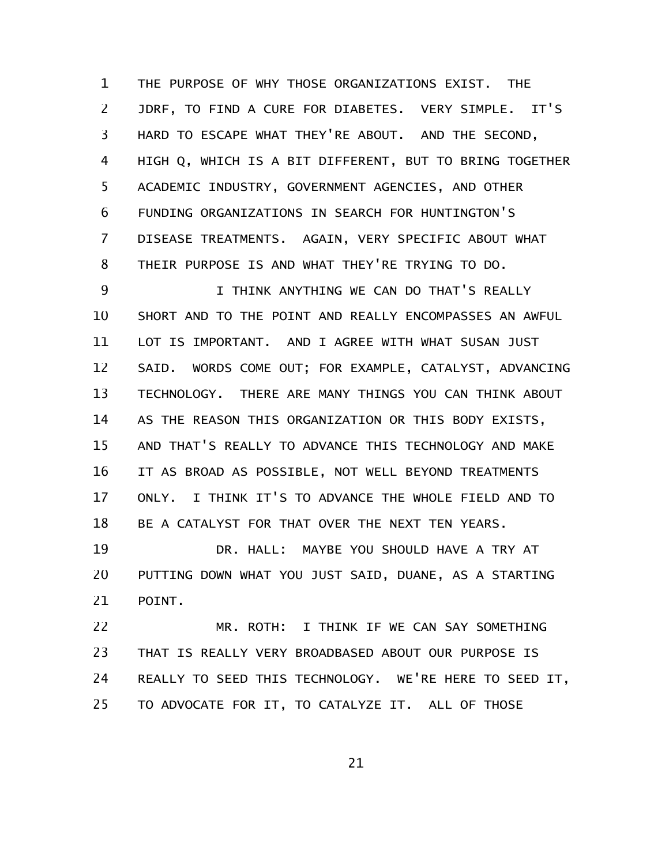THE PURPOSE OF WHY THOSE ORGANIZATIONS EXIST. THE JDRF, TO FIND A CURE FOR DIABETES. VERY SIMPLE. IT'S HARD TO ESCAPE WHAT THEY'RE ABOUT. AND THE SECOND, HIGH Q, WHICH IS A BIT DIFFERENT, BUT TO BRING TOGETHER ACADEMIC INDUSTRY, GOVERNMENT AGENCIES, AND OTHER FUNDING ORGANIZATIONS IN SEARCH FOR HUNTINGTON'S DISEASE TREATMENTS. AGAIN, VERY SPECIFIC ABOUT WHAT THEIR PURPOSE IS AND WHAT THEY'RE TRYING TO DO. 1 2 3 4 5 6 7 8

I THINK ANYTHING WE CAN DO THAT'S REALLY SHORT AND TO THE POINT AND REALLY ENCOMPASSES AN AWFUL LOT IS IMPORTANT. AND I AGREE WITH WHAT SUSAN JUST SAID. WORDS COME OUT; FOR EXAMPLE, CATALYST, ADVANCING TECHNOLOGY. THERE ARE MANY THINGS YOU CAN THINK ABOUT AS THE REASON THIS ORGANIZATION OR THIS BODY EXISTS, AND THAT'S REALLY TO ADVANCE THIS TECHNOLOGY AND MAKE IT AS BROAD AS POSSIBLE, NOT WELL BEYOND TREATMENTS ONLY. I THINK IT'S TO ADVANCE THE WHOLE FIELD AND TO BE A CATALYST FOR THAT OVER THE NEXT TEN YEARS. 9 10 11 12 13 14 15 16 17 18

DR. HALL: MAYBE YOU SHOULD HAVE A TRY AT PUTTING DOWN WHAT YOU JUST SAID, DUANE, AS A STARTING POINT. 19 20 21

MR. ROTH: I THINK IF WE CAN SAY SOMETHING THAT IS REALLY VERY BROADBASED ABOUT OUR PURPOSE IS REALLY TO SEED THIS TECHNOLOGY. WE'RE HERE TO SEED IT, TO ADVOCATE FOR IT, TO CATALYZE IT. ALL OF THOSE 22 23 24 25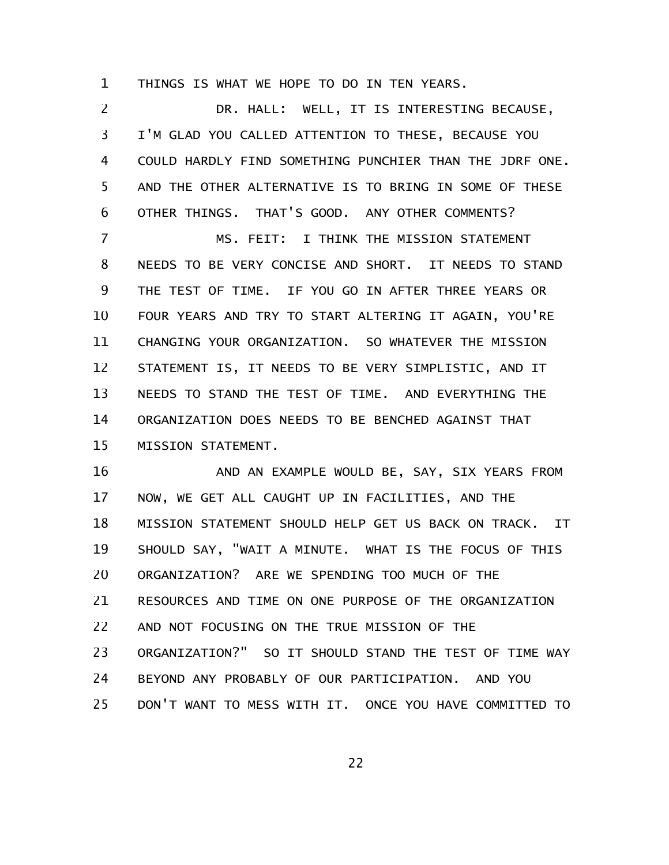THINGS IS WHAT WE HOPE TO DO IN TEN YEARS. 1

DR. HALL: WELL, IT IS INTERESTING BECAUSE, I'M GLAD YOU CALLED ATTENTION TO THESE, BECAUSE YOU COULD HARDLY FIND SOMETHING PUNCHIER THAN THE JDRF ONE. AND THE OTHER ALTERNATIVE IS TO BRING IN SOME OF THESE OTHER THINGS. THAT'S GOOD. ANY OTHER COMMENTS? MS. FEIT: I THINK THE MISSION STATEMENT NEEDS TO BE VERY CONCISE AND SHORT. IT NEEDS TO STAND THE TEST OF TIME. IF YOU GO IN AFTER THREE YEARS OR FOUR YEARS AND TRY TO START ALTERING IT AGAIN, YOU'RE CHANGING YOUR ORGANIZATION. SO WHATEVER THE MISSION 2 3 4 5 6 7 8 9 10 11

STATEMENT IS, IT NEEDS TO BE VERY SIMPLISTIC, AND IT NEEDS TO STAND THE TEST OF TIME. AND EVERYTHING THE ORGANIZATION DOES NEEDS TO BE BENCHED AGAINST THAT MISSION STATEMENT. 12 13 14 15

AND AN EXAMPLE WOULD BE, SAY, SIX YEARS FROM NOW, WE GET ALL CAUGHT UP IN FACILITIES, AND THE MISSION STATEMENT SHOULD HELP GET US BACK ON TRACK. IT SHOULD SAY, "WAIT A MINUTE. WHAT IS THE FOCUS OF THIS ORGANIZATION? ARE WE SPENDING TOO MUCH OF THE RESOURCES AND TIME ON ONE PURPOSE OF THE ORGANIZATION AND NOT FOCUSING ON THE TRUE MISSION OF THE ORGANIZATION?" SO IT SHOULD STAND THE TEST OF TIME WAY BEYOND ANY PROBABLY OF OUR PARTICIPATION. AND YOU DON'T WANT TO MESS WITH IT. ONCE YOU HAVE COMMITTED TO 16 17 18 19 20 21 22 23 24 25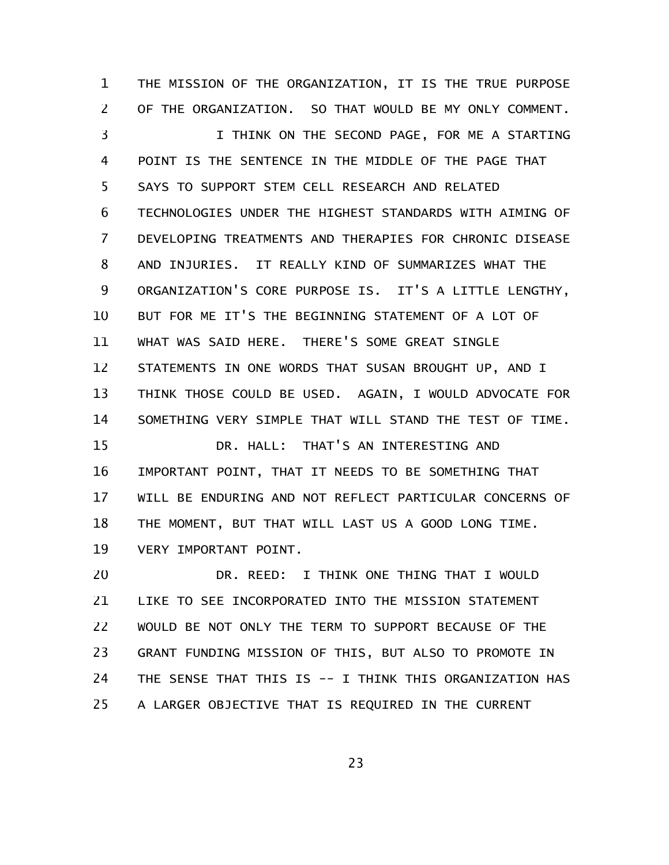THE MISSION OF THE ORGANIZATION, IT IS THE TRUE PURPOSE OF THE ORGANIZATION. SO THAT WOULD BE MY ONLY COMMENT. I THINK ON THE SECOND PAGE, FOR ME A STARTING POINT IS THE SENTENCE IN THE MIDDLE OF THE PAGE THAT SAYS TO SUPPORT STEM CELL RESEARCH AND RELATED TECHNOLOGIES UNDER THE HIGHEST STANDARDS WITH AIMING OF DEVELOPING TREATMENTS AND THERAPIES FOR CHRONIC DISEASE AND INJURIES. IT REALLY KIND OF SUMMARIZES WHAT THE ORGANIZATION'S CORE PURPOSE IS. IT'S A LITTLE LENGTHY, BUT FOR ME IT'S THE BEGINNING STATEMENT OF A LOT OF WHAT WAS SAID HERE. THERE'S SOME GREAT SINGLE STATEMENTS IN ONE WORDS THAT SUSAN BROUGHT UP, AND I THINK THOSE COULD BE USED. AGAIN, I WOULD ADVOCATE FOR SOMETHING VERY SIMPLE THAT WILL STAND THE TEST OF TIME. DR. HALL: THAT'S AN INTERESTING AND IMPORTANT POINT, THAT IT NEEDS TO BE SOMETHING THAT WILL BE ENDURING AND NOT REFLECT PARTICULAR CONCERNS OF THE MOMENT, BUT THAT WILL LAST US A GOOD LONG TIME. VERY IMPORTANT POINT. 1 2 3 4 5 6 7 8 9 10 11 12 13 14 15 16 17 18 19

DR. REED: I THINK ONE THING THAT I WOULD LIKE TO SEE INCORPORATED INTO THE MISSION STATEMENT WOULD BE NOT ONLY THE TERM TO SUPPORT BECAUSE OF THE GRANT FUNDING MISSION OF THIS, BUT ALSO TO PROMOTE IN THE SENSE THAT THIS IS -- I THINK THIS ORGANIZATION HAS A LARGER OBJECTIVE THAT IS REQUIRED IN THE CURRENT 20 21 22 23 24 25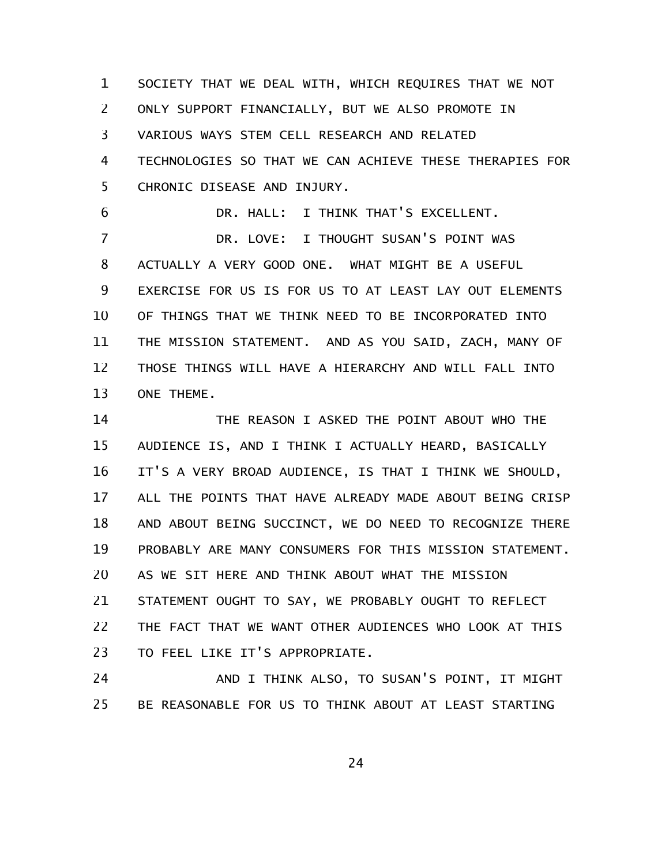SOCIETY THAT WE DEAL WITH, WHICH REQUIRES THAT WE NOT ONLY SUPPORT FINANCIALLY, BUT WE ALSO PROMOTE IN VARIOUS WAYS STEM CELL RESEARCH AND RELATED TECHNOLOGIES SO THAT WE CAN ACHIEVE THESE THERAPIES FOR CHRONIC DISEASE AND INJURY. 1 2 3 4 5

6

DR. HALL: I THINK THAT'S EXCELLENT.

DR. LOVE: I THOUGHT SUSAN'S POINT WAS ACTUALLY A VERY GOOD ONE. WHAT MIGHT BE A USEFUL EXERCISE FOR US IS FOR US TO AT LEAST LAY OUT ELEMENTS OF THINGS THAT WE THINK NEED TO BE INCORPORATED INTO THE MISSION STATEMENT. AND AS YOU SAID, ZACH, MANY OF THOSE THINGS WILL HAVE A HIERARCHY AND WILL FALL INTO ONE THEME. 7 8 9 10 11 12 13

THE REASON I ASKED THE POINT ABOUT WHO THE AUDIENCE IS, AND I THINK I ACTUALLY HEARD, BASICALLY IT'S A VERY BROAD AUDIENCE, IS THAT I THINK WE SHOULD, ALL THE POINTS THAT HAVE ALREADY MADE ABOUT BEING CRISP AND ABOUT BEING SUCCINCT, WE DO NEED TO RECOGNIZE THERE PROBABLY ARE MANY CONSUMERS FOR THIS MISSION STATEMENT. AS WE SIT HERE AND THINK ABOUT WHAT THE MISSION STATEMENT OUGHT TO SAY, WE PROBABLY OUGHT TO REFLECT THE FACT THAT WE WANT OTHER AUDIENCES WHO LOOK AT THIS TO FEEL LIKE IT'S APPROPRIATE. 14 15 16 17 18 19 20 21 22 23

AND I THINK ALSO, TO SUSAN'S POINT, IT MIGHT BE REASONABLE FOR US TO THINK ABOUT AT LEAST STARTING 24 25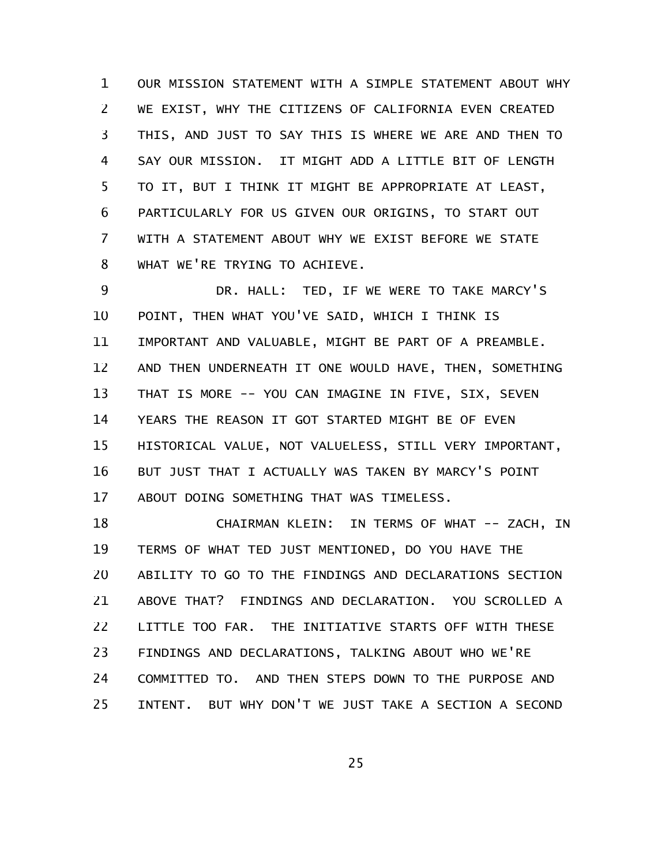OUR MISSION STATEMENT WITH A SIMPLE STATEMENT ABOUT WHY WE EXIST, WHY THE CITIZENS OF CALIFORNIA EVEN CREATED THIS, AND JUST TO SAY THIS IS WHERE WE ARE AND THEN TO SAY OUR MISSION. IT MIGHT ADD A LITTLE BIT OF LENGTH TO IT, BUT I THINK IT MIGHT BE APPROPRIATE AT LEAST, PARTICULARLY FOR US GIVEN OUR ORIGINS, TO START OUT WITH A STATEMENT ABOUT WHY WE EXIST BEFORE WE STATE WHAT WE'RE TRYING TO ACHIEVE. 1 2 3 4 5 6 7 8

DR. HALL: TED, IF WE WERE TO TAKE MARCY'S POINT, THEN WHAT YOU'VE SAID, WHICH I THINK IS IMPORTANT AND VALUABLE, MIGHT BE PART OF A PREAMBLE. AND THEN UNDERNEATH IT ONE WOULD HAVE, THEN, SOMETHING THAT IS MORE -- YOU CAN IMAGINE IN FIVE, SIX, SEVEN YEARS THE REASON IT GOT STARTED MIGHT BE OF EVEN HISTORICAL VALUE, NOT VALUELESS, STILL VERY IMPORTANT, BUT JUST THAT I ACTUALLY WAS TAKEN BY MARCY'S POINT ABOUT DOING SOMETHING THAT WAS TIMELESS. 9 10 11 12 13 14 15 16 17

CHAIRMAN KLEIN: IN TERMS OF WHAT -- ZACH, IN TERMS OF WHAT TED JUST MENTIONED, DO YOU HAVE THE ABILITY TO GO TO THE FINDINGS AND DECLARATIONS SECTION ABOVE THAT? FINDINGS AND DECLARATION. YOU SCROLLED A LITTLE TOO FAR. THE INITIATIVE STARTS OFF WITH THESE FINDINGS AND DECLARATIONS, TALKING ABOUT WHO WE'RE COMMITTED TO. AND THEN STEPS DOWN TO THE PURPOSE AND INTENT. BUT WHY DON'T WE JUST TAKE A SECTION A SECOND 18 19 20 21 22 23 24 25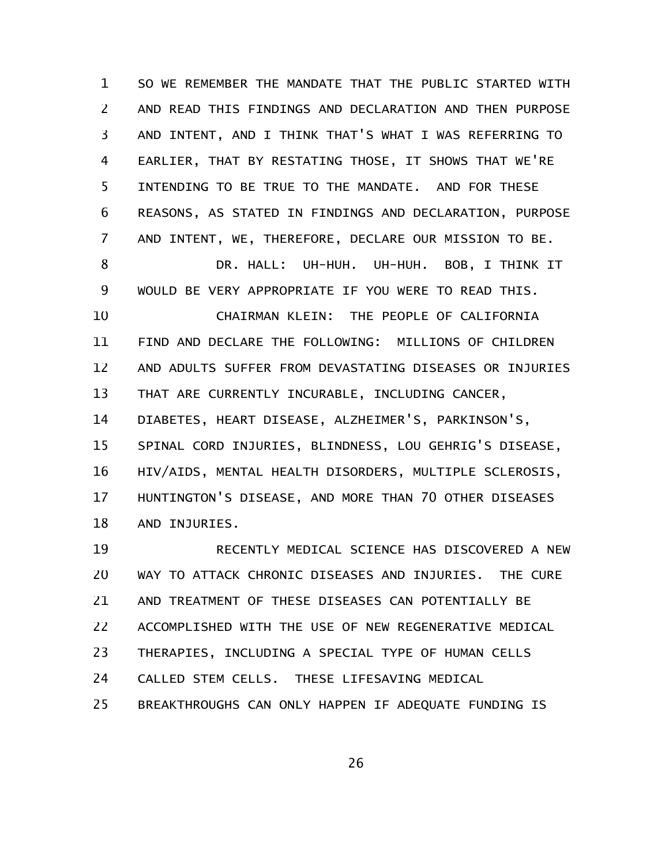SO WE REMEMBER THE MANDATE THAT THE PUBLIC STARTED WITH AND READ THIS FINDINGS AND DECLARATION AND THEN PURPOSE AND INTENT, AND I THINK THAT'S WHAT I WAS REFERRING TO EARLIER, THAT BY RESTATING THOSE, IT SHOWS THAT WE'RE INTENDING TO BE TRUE TO THE MANDATE. AND FOR THESE REASONS, AS STATED IN FINDINGS AND DECLARATION, PURPOSE AND INTENT, WE, THEREFORE, DECLARE OUR MISSION TO BE. 1 2 3 4 5 6 7

DR. HALL: UH-HUH. UH-HUH. BOB, I THINK IT WOULD BE VERY APPROPRIATE IF YOU WERE TO READ THIS. CHAIRMAN KLEIN: THE PEOPLE OF CALIFORNIA FIND AND DECLARE THE FOLLOWING: MILLIONS OF CHILDREN AND ADULTS SUFFER FROM DEVASTATING DISEASES OR INJURIES THAT ARE CURRENTLY INCURABLE, INCLUDING CANCER, DIABETES, HEART DISEASE, ALZHEIMER'S, PARKINSON'S, SPINAL CORD INJURIES, BLINDNESS, LOU GEHRIG'S DISEASE, HIV/AIDS, MENTAL HEALTH DISORDERS, MULTIPLE SCLEROSIS, HUNTINGTON'S DISEASE, AND MORE THAN 70 OTHER DISEASES AND INJURIES. 8 9 10 11 12 13 14 15 16 17 18

RECENTLY MEDICAL SCIENCE HAS DISCOVERED A NEW WAY TO ATTACK CHRONIC DISEASES AND INJURIES. THE CURE AND TREATMENT OF THESE DISEASES CAN POTENTIALLY BE ACCOMPLISHED WITH THE USE OF NEW REGENERATIVE MEDICAL THERAPIES, INCLUDING A SPECIAL TYPE OF HUMAN CELLS CALLED STEM CELLS. THESE LIFESAVING MEDICAL BREAKTHROUGHS CAN ONLY HAPPEN IF ADEQUATE FUNDING IS 19 20 21 22 23 24 25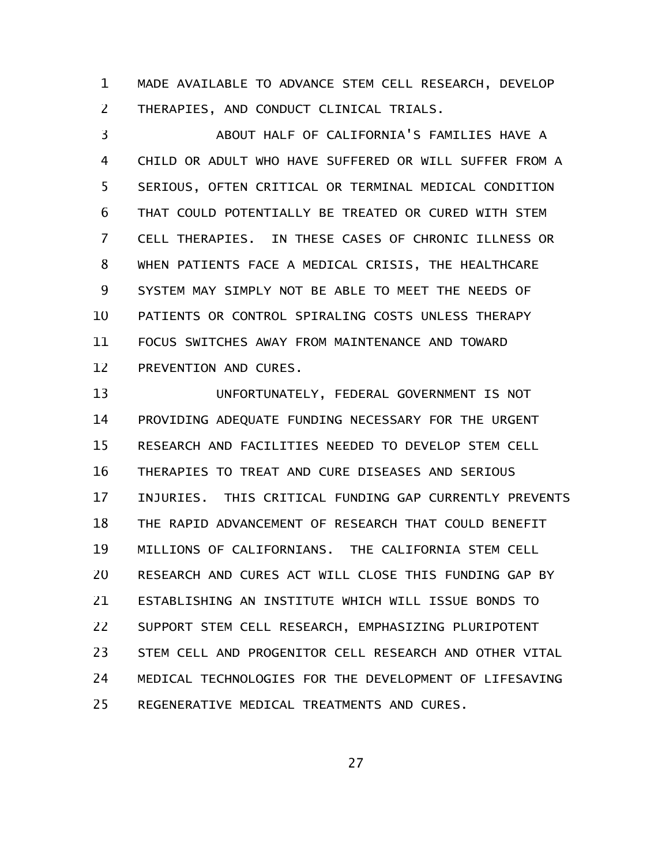MADE AVAILABLE TO ADVANCE STEM CELL RESEARCH, DEVELOP THERAPIES, AND CONDUCT CLINICAL TRIALS. 1 2

ABOUT HALF OF CALIFORNIA'S FAMILIES HAVE A CHILD OR ADULT WHO HAVE SUFFERED OR WILL SUFFER FROM A SERIOUS, OFTEN CRITICAL OR TERMINAL MEDICAL CONDITION THAT COULD POTENTIALLY BE TREATED OR CURED WITH STEM CELL THERAPIES. IN THESE CASES OF CHRONIC ILLNESS OR WHEN PATIENTS FACE A MEDICAL CRISIS, THE HEALTHCARE SYSTEM MAY SIMPLY NOT BE ABLE TO MEET THE NEEDS OF PATIENTS OR CONTROL SPIRALING COSTS UNLESS THERAPY FOCUS SWITCHES AWAY FROM MAINTENANCE AND TOWARD PREVENTION AND CURES. 3 4 5 6 7 8 9 10 11 12

UNFORTUNATELY, FEDERAL GOVERNMENT IS NOT PROVIDING ADEQUATE FUNDING NECESSARY FOR THE URGENT RESEARCH AND FACILITIES NEEDED TO DEVELOP STEM CELL THERAPIES TO TREAT AND CURE DISEASES AND SERIOUS INJURIES. THIS CRITICAL FUNDING GAP CURRENTLY PREVENTS THE RAPID ADVANCEMENT OF RESEARCH THAT COULD BENEFIT MILLIONS OF CALIFORNIANS. THE CALIFORNIA STEM CELL RESEARCH AND CURES ACT WILL CLOSE THIS FUNDING GAP BY ESTABLISHING AN INSTITUTE WHICH WILL ISSUE BONDS TO SUPPORT STEM CELL RESEARCH, EMPHASIZING PLURIPOTENT STEM CELL AND PROGENITOR CELL RESEARCH AND OTHER VITAL MEDICAL TECHNOLOGIES FOR THE DEVELOPMENT OF LIFESAVING REGENERATIVE MEDICAL TREATMENTS AND CURES. 13 14 15 16 17 18 19 20 21 22 23 24 25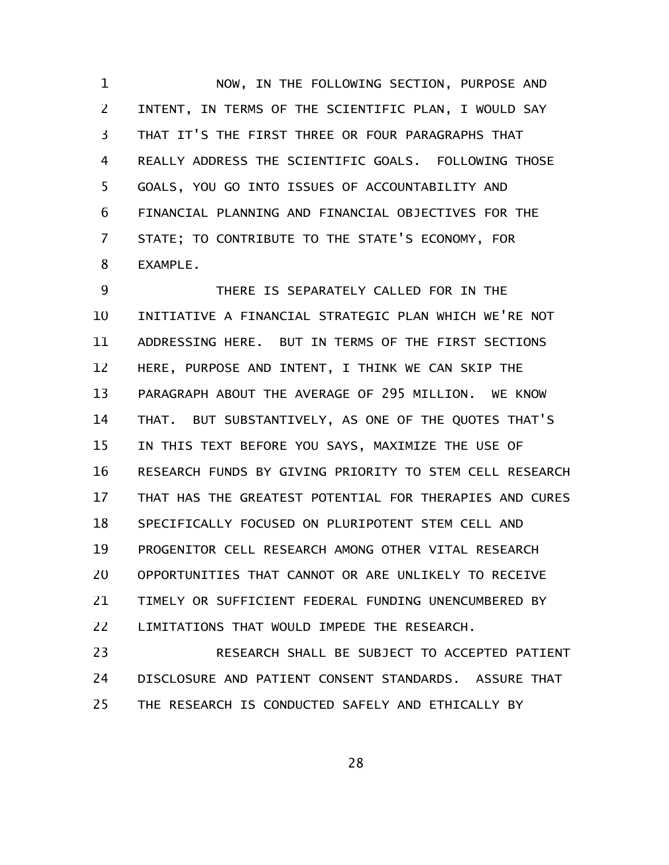NOW, IN THE FOLLOWING SECTION, PURPOSE AND INTENT, IN TERMS OF THE SCIENTIFIC PLAN, I WOULD SAY THAT IT'S THE FIRST THREE OR FOUR PARAGRAPHS THAT REALLY ADDRESS THE SCIENTIFIC GOALS. FOLLOWING THOSE GOALS, YOU GO INTO ISSUES OF ACCOUNTABILITY AND FINANCIAL PLANNING AND FINANCIAL OBJECTIVES FOR THE STATE; TO CONTRIBUTE TO THE STATE'S ECONOMY, FOR EXAMPLE. 1 2 3 4 5 6 7 8

THERE IS SEPARATELY CALLED FOR IN THE INITIATIVE A FINANCIAL STRATEGIC PLAN WHICH WE'RE NOT ADDRESSING HERE. BUT IN TERMS OF THE FIRST SECTIONS HERE, PURPOSE AND INTENT, I THINK WE CAN SKIP THE PARAGRAPH ABOUT THE AVERAGE OF 295 MILLION. WE KNOW THAT. BUT SUBSTANTIVELY, AS ONE OF THE QUOTES THAT'S IN THIS TEXT BEFORE YOU SAYS, MAXIMIZE THE USE OF RESEARCH FUNDS BY GIVING PRIORITY TO STEM CELL RESEARCH THAT HAS THE GREATEST POTENTIAL FOR THERAPIES AND CURES SPECIFICALLY FOCUSED ON PLURIPOTENT STEM CELL AND PROGENITOR CELL RESEARCH AMONG OTHER VITAL RESEARCH OPPORTUNITIES THAT CANNOT OR ARE UNLIKELY TO RECEIVE TIMELY OR SUFFICIENT FEDERAL FUNDING UNENCUMBERED BY LIMITATIONS THAT WOULD IMPEDE THE RESEARCH. 9 10 11 12 13 14 15 16 17 18 19 20 21 22

RESEARCH SHALL BE SUBJECT TO ACCEPTED PATIENT DISCLOSURE AND PATIENT CONSENT STANDARDS. ASSURE THAT THE RESEARCH IS CONDUCTED SAFELY AND ETHICALLY BY 23 24 25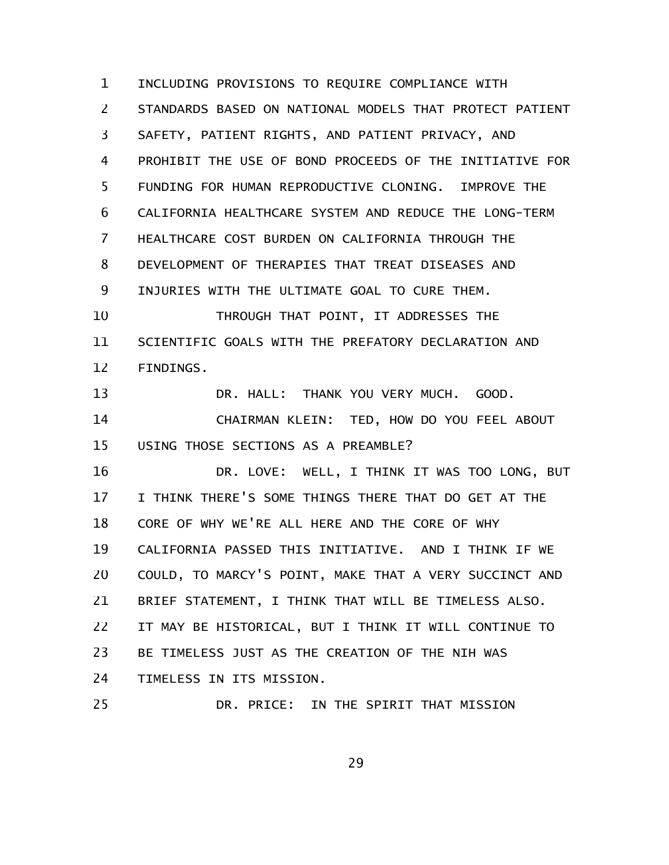INCLUDING PROVISIONS TO REQUIRE COMPLIANCE WITH STANDARDS BASED ON NATIONAL MODELS THAT PROTECT PATIENT SAFETY, PATIENT RIGHTS, AND PATIENT PRIVACY, AND PROHIBIT THE USE OF BOND PROCEEDS OF THE INITIATIVE FOR FUNDING FOR HUMAN REPRODUCTIVE CLONING. IMPROVE THE CALIFORNIA HEALTHCARE SYSTEM AND REDUCE THE LONG-TERM HEALTHCARE COST BURDEN ON CALIFORNIA THROUGH THE DEVELOPMENT OF THERAPIES THAT TREAT DISEASES AND INJURIES WITH THE ULTIMATE GOAL TO CURE THEM. THROUGH THAT POINT, IT ADDRESSES THE SCIENTIFIC GOALS WITH THE PREFATORY DECLARATION AND FINDINGS. DR. HALL: THANK YOU VERY MUCH. GOOD. CHAIRMAN KLEIN: TED, HOW DO YOU FEEL ABOUT USING THOSE SECTIONS AS A PREAMBLE? DR. LOVE: WELL, I THINK IT WAS TOO LONG, BUT I THINK THERE'S SOME THINGS THERE THAT DO GET AT THE CORE OF WHY WE'RE ALL HERE AND THE CORE OF WHY CALIFORNIA PASSED THIS INITIATIVE. AND I THINK IF WE COULD, TO MARCY'S POINT, MAKE THAT A VERY SUCCINCT AND BRIEF STATEMENT, I THINK THAT WILL BE TIMELESS ALSO. IT MAY BE HISTORICAL, BUT I THINK IT WILL CONTINUE TO BE TIMELESS JUST AS THE CREATION OF THE NIH WAS TIMELESS IN ITS MISSION. DR. PRICE: IN THE SPIRIT THAT MISSION 1 2 3 4 5 6 7 8 9 10 11 12 13 14 15 16 17 18 19 20 21 22 23 24 25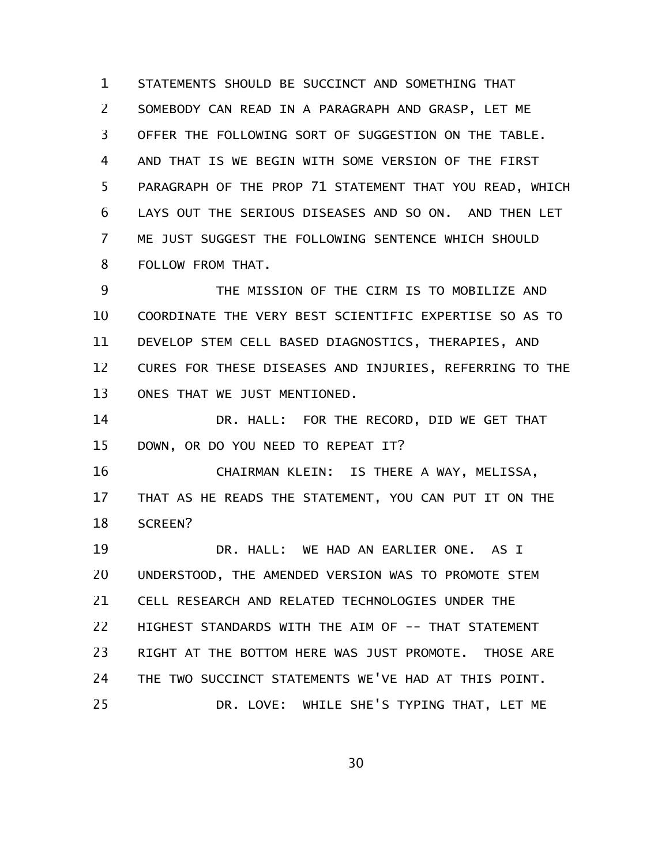STATEMENTS SHOULD BE SUCCINCT AND SOMETHING THAT SOMEBODY CAN READ IN A PARAGRAPH AND GRASP, LET ME OFFER THE FOLLOWING SORT OF SUGGESTION ON THE TABLE. AND THAT IS WE BEGIN WITH SOME VERSION OF THE FIRST PARAGRAPH OF THE PROP 71 STATEMENT THAT YOU READ, WHICH LAYS OUT THE SERIOUS DISEASES AND SO ON. AND THEN LET ME JUST SUGGEST THE FOLLOWING SENTENCE WHICH SHOULD FOLLOW FROM THAT. 1 2 3 4 5 6 7 8

THE MISSION OF THE CIRM IS TO MOBILIZE AND COORDINATE THE VERY BEST SCIENTIFIC EXPERTISE SO AS TO DEVELOP STEM CELL BASED DIAGNOSTICS, THERAPIES, AND CURES FOR THESE DISEASES AND INJURIES, REFERRING TO THE ONES THAT WE JUST MENTIONED. 9 10 11 12 13

DR. HALL: FOR THE RECORD, DID WE GET THAT DOWN, OR DO YOU NEED TO REPEAT IT? 14 15

CHAIRMAN KLEIN: IS THERE A WAY, MELISSA, THAT AS HE READS THE STATEMENT, YOU CAN PUT IT ON THE SCREEN? 16 17 18

DR. HALL: WE HAD AN EARLIER ONE. AS I UNDERSTOOD, THE AMENDED VERSION WAS TO PROMOTE STEM CELL RESEARCH AND RELATED TECHNOLOGIES UNDER THE HIGHEST STANDARDS WITH THE AIM OF -- THAT STATEMENT RIGHT AT THE BOTTOM HERE WAS JUST PROMOTE. THOSE ARE THE TWO SUCCINCT STATEMENTS WE'VE HAD AT THIS POINT. DR. LOVE: WHILE SHE'S TYPING THAT, LET ME 19 20 21 22 23 24 25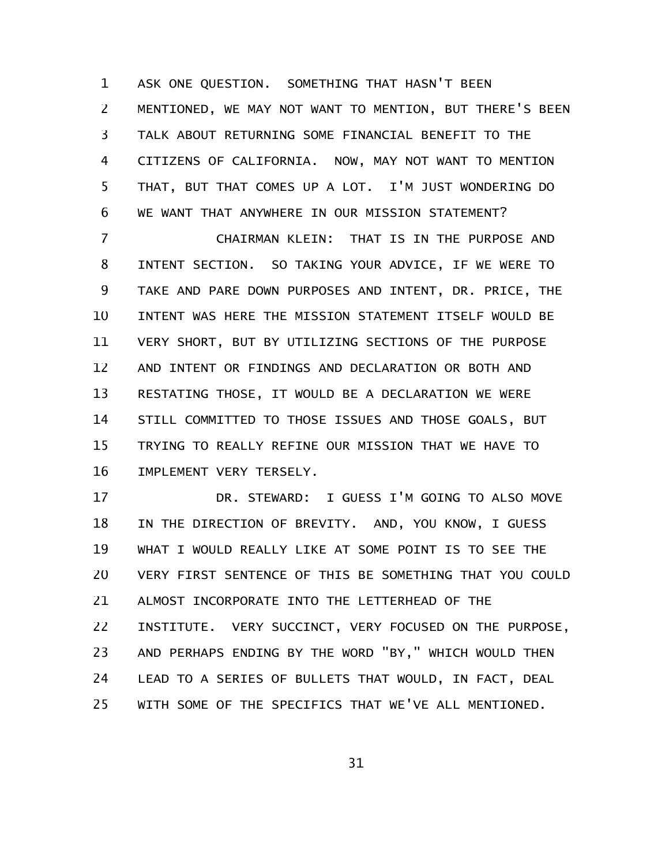ASK ONE QUESTION. SOMETHING THAT HASN'T BEEN MENTIONED, WE MAY NOT WANT TO MENTION, BUT THERE'S BEEN TALK ABOUT RETURNING SOME FINANCIAL BENEFIT TO THE CITIZENS OF CALIFORNIA. NOW, MAY NOT WANT TO MENTION THAT, BUT THAT COMES UP A LOT. I'M JUST WONDERING DO WE WANT THAT ANYWHERE IN OUR MISSION STATEMENT? 1 2 3 4 5 6

CHAIRMAN KLEIN: THAT IS IN THE PURPOSE AND INTENT SECTION. SO TAKING YOUR ADVICE, IF WE WERE TO TAKE AND PARE DOWN PURPOSES AND INTENT, DR. PRICE, THE INTENT WAS HERE THE MISSION STATEMENT ITSELF WOULD BE VERY SHORT, BUT BY UTILIZING SECTIONS OF THE PURPOSE AND INTENT OR FINDINGS AND DECLARATION OR BOTH AND RESTATING THOSE, IT WOULD BE A DECLARATION WE WERE STILL COMMITTED TO THOSE ISSUES AND THOSE GOALS, BUT TRYING TO REALLY REFINE OUR MISSION THAT WE HAVE TO IMPLEMENT VERY TERSELY. 7 8 9 10 11 12 13 14 15 16

DR. STEWARD: I GUESS I'M GOING TO ALSO MOVE IN THE DIRECTION OF BREVITY. AND, YOU KNOW, I GUESS WHAT I WOULD REALLY LIKE AT SOME POINT IS TO SEE THE VERY FIRST SENTENCE OF THIS BE SOMETHING THAT YOU COULD ALMOST INCORPORATE INTO THE LETTERHEAD OF THE INSTITUTE. VERY SUCCINCT, VERY FOCUSED ON THE PURPOSE, AND PERHAPS ENDING BY THE WORD "BY," WHICH WOULD THEN LEAD TO A SERIES OF BULLETS THAT WOULD, IN FACT, DEAL WITH SOME OF THE SPECIFICS THAT WE'VE ALL MENTIONED. 17 18 19 20 21 22 23 24 25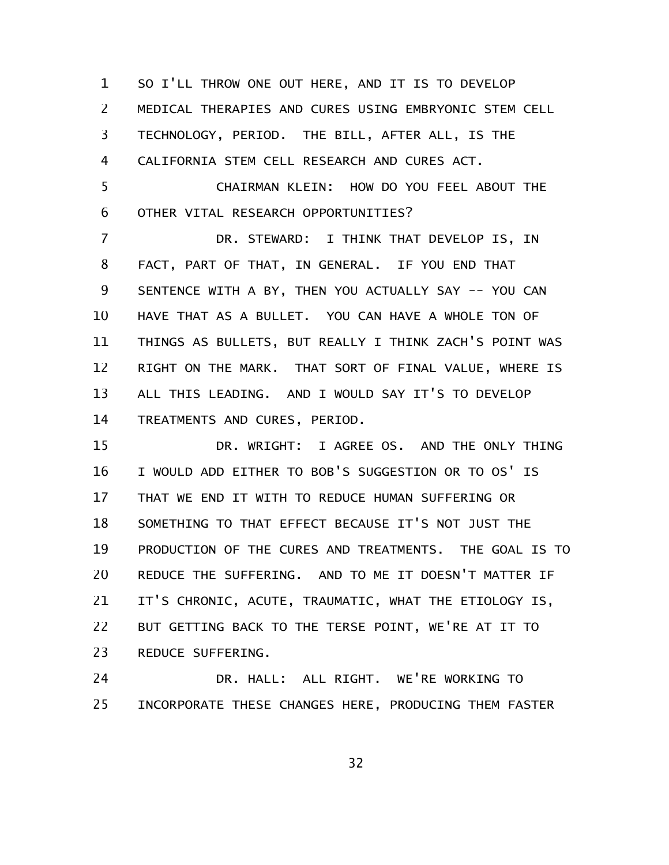SO I'LL THROW ONE OUT HERE, AND IT IS TO DEVELOP MEDICAL THERAPIES AND CURES USING EMBRYONIC STEM CELL TECHNOLOGY, PERIOD. THE BILL, AFTER ALL, IS THE CALIFORNIA STEM CELL RESEARCH AND CURES ACT. 1 2 3 4

CHAIRMAN KLEIN: HOW DO YOU FEEL ABOUT THE OTHER VITAL RESEARCH OPPORTUNITIES? 5 6

DR. STEWARD: I THINK THAT DEVELOP IS, IN FACT, PART OF THAT, IN GENERAL. IF YOU END THAT SENTENCE WITH A BY, THEN YOU ACTUALLY SAY -- YOU CAN HAVE THAT AS A BULLET. YOU CAN HAVE A WHOLE TON OF THINGS AS BULLETS, BUT REALLY I THINK ZACH'S POINT WAS RIGHT ON THE MARK. THAT SORT OF FINAL VALUE, WHERE IS ALL THIS LEADING. AND I WOULD SAY IT'S TO DEVELOP TREATMENTS AND CURES, PERIOD. 7 8 9 10 11 12 13 14

DR. WRIGHT: I AGREE OS. AND THE ONLY THING I WOULD ADD EITHER TO BOB'S SUGGESTION OR TO OS' IS THAT WE END IT WITH TO REDUCE HUMAN SUFFERING OR SOMETHING TO THAT EFFECT BECAUSE IT'S NOT JUST THE PRODUCTION OF THE CURES AND TREATMENTS. THE GOAL IS TO REDUCE THE SUFFERING. AND TO ME IT DOESN'T MATTER IF IT'S CHRONIC, ACUTE, TRAUMATIC, WHAT THE ETIOLOGY IS, BUT GETTING BACK TO THE TERSE POINT, WE'RE AT IT TO REDUCE SUFFERING. 15 16 17 18 19 20 21 22 23

DR. HALL: ALL RIGHT. WE'RE WORKING TO INCORPORATE THESE CHANGES HERE, PRODUCING THEM FASTER 24 25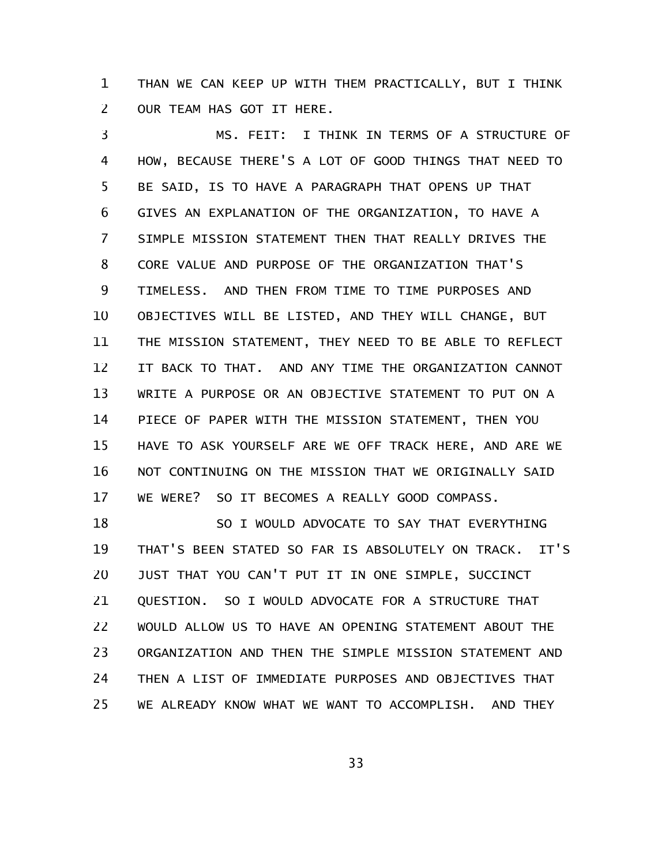THAN WE CAN KEEP UP WITH THEM PRACTICALLY, BUT I THINK OUR TEAM HAS GOT IT HERE. 1 2

MS. FEIT: I THINK IN TERMS OF A STRUCTURE OF HOW, BECAUSE THERE'S A LOT OF GOOD THINGS THAT NEED TO BE SAID, IS TO HAVE A PARAGRAPH THAT OPENS UP THAT GIVES AN EXPLANATION OF THE ORGANIZATION, TO HAVE A SIMPLE MISSION STATEMENT THEN THAT REALLY DRIVES THE CORE VALUE AND PURPOSE OF THE ORGANIZATION THAT'S TIMELESS. AND THEN FROM TIME TO TIME PURPOSES AND OBJECTIVES WILL BE LISTED, AND THEY WILL CHANGE, BUT THE MISSION STATEMENT, THEY NEED TO BE ABLE TO REFLECT IT BACK TO THAT. AND ANY TIME THE ORGANIZATION CANNOT WRITE A PURPOSE OR AN OBJECTIVE STATEMENT TO PUT ON A PIECE OF PAPER WITH THE MISSION STATEMENT, THEN YOU HAVE TO ASK YOURSELF ARE WE OFF TRACK HERE, AND ARE WE NOT CONTINUING ON THE MISSION THAT WE ORIGINALLY SAID WE WERE? SO IT BECOMES A REALLY GOOD COMPASS. 3 4 5 6 7 8 9 10 11 12 13 14 15 16 17

SO I WOULD ADVOCATE TO SAY THAT EVERYTHING THAT'S BEEN STATED SO FAR IS ABSOLUTELY ON TRACK. IT'S JUST THAT YOU CAN'T PUT IT IN ONE SIMPLE, SUCCINCT QUESTION. SO I WOULD ADVOCATE FOR A STRUCTURE THAT WOULD ALLOW US TO HAVE AN OPENING STATEMENT ABOUT THE ORGANIZATION AND THEN THE SIMPLE MISSION STATEMENT AND THEN A LIST OF IMMEDIATE PURPOSES AND OBJECTIVES THAT WE ALREADY KNOW WHAT WE WANT TO ACCOMPLISH. AND THEY 18 19 20 21 22 23 24 25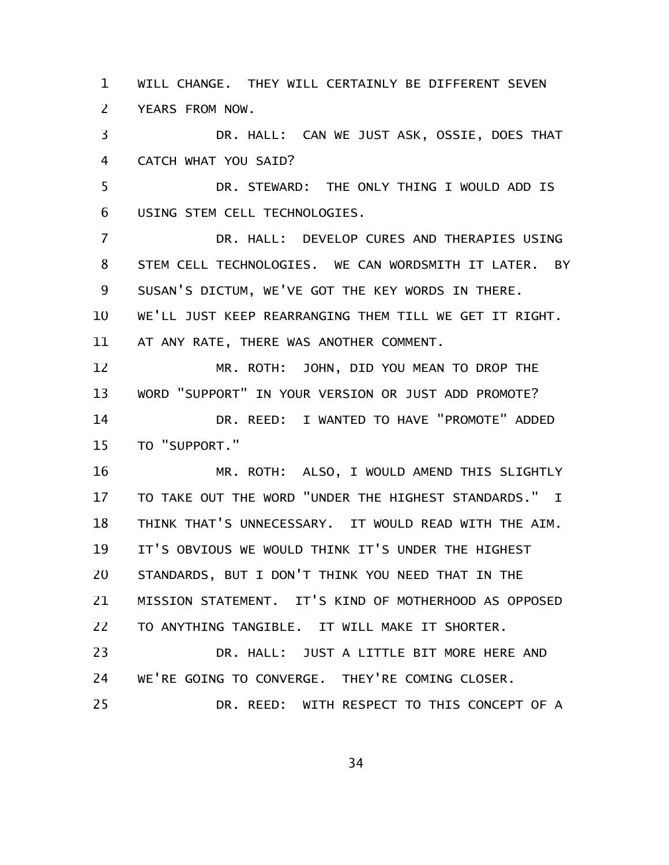WILL CHANGE. THEY WILL CERTAINLY BE DIFFERENT SEVEN YEARS FROM NOW. 1 2

DR. HALL: CAN WE JUST ASK, OSSIE, DOES THAT CATCH WHAT YOU SAID? 3 4

DR. STEWARD: THE ONLY THING I WOULD ADD IS USING STEM CELL TECHNOLOGIES. 5 6

DR. HALL: DEVELOP CURES AND THERAPIES USING STEM CELL TECHNOLOGIES. WE CAN WORDSMITH IT LATER. BY SUSAN'S DICTUM, WE'VE GOT THE KEY WORDS IN THERE. WE'LL JUST KEEP REARRANGING THEM TILL WE GET IT RIGHT. 7 8 9 10

AT ANY RATE, THERE WAS ANOTHER COMMENT. 11

MR. ROTH: JOHN, DID YOU MEAN TO DROP THE WORD "SUPPORT" IN YOUR VERSION OR JUST ADD PROMOTE? 12 13

DR. REED: I WANTED TO HAVE "PROMOTE" ADDED TO "SUPPORT." 14 15

MR. ROTH: ALSO, I WOULD AMEND THIS SLIGHTLY TO TAKE OUT THE WORD "UNDER THE HIGHEST STANDARDS." I THINK THAT'S UNNECESSARY. IT WOULD READ WITH THE AIM. IT'S OBVIOUS WE WOULD THINK IT'S UNDER THE HIGHEST STANDARDS, BUT I DON'T THINK YOU NEED THAT IN THE MISSION STATEMENT. IT'S KIND OF MOTHERHOOD AS OPPOSED TO ANYTHING TANGIBLE. IT WILL MAKE IT SHORTER. DR. HALL: JUST A LITTLE BIT MORE HERE AND 16 17 18 19 20 21 22 23

WE'RE GOING TO CONVERGE. THEY'RE COMING CLOSER. DR. REED: WITH RESPECT TO THIS CONCEPT OF A 24 25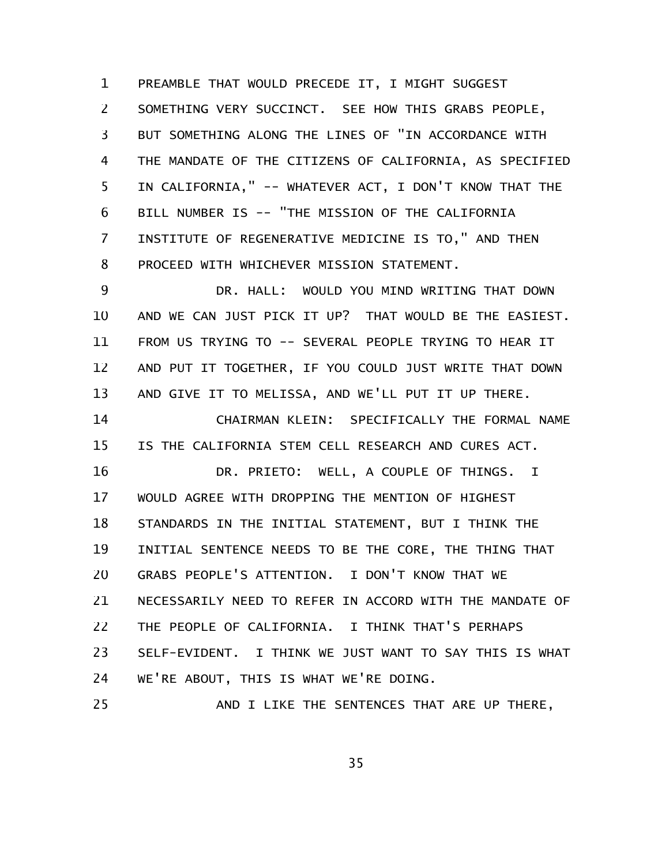PREAMBLE THAT WOULD PRECEDE IT, I MIGHT SUGGEST SOMETHING VERY SUCCINCT. SEE HOW THIS GRABS PEOPLE, BUT SOMETHING ALONG THE LINES OF "IN ACCORDANCE WITH THE MANDATE OF THE CITIZENS OF CALIFORNIA, AS SPECIFIED IN CALIFORNIA," -- WHATEVER ACT, I DON'T KNOW THAT THE BILL NUMBER IS -- "THE MISSION OF THE CALIFORNIA INSTITUTE OF REGENERATIVE MEDICINE IS TO," AND THEN PROCEED WITH WHICHEVER MISSION STATEMENT. 1 2 3 4 5 6 7 8

DR. HALL: WOULD YOU MIND WRITING THAT DOWN AND WE CAN JUST PICK IT UP? THAT WOULD BE THE EASIEST. FROM US TRYING TO -- SEVERAL PEOPLE TRYING TO HEAR IT AND PUT IT TOGETHER, IF YOU COULD JUST WRITE THAT DOWN AND GIVE IT TO MELISSA, AND WE'LL PUT IT UP THERE. 9 10 11 12 13

CHAIRMAN KLEIN: SPECIFICALLY THE FORMAL NAME IS THE CALIFORNIA STEM CELL RESEARCH AND CURES ACT. 14 15

DR. PRIETO: WELL, A COUPLE OF THINGS. I WOULD AGREE WITH DROPPING THE MENTION OF HIGHEST STANDARDS IN THE INITIAL STATEMENT, BUT I THINK THE INITIAL SENTENCE NEEDS TO BE THE CORE, THE THING THAT GRABS PEOPLE'S ATTENTION. I DON'T KNOW THAT WE NECESSARILY NEED TO REFER IN ACCORD WITH THE MANDATE OF THE PEOPLE OF CALIFORNIA. I THINK THAT'S PERHAPS SELF-EVIDENT. I THINK WE JUST WANT TO SAY THIS IS WHAT WE'RE ABOUT, THIS IS WHAT WE'RE DOING. AND I LIKE THE SENTENCES THAT ARE UP THERE, 16 17 18 19 20 21 22 23 24 25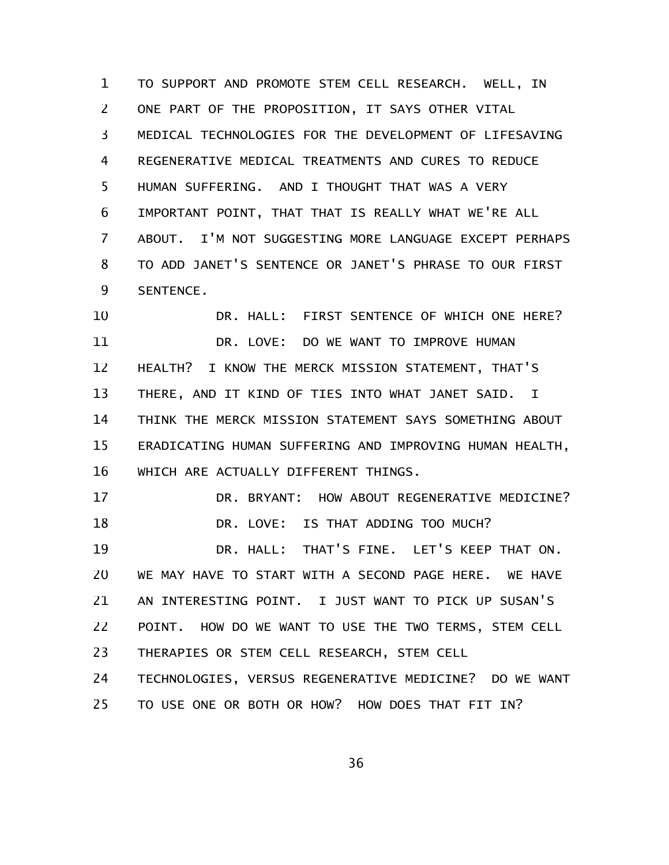TO SUPPORT AND PROMOTE STEM CELL RESEARCH. WELL, IN ONE PART OF THE PROPOSITION, IT SAYS OTHER VITAL MEDICAL TECHNOLOGIES FOR THE DEVELOPMENT OF LIFESAVING REGENERATIVE MEDICAL TREATMENTS AND CURES TO REDUCE HUMAN SUFFERING. AND I THOUGHT THAT WAS A VERY IMPORTANT POINT, THAT THAT IS REALLY WHAT WE'RE ALL ABOUT. I'M NOT SUGGESTING MORE LANGUAGE EXCEPT PERHAPS TO ADD JANET'S SENTENCE OR JANET'S PHRASE TO OUR FIRST SENTENCE. 1 2 3 4 5 6 7 8 9

DR. HALL: FIRST SENTENCE OF WHICH ONE HERE? DR. LOVE: DO WE WANT TO IMPROVE HUMAN HEALTH? I KNOW THE MERCK MISSION STATEMENT, THAT'S THERE, AND IT KIND OF TIES INTO WHAT JANET SAID. I THINK THE MERCK MISSION STATEMENT SAYS SOMETHING ABOUT ERADICATING HUMAN SUFFERING AND IMPROVING HUMAN HEALTH, WHICH ARE ACTUALLY DIFFERENT THINGS. 10 11 12 13 14 15 16

DR. BRYANT: HOW ABOUT REGENERATIVE MEDICINE? DR. LOVE: IS THAT ADDING TOO MUCH? DR. HALL: THAT'S FINE. LET'S KEEP THAT ON. 17 18 19

WE MAY HAVE TO START WITH A SECOND PAGE HERE. WE HAVE AN INTERESTING POINT. I JUST WANT TO PICK UP SUSAN'S POINT. HOW DO WE WANT TO USE THE TWO TERMS, STEM CELL 20 21 22

THERAPIES OR STEM CELL RESEARCH, STEM CELL 23

TECHNOLOGIES, VERSUS REGENERATIVE MEDICINE? DO WE WANT TO USE ONE OR BOTH OR HOW? HOW DOES THAT FIT IN? 24 25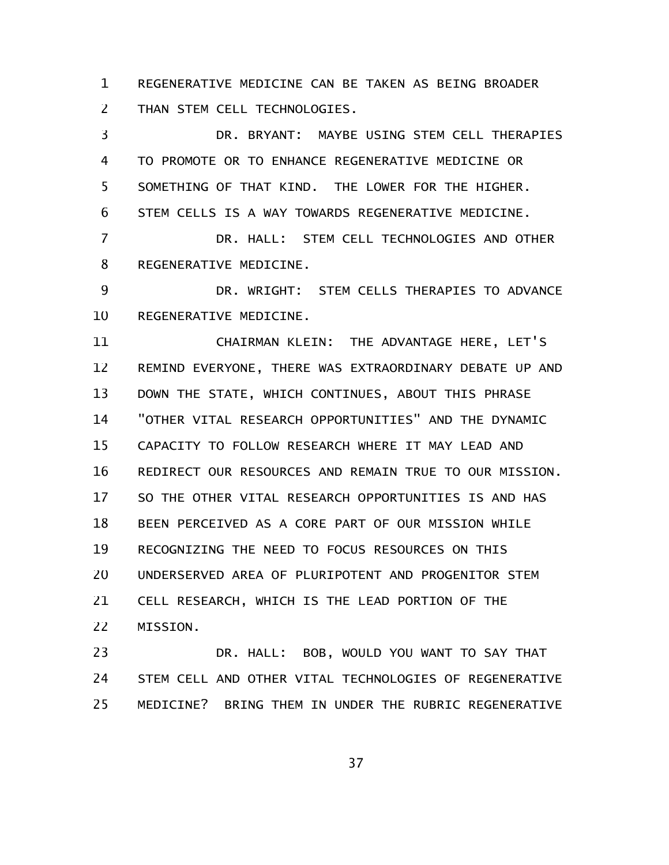REGENERATIVE MEDICINE CAN BE TAKEN AS BEING BROADER THAN STEM CELL TECHNOLOGIES. 1 2

DR. BRYANT: MAYBE USING STEM CELL THERAPIES TO PROMOTE OR TO ENHANCE REGENERATIVE MEDICINE OR SOMETHING OF THAT KIND. THE LOWER FOR THE HIGHER. STEM CELLS IS A WAY TOWARDS REGENERATIVE MEDICINE. DR. HALL: STEM CELL TECHNOLOGIES AND OTHER REGENERATIVE MEDICINE. DR. WRIGHT: STEM CELLS THERAPIES TO ADVANCE REGENERATIVE MEDICINE. CHAIRMAN KLEIN: THE ADVANTAGE HERE, LET'S REMIND EVERYONE, THERE WAS EXTRAORDINARY DEBATE UP AND DOWN THE STATE, WHICH CONTINUES, ABOUT THIS PHRASE "OTHER VITAL RESEARCH OPPORTUNITIES" AND THE DYNAMIC CAPACITY TO FOLLOW RESEARCH WHERE IT MAY LEAD AND REDIRECT OUR RESOURCES AND REMAIN TRUE TO OUR MISSION. SO THE OTHER VITAL RESEARCH OPPORTUNITIES IS AND HAS BEEN PERCEIVED AS A CORE PART OF OUR MISSION WHILE RECOGNIZING THE NEED TO FOCUS RESOURCES ON THIS UNDERSERVED AREA OF PLURIPOTENT AND PROGENITOR STEM CELL RESEARCH, WHICH IS THE LEAD PORTION OF THE MISSION. 3 4 5 6 7 8 9 10 11 12 13 14 15 16 17 18 19 20 21 22

DR. HALL: BOB, WOULD YOU WANT TO SAY THAT STEM CELL AND OTHER VITAL TECHNOLOGIES OF REGENERATIVE MEDICINE? BRING THEM IN UNDER THE RUBRIC REGENERATIVE 23 24 25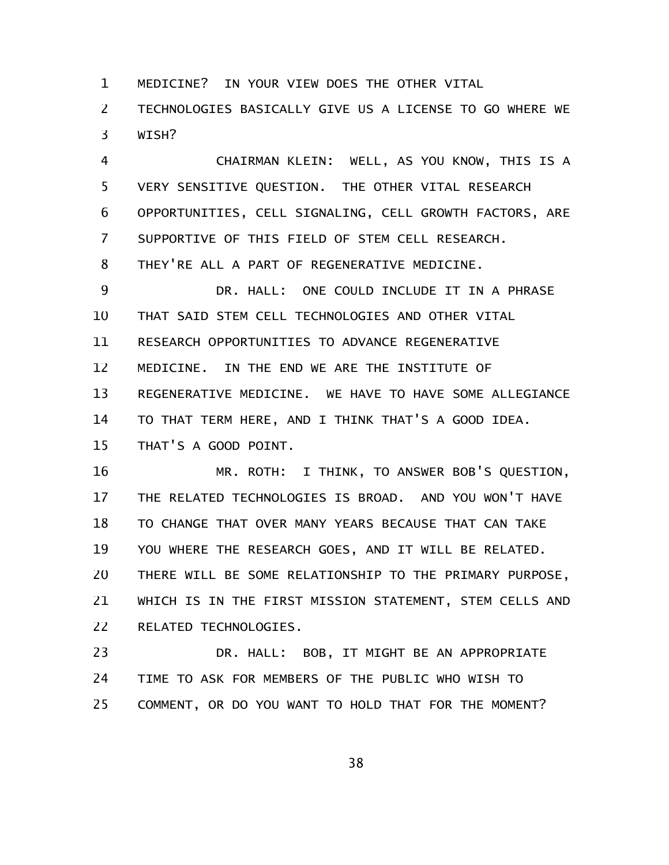MEDICINE? IN YOUR VIEW DOES THE OTHER VITAL 1

TECHNOLOGIES BASICALLY GIVE US A LICENSE TO GO WHERE WE WISH? 2 3

CHAIRMAN KLEIN: WELL, AS YOU KNOW, THIS IS A VERY SENSITIVE QUESTION. THE OTHER VITAL RESEARCH OPPORTUNITIES, CELL SIGNALING, CELL GROWTH FACTORS, ARE SUPPORTIVE OF THIS FIELD OF STEM CELL RESEARCH. THEY'RE ALL A PART OF REGENERATIVE MEDICINE. DR. HALL: ONE COULD INCLUDE IT IN A PHRASE 4 5 6 7 8 9

THAT SAID STEM CELL TECHNOLOGIES AND OTHER VITAL RESEARCH OPPORTUNITIES TO ADVANCE REGENERATIVE MEDICINE. IN THE END WE ARE THE INSTITUTE OF REGENERATIVE MEDICINE. WE HAVE TO HAVE SOME ALLEGIANCE TO THAT TERM HERE, AND I THINK THAT'S A GOOD IDEA. THAT'S A GOOD POINT. 10 11 12 13 14 15

MR. ROTH: I THINK, TO ANSWER BOB'S QUESTION, THE RELATED TECHNOLOGIES IS BROAD. AND YOU WON'T HAVE TO CHANGE THAT OVER MANY YEARS BECAUSE THAT CAN TAKE YOU WHERE THE RESEARCH GOES, AND IT WILL BE RELATED. THERE WILL BE SOME RELATIONSHIP TO THE PRIMARY PURPOSE, WHICH IS IN THE FIRST MISSION STATEMENT, STEM CELLS AND RELATED TECHNOLOGIES. 16 17 18 19 20 21 22

DR. HALL: BOB, IT MIGHT BE AN APPROPRIATE TIME TO ASK FOR MEMBERS OF THE PUBLIC WHO WISH TO COMMENT, OR DO YOU WANT TO HOLD THAT FOR THE MOMENT? 23 24 25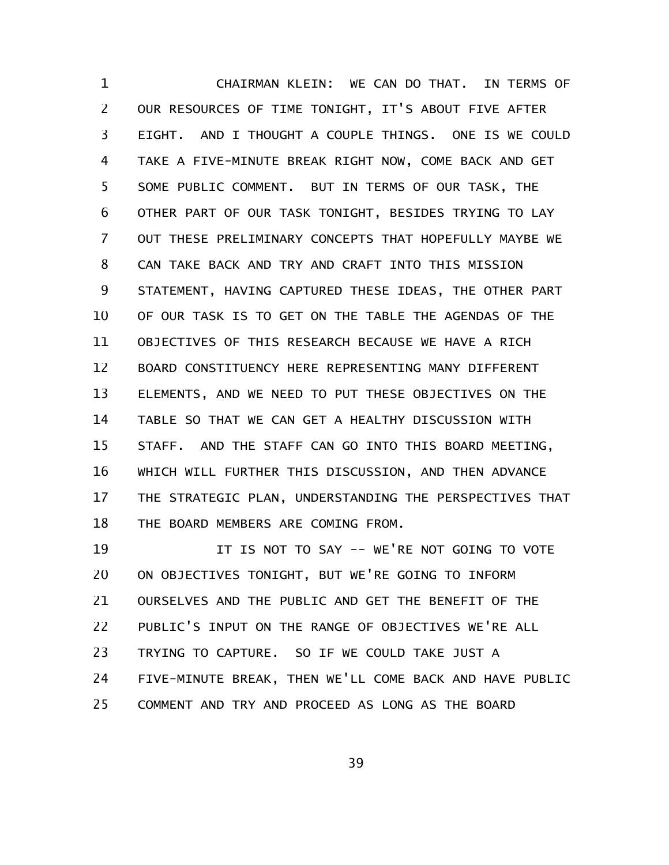CHAIRMAN KLEIN: WE CAN DO THAT. IN TERMS OF OUR RESOURCES OF TIME TONIGHT, IT'S ABOUT FIVE AFTER EIGHT. AND I THOUGHT A COUPLE THINGS. ONE IS WE COULD TAKE A FIVE-MINUTE BREAK RIGHT NOW, COME BACK AND GET SOME PUBLIC COMMENT. BUT IN TERMS OF OUR TASK, THE OTHER PART OF OUR TASK TONIGHT, BESIDES TRYING TO LAY OUT THESE PRELIMINARY CONCEPTS THAT HOPEFULLY MAYBE WE CAN TAKE BACK AND TRY AND CRAFT INTO THIS MISSION STATEMENT, HAVING CAPTURED THESE IDEAS, THE OTHER PART OF OUR TASK IS TO GET ON THE TABLE THE AGENDAS OF THE OBJECTIVES OF THIS RESEARCH BECAUSE WE HAVE A RICH BOARD CONSTITUENCY HERE REPRESENTING MANY DIFFERENT ELEMENTS, AND WE NEED TO PUT THESE OBJECTIVES ON THE TABLE SO THAT WE CAN GET A HEALTHY DISCUSSION WITH STAFF. AND THE STAFF CAN GO INTO THIS BOARD MEETING, WHICH WILL FURTHER THIS DISCUSSION, AND THEN ADVANCE THE STRATEGIC PLAN, UNDERSTANDING THE PERSPECTIVES THAT THE BOARD MEMBERS ARE COMING FROM. 1 2 3 4 5 6 7 8 9 10 11 12 13 14 15 16 17 18

IT IS NOT TO SAY -- WE'RE NOT GOING TO VOTE ON OBJECTIVES TONIGHT, BUT WE'RE GOING TO INFORM OURSELVES AND THE PUBLIC AND GET THE BENEFIT OF THE PUBLIC'S INPUT ON THE RANGE OF OBJECTIVES WE'RE ALL TRYING TO CAPTURE. SO IF WE COULD TAKE JUST A FIVE-MINUTE BREAK, THEN WE'LL COME BACK AND HAVE PUBLIC COMMENT AND TRY AND PROCEED AS LONG AS THE BOARD 19 20 21 22 23 24 25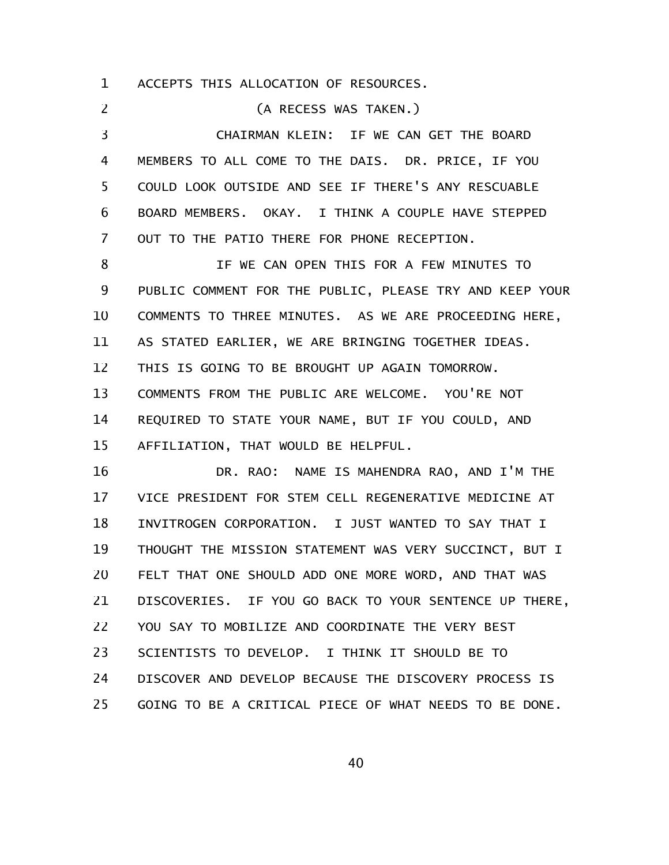ACCEPTS THIS ALLOCATION OF RESOURCES. 1

(A RECESS WAS TAKEN.) CHAIRMAN KLEIN: IF WE CAN GET THE BOARD MEMBERS TO ALL COME TO THE DAIS. DR. PRICE, IF YOU COULD LOOK OUTSIDE AND SEE IF THERE'S ANY RESCUABLE BOARD MEMBERS. OKAY. I THINK A COUPLE HAVE STEPPED OUT TO THE PATIO THERE FOR PHONE RECEPTION. IF WE CAN OPEN THIS FOR A FEW MINUTES TO PUBLIC COMMENT FOR THE PUBLIC, PLEASE TRY AND KEEP YOUR COMMENTS TO THREE MINUTES. AS WE ARE PROCEEDING HERE, AS STATED EARLIER, WE ARE BRINGING TOGETHER IDEAS. THIS IS GOING TO BE BROUGHT UP AGAIN TOMORROW. COMMENTS FROM THE PUBLIC ARE WELCOME. YOU'RE NOT REQUIRED TO STATE YOUR NAME, BUT IF YOU COULD, AND AFFILIATION, THAT WOULD BE HELPFUL. DR. RAO: NAME IS MAHENDRA RAO, AND I'M THE VICE PRESIDENT FOR STEM CELL REGENERATIVE MEDICINE AT INVITROGEN CORPORATION. I JUST WANTED TO SAY THAT I THOUGHT THE MISSION STATEMENT WAS VERY SUCCINCT, BUT I FELT THAT ONE SHOULD ADD ONE MORE WORD, AND THAT WAS DISCOVERIES. IF YOU GO BACK TO YOUR SENTENCE UP THERE, YOU SAY TO MOBILIZE AND COORDINATE THE VERY BEST SCIENTISTS TO DEVELOP. I THINK IT SHOULD BE TO DISCOVER AND DEVELOP BECAUSE THE DISCOVERY PROCESS IS 2 3 4 5 6 7 8 9 10 11 12 13 14 15 16 17 18 19 20 21 22 23 24

GOING TO BE A CRITICAL PIECE OF WHAT NEEDS TO BE DONE. 25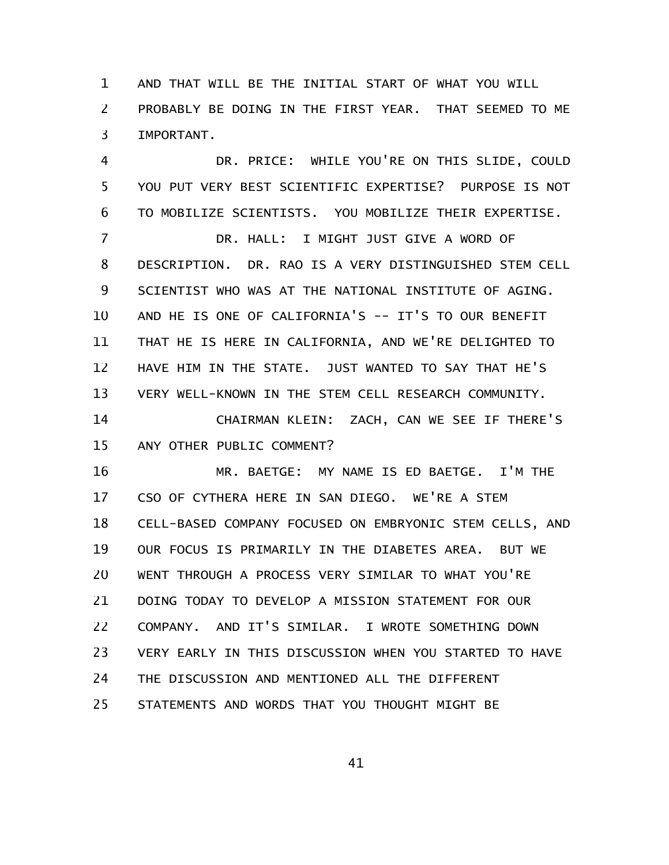AND THAT WILL BE THE INITIAL START OF WHAT YOU WILL PROBABLY BE DOING IN THE FIRST YEAR. THAT SEEMED TO ME IMPORTANT. 1 2 3

DR. PRICE: WHILE YOU'RE ON THIS SLIDE, COULD YOU PUT VERY BEST SCIENTIFIC EXPERTISE? PURPOSE IS NOT TO MOBILIZE SCIENTISTS. YOU MOBILIZE THEIR EXPERTISE. DR. HALL: I MIGHT JUST GIVE A WORD OF 4 5 6 7

DESCRIPTION. DR. RAO IS A VERY DISTINGUISHED STEM CELL SCIENTIST WHO WAS AT THE NATIONAL INSTITUTE OF AGING. AND HE IS ONE OF CALIFORNIA'S -- IT'S TO OUR BENEFIT THAT HE IS HERE IN CALIFORNIA, AND WE'RE DELIGHTED TO HAVE HIM IN THE STATE. JUST WANTED TO SAY THAT HE'S VERY WELL-KNOWN IN THE STEM CELL RESEARCH COMMUNITY. CHAIRMAN KLEIN: ZACH, CAN WE SEE IF THERE'S ANY OTHER PUBLIC COMMENT? 8 9 10 11 12 13 14 15

MR. BAETGE: MY NAME IS ED BAETGE. I'M THE CSO OF CYTHERA HERE IN SAN DIEGO. WE'RE A STEM CELL-BASED COMPANY FOCUSED ON EMBRYONIC STEM CELLS, AND OUR FOCUS IS PRIMARILY IN THE DIABETES AREA. BUT WE WENT THROUGH A PROCESS VERY SIMILAR TO WHAT YOU'RE DOING TODAY TO DEVELOP A MISSION STATEMENT FOR OUR COMPANY. AND IT'S SIMILAR. I WROTE SOMETHING DOWN VERY EARLY IN THIS DISCUSSION WHEN YOU STARTED TO HAVE THE DISCUSSION AND MENTIONED ALL THE DIFFERENT STATEMENTS AND WORDS THAT YOU THOUGHT MIGHT BE 16 17 18 19 20 21 22 23 24 25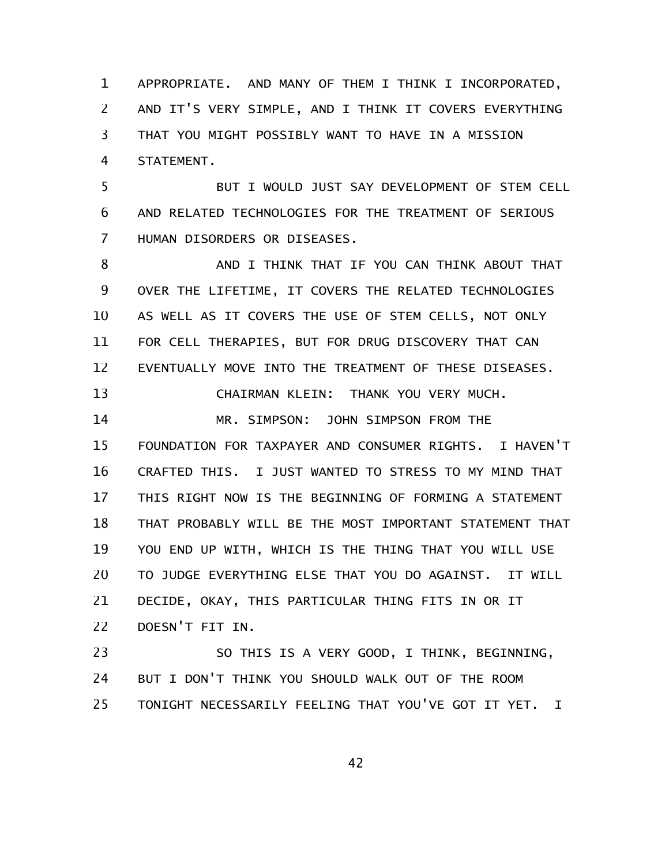APPROPRIATE. AND MANY OF THEM I THINK I INCORPORATED, AND IT'S VERY SIMPLE, AND I THINK IT COVERS EVERYTHING THAT YOU MIGHT POSSIBLY WANT TO HAVE IN A MISSION STATEMENT. 1 2 3 4

BUT I WOULD JUST SAY DEVELOPMENT OF STEM CELL AND RELATED TECHNOLOGIES FOR THE TREATMENT OF SERIOUS HUMAN DISORDERS OR DISEASES. 5 6 7

AND I THINK THAT IF YOU CAN THINK ABOUT THAT OVER THE LIFETIME, IT COVERS THE RELATED TECHNOLOGIES AS WELL AS IT COVERS THE USE OF STEM CELLS, NOT ONLY FOR CELL THERAPIES, BUT FOR DRUG DISCOVERY THAT CAN EVENTUALLY MOVE INTO THE TREATMENT OF THESE DISEASES. CHAIRMAN KLEIN: THANK YOU VERY MUCH. MR. SIMPSON: JOHN SIMPSON FROM THE 8 9 10 11 12 13 14

FOUNDATION FOR TAXPAYER AND CONSUMER RIGHTS. I HAVEN'T CRAFTED THIS. I JUST WANTED TO STRESS TO MY MIND THAT THIS RIGHT NOW IS THE BEGINNING OF FORMING A STATEMENT THAT PROBABLY WILL BE THE MOST IMPORTANT STATEMENT THAT YOU END UP WITH, WHICH IS THE THING THAT YOU WILL USE TO JUDGE EVERYTHING ELSE THAT YOU DO AGAINST. IT WILL DECIDE, OKAY, THIS PARTICULAR THING FITS IN OR IT DOESN'T FIT IN. 15 16 17 18 19 20 21 22

SO THIS IS A VERY GOOD, I THINK, BEGINNING, BUT I DON'T THINK YOU SHOULD WALK OUT OF THE ROOM TONIGHT NECESSARILY FEELING THAT YOU'VE GOT IT YET. I 23 24 25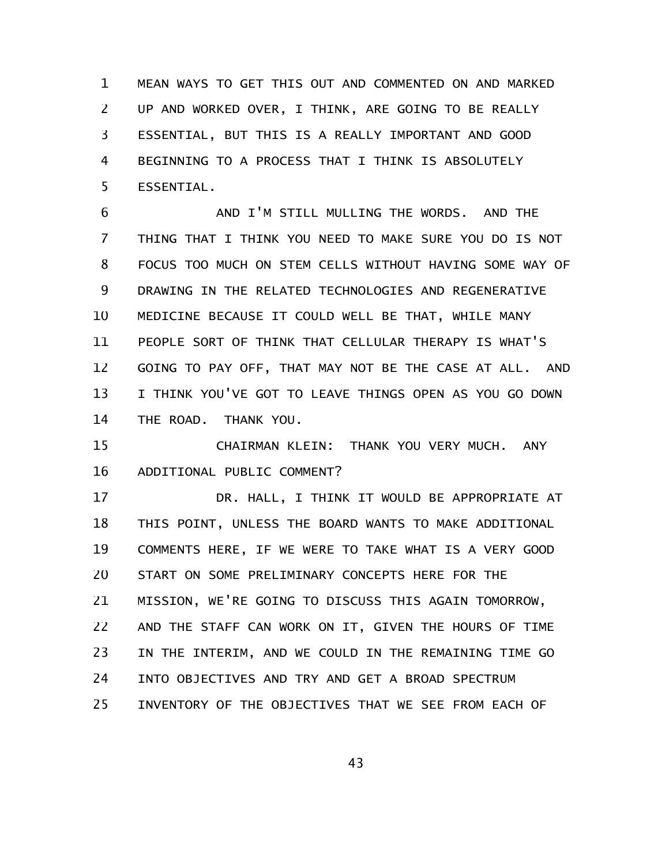MEAN WAYS TO GET THIS OUT AND COMMENTED ON AND MARKED UP AND WORKED OVER, I THINK, ARE GOING TO BE REALLY ESSENTIAL, BUT THIS IS A REALLY IMPORTANT AND GOOD BEGINNING TO A PROCESS THAT I THINK IS ABSOLUTELY ESSENTIAL. 1 2 3 4 5

AND I'M STILL MULLING THE WORDS. AND THE THING THAT I THINK YOU NEED TO MAKE SURE YOU DO IS NOT FOCUS TOO MUCH ON STEM CELLS WITHOUT HAVING SOME WAY OF DRAWING IN THE RELATED TECHNOLOGIES AND REGENERATIVE MEDICINE BECAUSE IT COULD WELL BE THAT, WHILE MANY PEOPLE SORT OF THINK THAT CELLULAR THERAPY IS WHAT'S GOING TO PAY OFF, THAT MAY NOT BE THE CASE AT ALL. AND I THINK YOU'VE GOT TO LEAVE THINGS OPEN AS YOU GO DOWN THE ROAD. THANK YOU. 6 7 8 9 10 11 12 13 14

CHAIRMAN KLEIN: THANK YOU VERY MUCH. ANY ADDITIONAL PUBLIC COMMENT? 15 16

DR. HALL, I THINK IT WOULD BE APPROPRIATE AT THIS POINT, UNLESS THE BOARD WANTS TO MAKE ADDITIONAL COMMENTS HERE, IF WE WERE TO TAKE WHAT IS A VERY GOOD START ON SOME PRELIMINARY CONCEPTS HERE FOR THE MISSION, WE'RE GOING TO DISCUSS THIS AGAIN TOMORROW, AND THE STAFF CAN WORK ON IT, GIVEN THE HOURS OF TIME IN THE INTERIM, AND WE COULD IN THE REMAINING TIME GO INTO OBJECTIVES AND TRY AND GET A BROAD SPECTRUM INVENTORY OF THE OBJECTIVES THAT WE SEE FROM EACH OF 17 18 19 20 21 22 23 24 25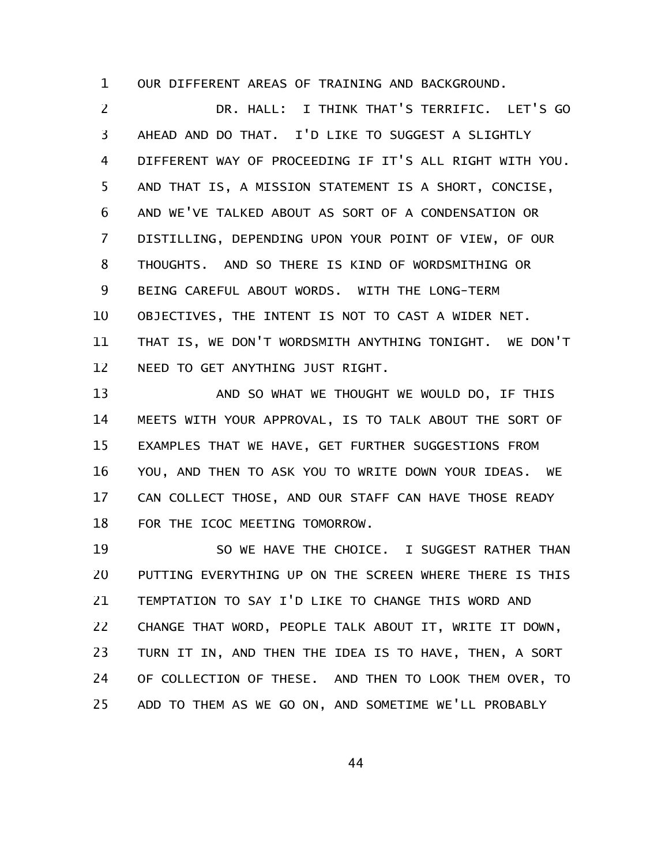OUR DIFFERENT AREAS OF TRAINING AND BACKGROUND. 1

DR. HALL: I THINK THAT'S TERRIFIC. LET'S GO AHEAD AND DO THAT. I'D LIKE TO SUGGEST A SLIGHTLY DIFFERENT WAY OF PROCEEDING IF IT'S ALL RIGHT WITH YOU. AND THAT IS, A MISSION STATEMENT IS A SHORT, CONCISE, AND WE'VE TALKED ABOUT AS SORT OF A CONDENSATION OR DISTILLING, DEPENDING UPON YOUR POINT OF VIEW, OF OUR THOUGHTS. AND SO THERE IS KIND OF WORDSMITHING OR BEING CAREFUL ABOUT WORDS. WITH THE LONG-TERM OBJECTIVES, THE INTENT IS NOT TO CAST A WIDER NET. THAT IS, WE DON'T WORDSMITH ANYTHING TONIGHT. WE DON'T NEED TO GET ANYTHING JUST RIGHT. 2 3 4 5 6 7 8 9 10 11 12

AND SO WHAT WE THOUGHT WE WOULD DO, IF THIS MEETS WITH YOUR APPROVAL, IS TO TALK ABOUT THE SORT OF EXAMPLES THAT WE HAVE, GET FURTHER SUGGESTIONS FROM YOU, AND THEN TO ASK YOU TO WRITE DOWN YOUR IDEAS. WE CAN COLLECT THOSE, AND OUR STAFF CAN HAVE THOSE READY FOR THE ICOC MEETING TOMORROW. 13 14 15 16 17 18

SO WE HAVE THE CHOICE. I SUGGEST RATHER THAN PUTTING EVERYTHING UP ON THE SCREEN WHERE THERE IS THIS TEMPTATION TO SAY I'D LIKE TO CHANGE THIS WORD AND CHANGE THAT WORD, PEOPLE TALK ABOUT IT, WRITE IT DOWN, TURN IT IN, AND THEN THE IDEA IS TO HAVE, THEN, A SORT OF COLLECTION OF THESE. AND THEN TO LOOK THEM OVER, TO ADD TO THEM AS WE GO ON, AND SOMETIME WE'LL PROBABLY 19 20 21 22 23 24 25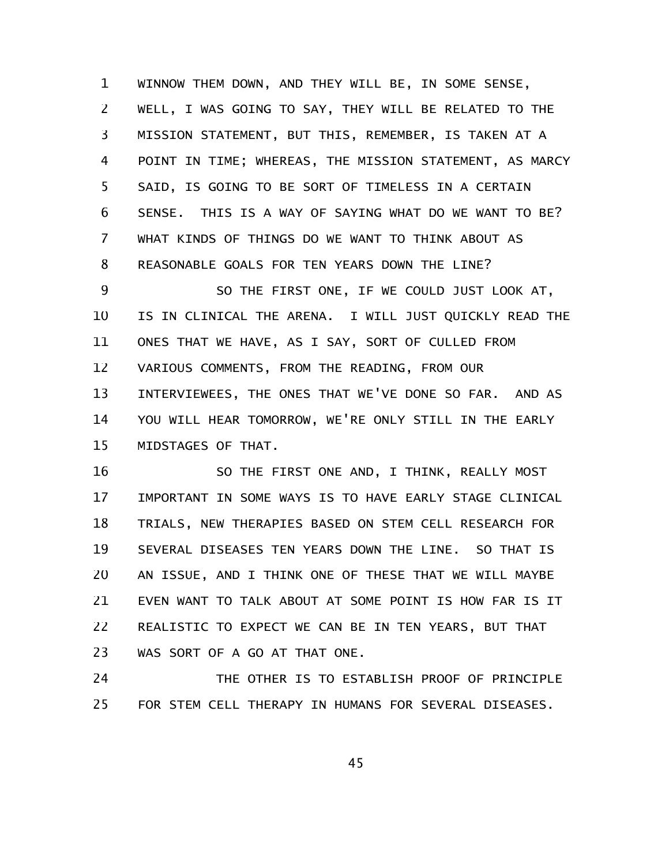WINNOW THEM DOWN, AND THEY WILL BE, IN SOME SENSE, WELL, I WAS GOING TO SAY, THEY WILL BE RELATED TO THE MISSION STATEMENT, BUT THIS, REMEMBER, IS TAKEN AT A POINT IN TIME; WHEREAS, THE MISSION STATEMENT, AS MARCY SAID, IS GOING TO BE SORT OF TIMELESS IN A CERTAIN SENSE. THIS IS A WAY OF SAYING WHAT DO WE WANT TO BE? WHAT KINDS OF THINGS DO WE WANT TO THINK ABOUT AS REASONABLE GOALS FOR TEN YEARS DOWN THE LINE? 1 2 3 4 5 6 7 8

SO THE FIRST ONE, IF WE COULD JUST LOOK AT, IS IN CLINICAL THE ARENA. I WILL JUST QUICKLY READ THE ONES THAT WE HAVE, AS I SAY, SORT OF CULLED FROM VARIOUS COMMENTS, FROM THE READING, FROM OUR INTERVIEWEES, THE ONES THAT WE'VE DONE SO FAR. AND AS YOU WILL HEAR TOMORROW, WE'RE ONLY STILL IN THE EARLY MIDSTAGES OF THAT. 9 10 11 12 13 14 15

SO THE FIRST ONE AND, I THINK, REALLY MOST IMPORTANT IN SOME WAYS IS TO HAVE EARLY STAGE CLINICAL TRIALS, NEW THERAPIES BASED ON STEM CELL RESEARCH FOR SEVERAL DISEASES TEN YEARS DOWN THE LINE. SO THAT IS AN ISSUE, AND I THINK ONE OF THESE THAT WE WILL MAYBE EVEN WANT TO TALK ABOUT AT SOME POINT IS HOW FAR IS IT REALISTIC TO EXPECT WE CAN BE IN TEN YEARS, BUT THAT WAS SORT OF A GO AT THAT ONE. 16 17 18 19 20 21 22 23

THE OTHER IS TO ESTABLISH PROOF OF PRINCIPLE FOR STEM CELL THERAPY IN HUMANS FOR SEVERAL DISEASES. 24 25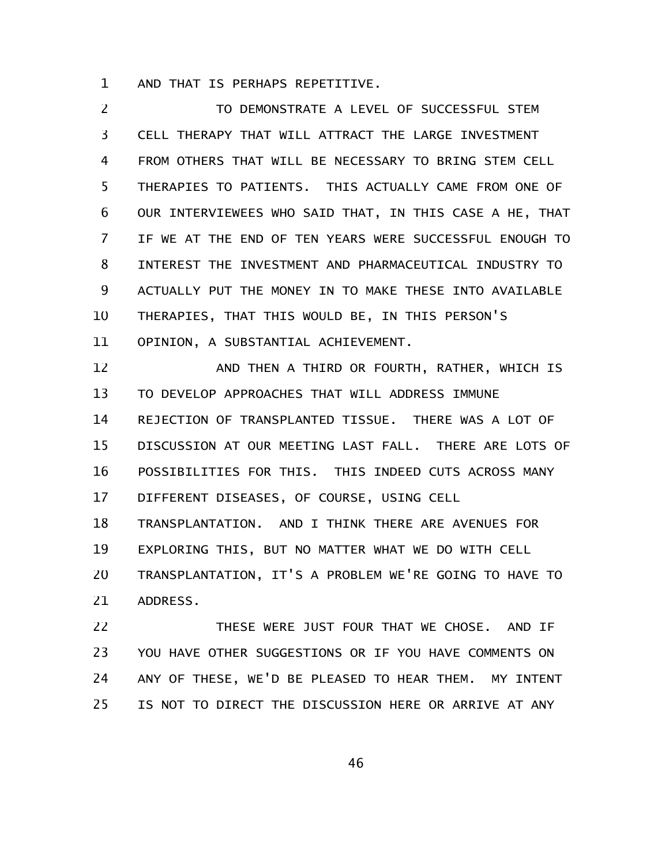AND THAT IS PERHAPS REPETITIVE. 1

TO DEMONSTRATE A LEVEL OF SUCCESSFUL STEM CELL THERAPY THAT WILL ATTRACT THE LARGE INVESTMENT FROM OTHERS THAT WILL BE NECESSARY TO BRING STEM CELL THERAPIES TO PATIENTS. THIS ACTUALLY CAME FROM ONE OF OUR INTERVIEWEES WHO SAID THAT, IN THIS CASE A HE, THAT IF WE AT THE END OF TEN YEARS WERE SUCCESSFUL ENOUGH TO INTEREST THE INVESTMENT AND PHARMACEUTICAL INDUSTRY TO ACTUALLY PUT THE MONEY IN TO MAKE THESE INTO AVAILABLE THERAPIES, THAT THIS WOULD BE, IN THIS PERSON'S OPINION, A SUBSTANTIAL ACHIEVEMENT. AND THEN A THIRD OR FOURTH, RATHER, WHICH IS TO DEVELOP APPROACHES THAT WILL ADDRESS IMMUNE REJECTION OF TRANSPLANTED TISSUE. THERE WAS A LOT OF DISCUSSION AT OUR MEETING LAST FALL. THERE ARE LOTS OF POSSIBILITIES FOR THIS. THIS INDEED CUTS ACROSS MANY DIFFERENT DISEASES, OF COURSE, USING CELL TRANSPLANTATION. AND I THINK THERE ARE AVENUES FOR EXPLORING THIS, BUT NO MATTER WHAT WE DO WITH CELL TRANSPLANTATION, IT'S A PROBLEM WE'RE GOING TO HAVE TO ADDRESS. 2 3 4 5 6 7 8 9 10 11 12 13 14 15 16 17 18 19 20 21

THESE WERE JUST FOUR THAT WE CHOSE. AND IF YOU HAVE OTHER SUGGESTIONS OR IF YOU HAVE COMMENTS ON ANY OF THESE, WE'D BE PLEASED TO HEAR THEM. MY INTENT IS NOT TO DIRECT THE DISCUSSION HERE OR ARRIVE AT ANY 22 23 24 25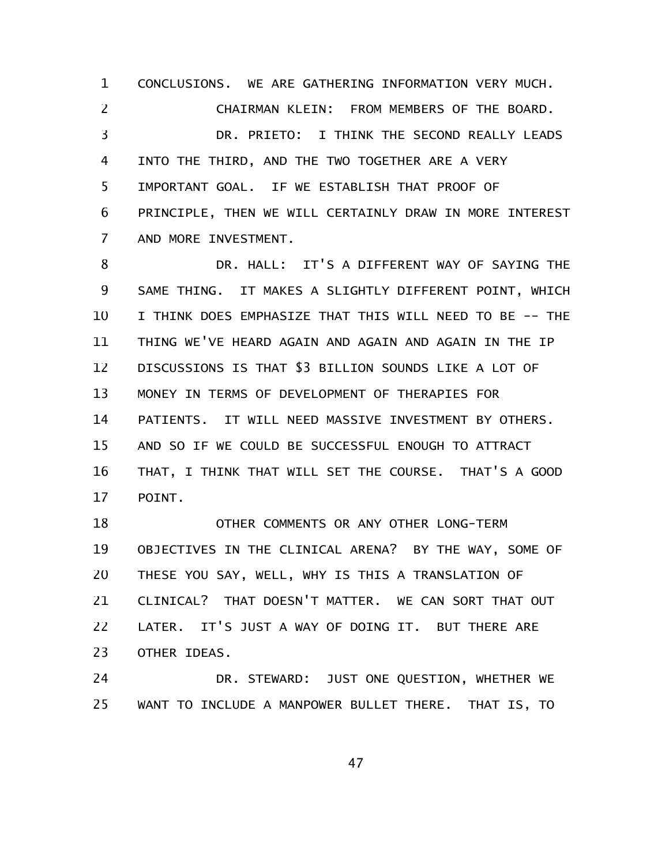CONCLUSIONS. WE ARE GATHERING INFORMATION VERY MUCH. CHAIRMAN KLEIN: FROM MEMBERS OF THE BOARD. DR. PRIETO: I THINK THE SECOND REALLY LEADS INTO THE THIRD, AND THE TWO TOGETHER ARE A VERY IMPORTANT GOAL. IF WE ESTABLISH THAT PROOF OF PRINCIPLE, THEN WE WILL CERTAINLY DRAW IN MORE INTEREST AND MORE INVESTMENT. 1 2 3 4 5 6 7

DR. HALL: IT'S A DIFFERENT WAY OF SAYING THE SAME THING. IT MAKES A SLIGHTLY DIFFERENT POINT, WHICH I THINK DOES EMPHASIZE THAT THIS WILL NEED TO BE -- THE THING WE'VE HEARD AGAIN AND AGAIN AND AGAIN IN THE IP DISCUSSIONS IS THAT \$3 BILLION SOUNDS LIKE A LOT OF MONEY IN TERMS OF DEVELOPMENT OF THERAPIES FOR PATIENTS. IT WILL NEED MASSIVE INVESTMENT BY OTHERS. AND SO IF WE COULD BE SUCCESSFUL ENOUGH TO ATTRACT THAT, I THINK THAT WILL SET THE COURSE. THAT'S A GOOD POINT. 8 9 10 11 12 13 14 15 16 17

OTHER COMMENTS OR ANY OTHER LONG-TERM OBJECTIVES IN THE CLINICAL ARENA? BY THE WAY, SOME OF THESE YOU SAY, WELL, WHY IS THIS A TRANSLATION OF CLINICAL? THAT DOESN'T MATTER. WE CAN SORT THAT OUT LATER. IT'S JUST A WAY OF DOING IT. BUT THERE ARE OTHER IDEAS. 18 19 20 21 22 23

DR. STEWARD: JUST ONE QUESTION, WHETHER WE WANT TO INCLUDE A MANPOWER BULLET THERE. THAT IS, TO 24 25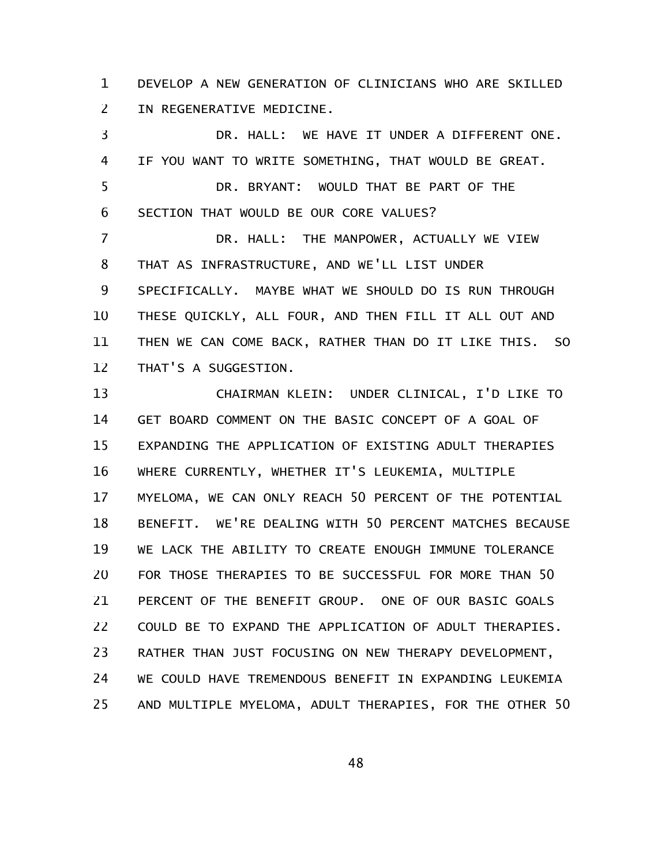DEVELOP A NEW GENERATION OF CLINICIANS WHO ARE SKILLED IN REGENERATIVE MEDICINE. 1 2

DR. HALL: WE HAVE IT UNDER A DIFFERENT ONE. IF YOU WANT TO WRITE SOMETHING, THAT WOULD BE GREAT. DR. BRYANT: WOULD THAT BE PART OF THE SECTION THAT WOULD BE OUR CORE VALUES? DR. HALL: THE MANPOWER, ACTUALLY WE VIEW THAT AS INFRASTRUCTURE, AND WE'LL LIST UNDER SPECIFICALLY. MAYBE WHAT WE SHOULD DO IS RUN THROUGH THESE QUICKLY, ALL FOUR, AND THEN FILL IT ALL OUT AND THEN WE CAN COME BACK, RATHER THAN DO IT LIKE THIS. SO THAT'S A SUGGESTION. CHAIRMAN KLEIN: UNDER CLINICAL, I'D LIKE TO GET BOARD COMMENT ON THE BASIC CONCEPT OF A GOAL OF EXPANDING THE APPLICATION OF EXISTING ADULT THERAPIES WHERE CURRENTLY, WHETHER IT'S LEUKEMIA, MULTIPLE MYELOMA, WE CAN ONLY REACH 50 PERCENT OF THE POTENTIAL BENEFIT. WE'RE DEALING WITH 50 PERCENT MATCHES BECAUSE WE LACK THE ABILITY TO CREATE ENOUGH IMMUNE TOLERANCE FOR THOSE THERAPIES TO BE SUCCESSFUL FOR MORE THAN 50 PERCENT OF THE BENEFIT GROUP. ONE OF OUR BASIC GOALS COULD BE TO EXPAND THE APPLICATION OF ADULT THERAPIES. RATHER THAN JUST FOCUSING ON NEW THERAPY DEVELOPMENT, WE COULD HAVE TREMENDOUS BENEFIT IN EXPANDING LEUKEMIA AND MULTIPLE MYELOMA, ADULT THERAPIES, FOR THE OTHER 50 3 4 5 6 7 8 9 10 11 12 13 14 15 16 17 18 19 20 21 22 23 24 25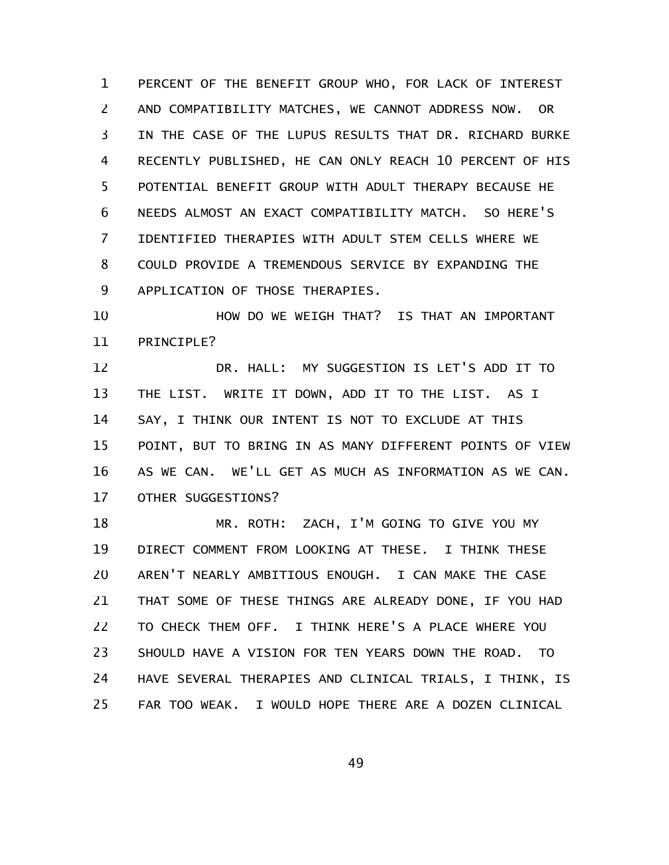PERCENT OF THE BENEFIT GROUP WHO, FOR LACK OF INTEREST AND COMPATIBILITY MATCHES, WE CANNOT ADDRESS NOW. OR IN THE CASE OF THE LUPUS RESULTS THAT DR. RICHARD BURKE RECENTLY PUBLISHED, HE CAN ONLY REACH 10 PERCENT OF HIS POTENTIAL BENEFIT GROUP WITH ADULT THERAPY BECAUSE HE NEEDS ALMOST AN EXACT COMPATIBILITY MATCH. SO HERE'S IDENTIFIED THERAPIES WITH ADULT STEM CELLS WHERE WE COULD PROVIDE A TREMENDOUS SERVICE BY EXPANDING THE APPLICATION OF THOSE THERAPIES. 1 2 3 4 5 6 7 8 9

HOW DO WE WEIGH THAT? IS THAT AN IMPORTANT PRINCIPLE? 10 11

DR. HALL: MY SUGGESTION IS LET'S ADD IT TO THE LIST. WRITE IT DOWN, ADD IT TO THE LIST. AS I SAY, I THINK OUR INTENT IS NOT TO EXCLUDE AT THIS POINT, BUT TO BRING IN AS MANY DIFFERENT POINTS OF VIEW AS WE CAN. WE'LL GET AS MUCH AS INFORMATION AS WE CAN. OTHER SUGGESTIONS? 12 13 14 15 16 17

MR. ROTH: ZACH, I'M GOING TO GIVE YOU MY DIRECT COMMENT FROM LOOKING AT THESE. I THINK THESE AREN'T NEARLY AMBITIOUS ENOUGH. I CAN MAKE THE CASE THAT SOME OF THESE THINGS ARE ALREADY DONE, IF YOU HAD TO CHECK THEM OFF. I THINK HERE'S A PLACE WHERE YOU SHOULD HAVE A VISION FOR TEN YEARS DOWN THE ROAD. TO HAVE SEVERAL THERAPIES AND CLINICAL TRIALS, I THINK, IS FAR TOO WEAK. I WOULD HOPE THERE ARE A DOZEN CLINICAL 18 19 20 21 22 23 24 25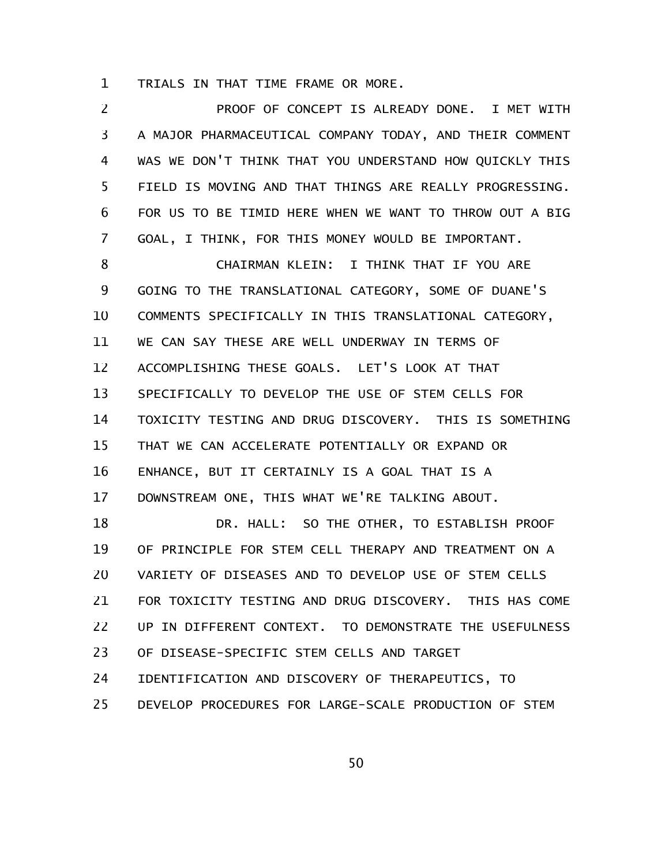TRIALS IN THAT TIME FRAME OR MORE. 1

PROOF OF CONCEPT IS ALREADY DONE. I MET WITH A MAJOR PHARMACEUTICAL COMPANY TODAY, AND THEIR COMMENT WAS WE DON'T THINK THAT YOU UNDERSTAND HOW QUICKLY THIS FIELD IS MOVING AND THAT THINGS ARE REALLY PROGRESSING. FOR US TO BE TIMID HERE WHEN WE WANT TO THROW OUT A BIG GOAL, I THINK, FOR THIS MONEY WOULD BE IMPORTANT. CHAIRMAN KLEIN: I THINK THAT IF YOU ARE GOING TO THE TRANSLATIONAL CATEGORY, SOME OF DUANE'S COMMENTS SPECIFICALLY IN THIS TRANSLATIONAL CATEGORY, WE CAN SAY THESE ARE WELL UNDERWAY IN TERMS OF ACCOMPLISHING THESE GOALS. LET'S LOOK AT THAT SPECIFICALLY TO DEVELOP THE USE OF STEM CELLS FOR TOXICITY TESTING AND DRUG DISCOVERY. THIS IS SOMETHING THAT WE CAN ACCELERATE POTENTIALLY OR EXPAND OR ENHANCE, BUT IT CERTAINLY IS A GOAL THAT IS A DOWNSTREAM ONE, THIS WHAT WE'RE TALKING ABOUT. DR. HALL: SO THE OTHER, TO ESTABLISH PROOF OF PRINCIPLE FOR STEM CELL THERAPY AND TREATMENT ON A VARIETY OF DISEASES AND TO DEVELOP USE OF STEM CELLS FOR TOXICITY TESTING AND DRUG DISCOVERY. THIS HAS COME UP IN DIFFERENT CONTEXT. TO DEMONSTRATE THE USEFULNESS OF DISEASE-SPECIFIC STEM CELLS AND TARGET IDENTIFICATION AND DISCOVERY OF THERAPEUTICS, TO DEVELOP PROCEDURES FOR LARGE-SCALE PRODUCTION OF STEM 2 3 4 5 6 7 8 9 10 11 12 13 14 15 16 17 18 19 20 21 22 23 24 25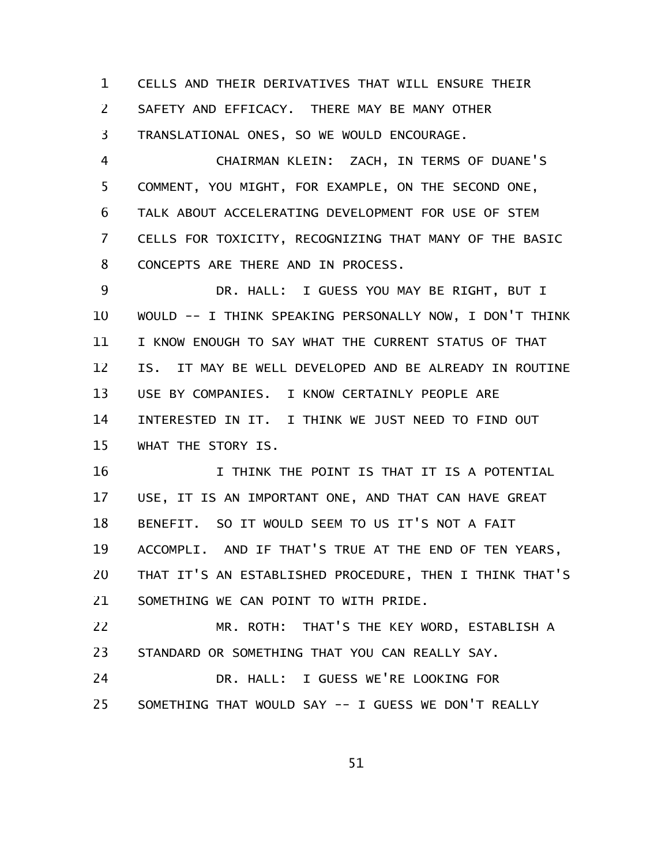CELLS AND THEIR DERIVATIVES THAT WILL ENSURE THEIR SAFETY AND EFFICACY. THERE MAY BE MANY OTHER TRANSLATIONAL ONES, SO WE WOULD ENCOURAGE. 1 2 3

CHAIRMAN KLEIN: ZACH, IN TERMS OF DUANE'S COMMENT, YOU MIGHT, FOR EXAMPLE, ON THE SECOND ONE, TALK ABOUT ACCELERATING DEVELOPMENT FOR USE OF STEM CELLS FOR TOXICITY, RECOGNIZING THAT MANY OF THE BASIC CONCEPTS ARE THERE AND IN PROCESS. 4 5 6 7 8

DR. HALL: I GUESS YOU MAY BE RIGHT, BUT I WOULD -- I THINK SPEAKING PERSONALLY NOW, I DON'T THINK I KNOW ENOUGH TO SAY WHAT THE CURRENT STATUS OF THAT IS. IT MAY BE WELL DEVELOPED AND BE ALREADY IN ROUTINE USE BY COMPANIES. I KNOW CERTAINLY PEOPLE ARE INTERESTED IN IT. I THINK WE JUST NEED TO FIND OUT WHAT THE STORY IS. 9 10 11 12 13 14 15

I THINK THE POINT IS THAT IT IS A POTENTIAL USE, IT IS AN IMPORTANT ONE, AND THAT CAN HAVE GREAT BENEFIT. SO IT WOULD SEEM TO US IT'S NOT A FAIT ACCOMPLI. AND IF THAT'S TRUE AT THE END OF TEN YEARS, THAT IT'S AN ESTABLISHED PROCEDURE, THEN I THINK THAT'S SOMETHING WE CAN POINT TO WITH PRIDE. 16 17 18 19 20 21

MR. ROTH: THAT'S THE KEY WORD, ESTABLISH A STANDARD OR SOMETHING THAT YOU CAN REALLY SAY. 22 23

DR. HALL: I GUESS WE'RE LOOKING FOR SOMETHING THAT WOULD SAY -- I GUESS WE DON'T REALLY 24 25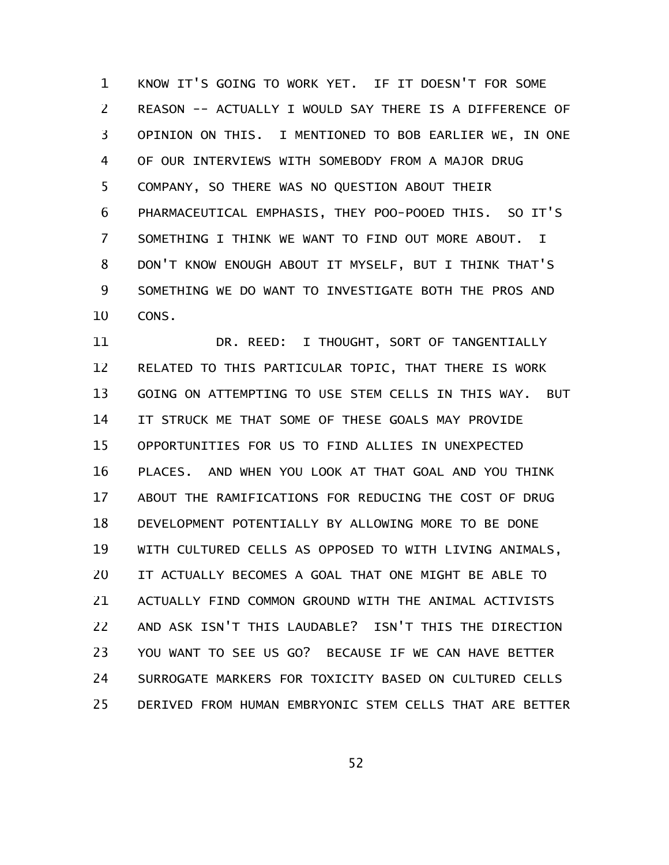KNOW IT'S GOING TO WORK YET. IF IT DOESN'T FOR SOME REASON -- ACTUALLY I WOULD SAY THERE IS A DIFFERENCE OF OPINION ON THIS. I MENTIONED TO BOB EARLIER WE, IN ONE OF OUR INTERVIEWS WITH SOMEBODY FROM A MAJOR DRUG COMPANY, SO THERE WAS NO QUESTION ABOUT THEIR PHARMACEUTICAL EMPHASIS, THEY POO-POOED THIS. SO IT'S SOMETHING I THINK WE WANT TO FIND OUT MORE ABOUT. I DON'T KNOW ENOUGH ABOUT IT MYSELF, BUT I THINK THAT'S SOMETHING WE DO WANT TO INVESTIGATE BOTH THE PROS AND CONS. 1 2 3 4 5 6 7 8 9 10

DR. REED: I THOUGHT, SORT OF TANGENTIALLY RELATED TO THIS PARTICULAR TOPIC, THAT THERE IS WORK GOING ON ATTEMPTING TO USE STEM CELLS IN THIS WAY. BUT IT STRUCK ME THAT SOME OF THESE GOALS MAY PROVIDE OPPORTUNITIES FOR US TO FIND ALLIES IN UNEXPECTED PLACES. AND WHEN YOU LOOK AT THAT GOAL AND YOU THINK ABOUT THE RAMIFICATIONS FOR REDUCING THE COST OF DRUG DEVELOPMENT POTENTIALLY BY ALLOWING MORE TO BE DONE WITH CULTURED CELLS AS OPPOSED TO WITH LIVING ANIMALS, IT ACTUALLY BECOMES A GOAL THAT ONE MIGHT BE ABLE TO ACTUALLY FIND COMMON GROUND WITH THE ANIMAL ACTIVISTS AND ASK ISN'T THIS LAUDABLE? ISN'T THIS THE DIRECTION YOU WANT TO SEE US GO? BECAUSE IF WE CAN HAVE BETTER SURROGATE MARKERS FOR TOXICITY BASED ON CULTURED CELLS DERIVED FROM HUMAN EMBRYONIC STEM CELLS THAT ARE BETTER 11 12 13 14 15 16 17 18 19 20 21 22 23 24 25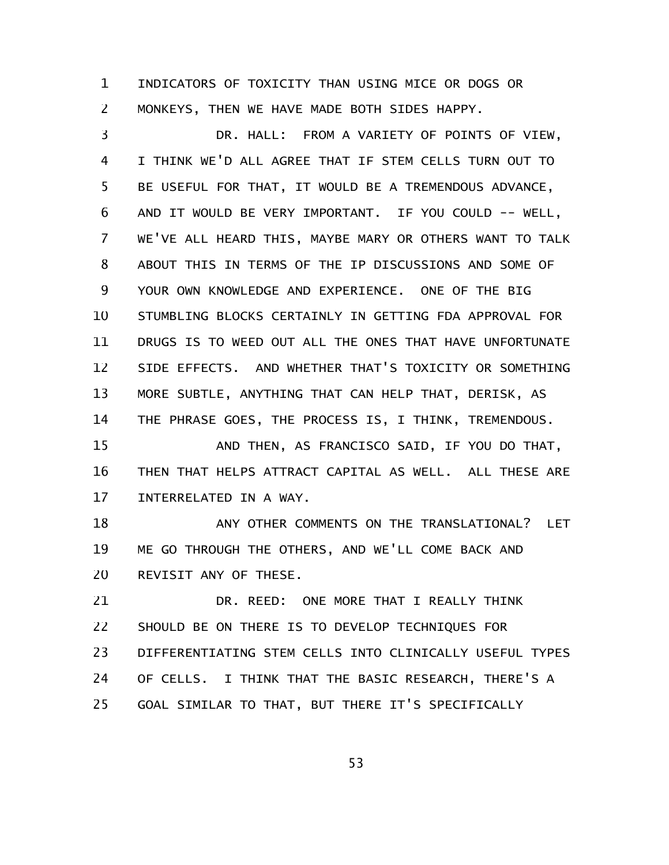INDICATORS OF TOXICITY THAN USING MICE OR DOGS OR MONKEYS, THEN WE HAVE MADE BOTH SIDES HAPPY. 1 2

DR. HALL: FROM A VARIETY OF POINTS OF VIEW, I THINK WE'D ALL AGREE THAT IF STEM CELLS TURN OUT TO BE USEFUL FOR THAT, IT WOULD BE A TREMENDOUS ADVANCE, AND IT WOULD BE VERY IMPORTANT. IF YOU COULD -- WELL, WE'VE ALL HEARD THIS, MAYBE MARY OR OTHERS WANT TO TALK ABOUT THIS IN TERMS OF THE IP DISCUSSIONS AND SOME OF YOUR OWN KNOWLEDGE AND EXPERIENCE. ONE OF THE BIG STUMBLING BLOCKS CERTAINLY IN GETTING FDA APPROVAL FOR DRUGS IS TO WEED OUT ALL THE ONES THAT HAVE UNFORTUNATE SIDE EFFECTS. AND WHETHER THAT'S TOXICITY OR SOMETHING MORE SUBTLE, ANYTHING THAT CAN HELP THAT, DERISK, AS THE PHRASE GOES, THE PROCESS IS, I THINK, TREMENDOUS. AND THEN, AS FRANCISCO SAID, IF YOU DO THAT, 3 4 5 6 7 8 9 10 11 12 13 14 15

THEN THAT HELPS ATTRACT CAPITAL AS WELL. ALL THESE ARE INTERRELATED IN A WAY. 16 17

ANY OTHER COMMENTS ON THE TRANSLATIONAL? LET ME GO THROUGH THE OTHERS, AND WE'LL COME BACK AND REVISIT ANY OF THESE. 18 19 20

DR. REED: ONE MORE THAT I REALLY THINK SHOULD BE ON THERE IS TO DEVELOP TECHNIQUES FOR DIFFERENTIATING STEM CELLS INTO CLINICALLY USEFUL TYPES OF CELLS. I THINK THAT THE BASIC RESEARCH, THERE'S A GOAL SIMILAR TO THAT, BUT THERE IT'S SPECIFICALLY 21 22 23 24 25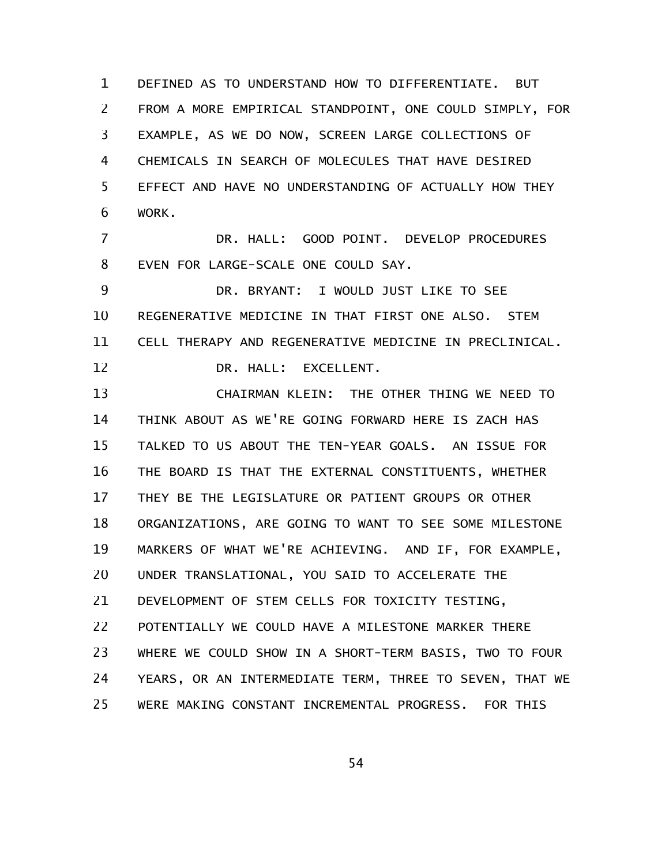DEFINED AS TO UNDERSTAND HOW TO DIFFERENTIATE. BUT FROM A MORE EMPIRICAL STANDPOINT, ONE COULD SIMPLY, FOR EXAMPLE, AS WE DO NOW, SCREEN LARGE COLLECTIONS OF CHEMICALS IN SEARCH OF MOLECULES THAT HAVE DESIRED EFFECT AND HAVE NO UNDERSTANDING OF ACTUALLY HOW THEY WORK. 1 2 3 4 5 6

DR. HALL: GOOD POINT. DEVELOP PROCEDURES EVEN FOR LARGE-SCALE ONE COULD SAY. 7 8

DR. BRYANT: I WOULD JUST LIKE TO SEE REGENERATIVE MEDICINE IN THAT FIRST ONE ALSO. STEM CELL THERAPY AND REGENERATIVE MEDICINE IN PRECLINICAL. DR. HALL: EXCELLENT. 9 10 11 12

CHAIRMAN KLEIN: THE OTHER THING WE NEED TO THINK ABOUT AS WE'RE GOING FORWARD HERE IS ZACH HAS TALKED TO US ABOUT THE TEN-YEAR GOALS. AN ISSUE FOR THE BOARD IS THAT THE EXTERNAL CONSTITUENTS, WHETHER THEY BE THE LEGISLATURE OR PATIENT GROUPS OR OTHER ORGANIZATIONS, ARE GOING TO WANT TO SEE SOME MILESTONE MARKERS OF WHAT WE'RE ACHIEVING. AND IF, FOR EXAMPLE, UNDER TRANSLATIONAL, YOU SAID TO ACCELERATE THE DEVELOPMENT OF STEM CELLS FOR TOXICITY TESTING, POTENTIALLY WE COULD HAVE A MILESTONE MARKER THERE WHERE WE COULD SHOW IN A SHORT-TERM BASIS, TWO TO FOUR YEARS, OR AN INTERMEDIATE TERM, THREE TO SEVEN, THAT WE WERE MAKING CONSTANT INCREMENTAL PROGRESS. FOR THIS 13 14 15 16 17 18 19 20 21 22 23 24 25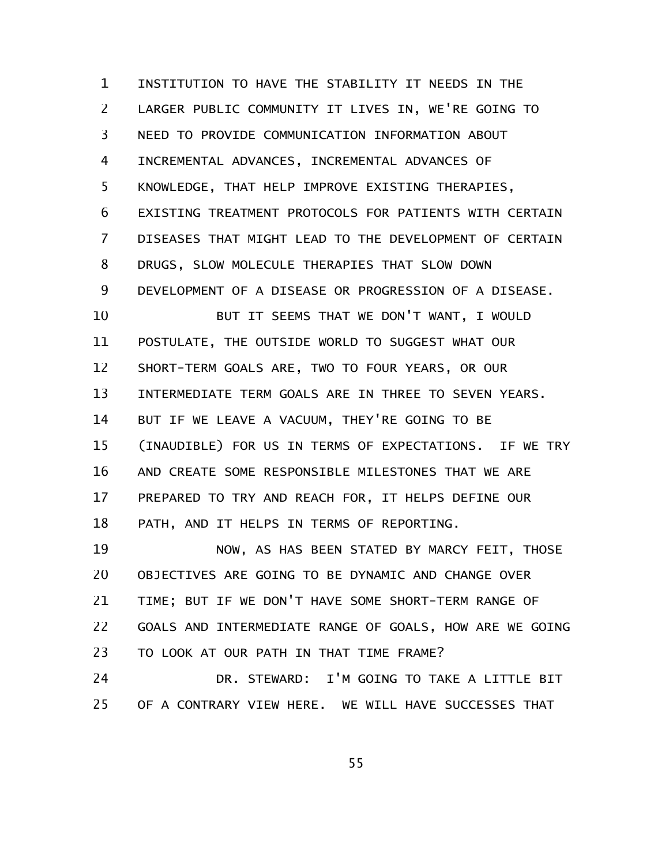INSTITUTION TO HAVE THE STABILITY IT NEEDS IN THE LARGER PUBLIC COMMUNITY IT LIVES IN, WE'RE GOING TO NEED TO PROVIDE COMMUNICATION INFORMATION ABOUT INCREMENTAL ADVANCES, INCREMENTAL ADVANCES OF KNOWLEDGE, THAT HELP IMPROVE EXISTING THERAPIES, EXISTING TREATMENT PROTOCOLS FOR PATIENTS WITH CERTAIN DISEASES THAT MIGHT LEAD TO THE DEVELOPMENT OF CERTAIN DRUGS, SLOW MOLECULE THERAPIES THAT SLOW DOWN DEVELOPMENT OF A DISEASE OR PROGRESSION OF A DISEASE. BUT IT SEEMS THAT WE DON'T WANT, I WOULD POSTULATE, THE OUTSIDE WORLD TO SUGGEST WHAT OUR SHORT-TERM GOALS ARE, TWO TO FOUR YEARS, OR OUR INTERMEDIATE TERM GOALS ARE IN THREE TO SEVEN YEARS. BUT IF WE LEAVE A VACUUM, THEY'RE GOING TO BE (INAUDIBLE) FOR US IN TERMS OF EXPECTATIONS. IF WE TRY AND CREATE SOME RESPONSIBLE MILESTONES THAT WE ARE PREPARED TO TRY AND REACH FOR, IT HELPS DEFINE OUR PATH, AND IT HELPS IN TERMS OF REPORTING. NOW, AS HAS BEEN STATED BY MARCY FEIT, THOSE OBJECTIVES ARE GOING TO BE DYNAMIC AND CHANGE OVER TIME; BUT IF WE DON'T HAVE SOME SHORT-TERM RANGE OF GOALS AND INTERMEDIATE RANGE OF GOALS, HOW ARE WE GOING TO LOOK AT OUR PATH IN THAT TIME FRAME? 1 2 3 4 5 6 7 8 9 10 11 12 13 14 15 16 17 18 19 20 21 22 23

DR. STEWARD: I'M GOING TO TAKE A LITTLE BIT OF A CONTRARY VIEW HERE. WE WILL HAVE SUCCESSES THAT 24 25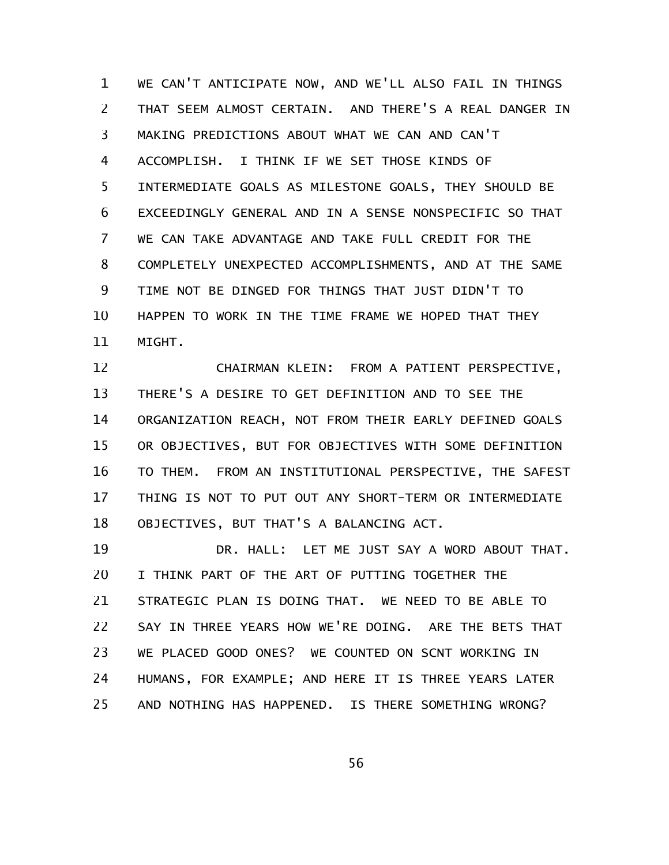WE CAN'T ANTICIPATE NOW, AND WE'LL ALSO FAIL IN THINGS THAT SEEM ALMOST CERTAIN. AND THERE'S A REAL DANGER IN MAKING PREDICTIONS ABOUT WHAT WE CAN AND CAN'T ACCOMPLISH. I THINK IF WE SET THOSE KINDS OF INTERMEDIATE GOALS AS MILESTONE GOALS, THEY SHOULD BE EXCEEDINGLY GENERAL AND IN A SENSE NONSPECIFIC SO THAT WE CAN TAKE ADVANTAGE AND TAKE FULL CREDIT FOR THE COMPLETELY UNEXPECTED ACCOMPLISHMENTS, AND AT THE SAME TIME NOT BE DINGED FOR THINGS THAT JUST DIDN'T TO HAPPEN TO WORK IN THE TIME FRAME WE HOPED THAT THEY MIGHT. 1 2 3 4 5 6 7 8 9 10 11

CHAIRMAN KLEIN: FROM A PATIENT PERSPECTIVE, THERE'S A DESIRE TO GET DEFINITION AND TO SEE THE ORGANIZATION REACH, NOT FROM THEIR EARLY DEFINED GOALS OR OBJECTIVES, BUT FOR OBJECTIVES WITH SOME DEFINITION TO THEM. FROM AN INSTITUTIONAL PERSPECTIVE, THE SAFEST THING IS NOT TO PUT OUT ANY SHORT-TERM OR INTERMEDIATE OBJECTIVES, BUT THAT'S A BALANCING ACT. 12 13 14 15 16 17 18

DR. HALL: LET ME JUST SAY A WORD ABOUT THAT. I THINK PART OF THE ART OF PUTTING TOGETHER THE STRATEGIC PLAN IS DOING THAT. WE NEED TO BE ABLE TO SAY IN THREE YEARS HOW WE'RE DOING. ARE THE BETS THAT WE PLACED GOOD ONES? WE COUNTED ON SCNT WORKING IN HUMANS, FOR EXAMPLE; AND HERE IT IS THREE YEARS LATER AND NOTHING HAS HAPPENED. IS THERE SOMETHING WRONG? 19 20 21 22 23 24 25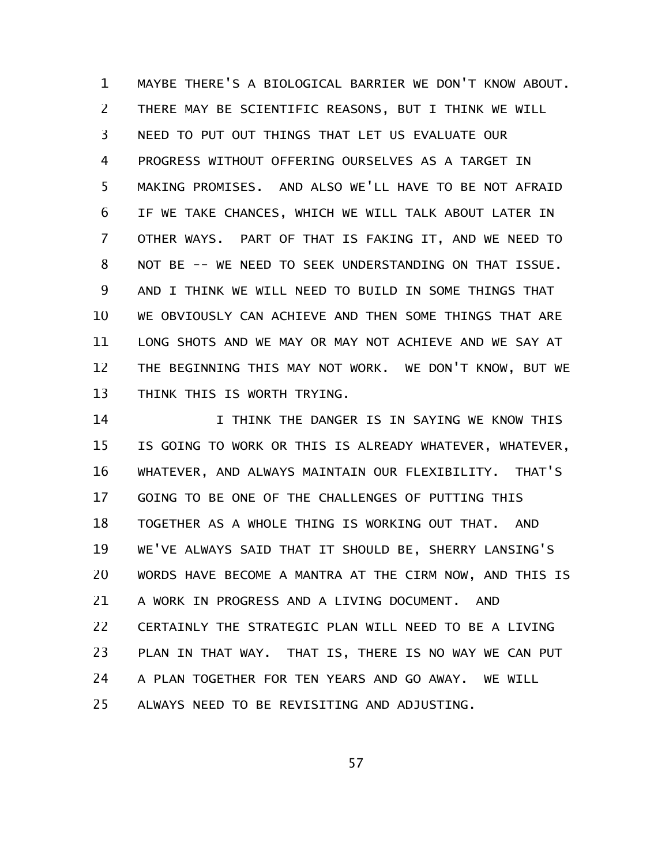MAYBE THERE'S A BIOLOGICAL BARRIER WE DON'T KNOW ABOUT. THERE MAY BE SCIENTIFIC REASONS, BUT I THINK WE WILL NEED TO PUT OUT THINGS THAT LET US EVALUATE OUR PROGRESS WITHOUT OFFERING OURSELVES AS A TARGET IN MAKING PROMISES. AND ALSO WE'LL HAVE TO BE NOT AFRAID IF WE TAKE CHANCES, WHICH WE WILL TALK ABOUT LATER IN OTHER WAYS. PART OF THAT IS FAKING IT, AND WE NEED TO NOT BE -- WE NEED TO SEEK UNDERSTANDING ON THAT ISSUE. AND I THINK WE WILL NEED TO BUILD IN SOME THINGS THAT WE OBVIOUSLY CAN ACHIEVE AND THEN SOME THINGS THAT ARE LONG SHOTS AND WE MAY OR MAY NOT ACHIEVE AND WE SAY AT THE BEGINNING THIS MAY NOT WORK. WE DON'T KNOW, BUT WE THINK THIS IS WORTH TRYING. 1 2 3 4 5 6 7 8 9 10 11 12 13

I THINK THE DANGER IS IN SAYING WE KNOW THIS IS GOING TO WORK OR THIS IS ALREADY WHATEVER, WHATEVER, WHATEVER, AND ALWAYS MAINTAIN OUR FLEXIBILITY. THAT'S GOING TO BE ONE OF THE CHALLENGES OF PUTTING THIS TOGETHER AS A WHOLE THING IS WORKING OUT THAT. AND WE'VE ALWAYS SAID THAT IT SHOULD BE, SHERRY LANSING'S WORDS HAVE BECOME A MANTRA AT THE CIRM NOW, AND THIS IS A WORK IN PROGRESS AND A LIVING DOCUMENT. AND CERTAINLY THE STRATEGIC PLAN WILL NEED TO BE A LIVING PLAN IN THAT WAY. THAT IS, THERE IS NO WAY WE CAN PUT A PLAN TOGETHER FOR TEN YEARS AND GO AWAY. WE WILL ALWAYS NEED TO BE REVISITING AND ADJUSTING. 14 15 16 17 18 19 20 21 22 23 24 25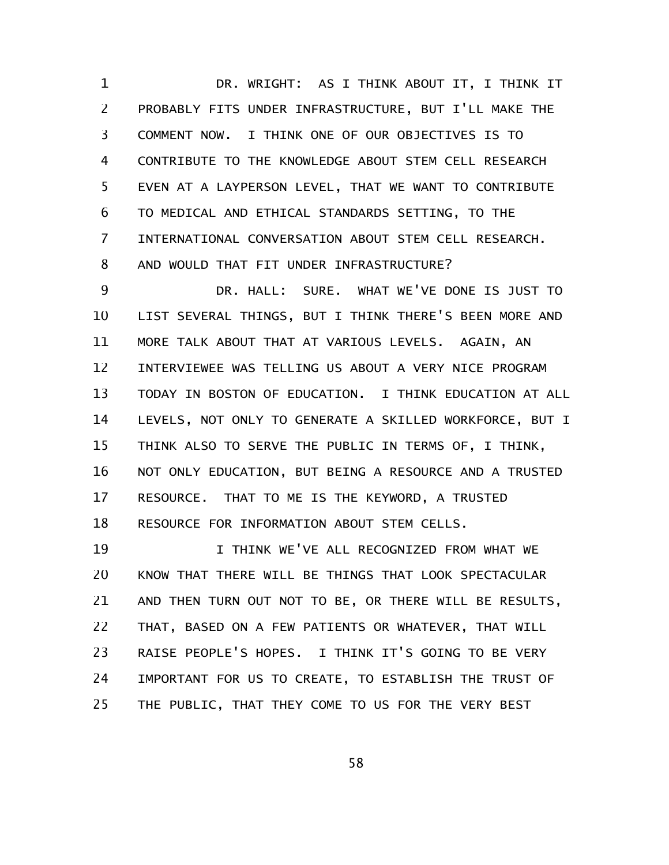DR. WRIGHT: AS I THINK ABOUT IT, I THINK IT PROBABLY FITS UNDER INFRASTRUCTURE, BUT I'LL MAKE THE COMMENT NOW. I THINK ONE OF OUR OBJECTIVES IS TO CONTRIBUTE TO THE KNOWLEDGE ABOUT STEM CELL RESEARCH EVEN AT A LAYPERSON LEVEL, THAT WE WANT TO CONTRIBUTE TO MEDICAL AND ETHICAL STANDARDS SETTING, TO THE INTERNATIONAL CONVERSATION ABOUT STEM CELL RESEARCH. AND WOULD THAT FIT UNDER INFRASTRUCTURE? 1 2 3 4 5 6 7 8

DR. HALL: SURE. WHAT WE'VE DONE IS JUST TO LIST SEVERAL THINGS, BUT I THINK THERE'S BEEN MORE AND MORE TALK ABOUT THAT AT VARIOUS LEVELS. AGAIN, AN INTERVIEWEE WAS TELLING US ABOUT A VERY NICE PROGRAM TODAY IN BOSTON OF EDUCATION. I THINK EDUCATION AT ALL LEVELS, NOT ONLY TO GENERATE A SKILLED WORKFORCE, BUT I THINK ALSO TO SERVE THE PUBLIC IN TERMS OF, I THINK, NOT ONLY EDUCATION, BUT BEING A RESOURCE AND A TRUSTED RESOURCE. THAT TO ME IS THE KEYWORD, A TRUSTED RESOURCE FOR INFORMATION ABOUT STEM CELLS. 9 10 11 12 13 14 15 16 17 18

I THINK WE'VE ALL RECOGNIZED FROM WHAT WE KNOW THAT THERE WILL BE THINGS THAT LOOK SPECTACULAR AND THEN TURN OUT NOT TO BE, OR THERE WILL BE RESULTS, THAT, BASED ON A FEW PATIENTS OR WHATEVER, THAT WILL RAISE PEOPLE'S HOPES. I THINK IT'S GOING TO BE VERY IMPORTANT FOR US TO CREATE, TO ESTABLISH THE TRUST OF THE PUBLIC, THAT THEY COME TO US FOR THE VERY BEST 19 20 21 22 23 24 25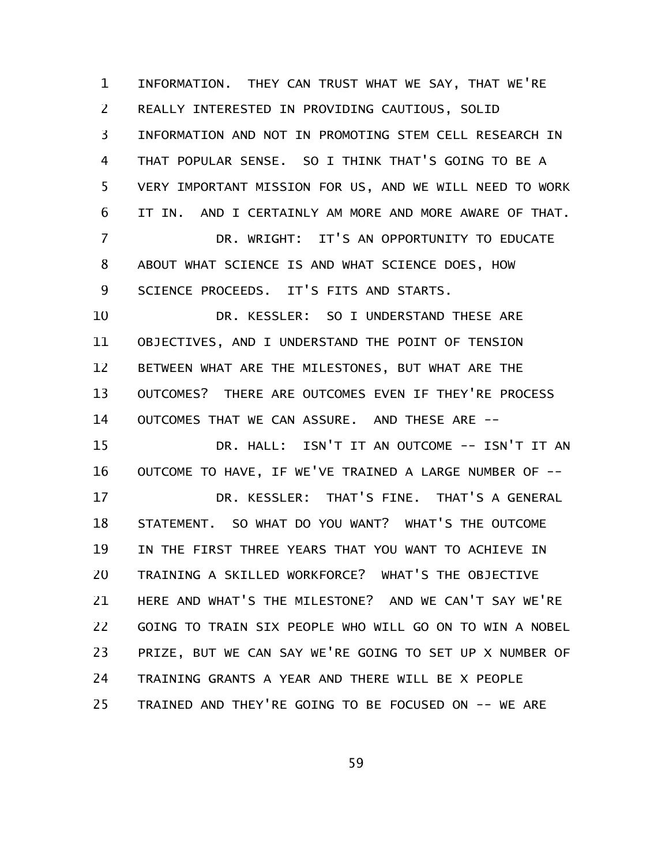INFORMATION. THEY CAN TRUST WHAT WE SAY, THAT WE'RE REALLY INTERESTED IN PROVIDING CAUTIOUS, SOLID INFORMATION AND NOT IN PROMOTING STEM CELL RESEARCH IN THAT POPULAR SENSE. SO I THINK THAT'S GOING TO BE A VERY IMPORTANT MISSION FOR US, AND WE WILL NEED TO WORK IT IN. AND I CERTAINLY AM MORE AND MORE AWARE OF THAT. DR. WRIGHT: IT'S AN OPPORTUNITY TO EDUCATE ABOUT WHAT SCIENCE IS AND WHAT SCIENCE DOES, HOW SCIENCE PROCEEDS. IT'S FITS AND STARTS. DR. KESSLER: SO I UNDERSTAND THESE ARE OBJECTIVES, AND I UNDERSTAND THE POINT OF TENSION BETWEEN WHAT ARE THE MILESTONES, BUT WHAT ARE THE OUTCOMES? THERE ARE OUTCOMES EVEN IF THEY'RE PROCESS OUTCOMES THAT WE CAN ASSURE. AND THESE ARE -- DR. HALL: ISN'T IT AN OUTCOME -- ISN'T IT AN OUTCOME TO HAVE, IF WE'VE TRAINED A LARGE NUMBER OF -- DR. KESSLER: THAT'S FINE. THAT'S A GENERAL STATEMENT. SO WHAT DO YOU WANT? WHAT'S THE OUTCOME IN THE FIRST THREE YEARS THAT YOU WANT TO ACHIEVE IN TRAINING A SKILLED WORKFORCE? WHAT'S THE OBJECTIVE HERE AND WHAT'S THE MILESTONE? AND WE CAN'T SAY WE'RE GOING TO TRAIN SIX PEOPLE WHO WILL GO ON TO WIN A NOBEL PRIZE, BUT WE CAN SAY WE'RE GOING TO SET UP X NUMBER OF TRAINING GRANTS A YEAR AND THERE WILL BE X PEOPLE TRAINED AND THEY'RE GOING TO BE FOCUSED ON -- WE ARE 1 2 3 4 5 6 7 8 9 10 11 12 13 14 15 16 17 18 19 20 21 22 23 24 25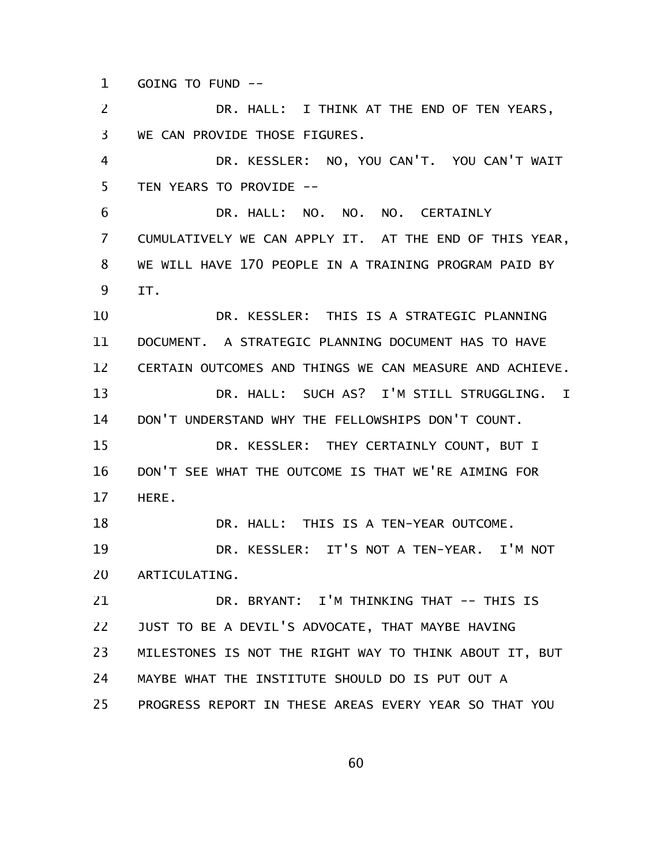GOING TO FUND -- 1

DR. HALL: I THINK AT THE END OF TEN YEARS, WE CAN PROVIDE THOSE FIGURES. DR. KESSLER: NO, YOU CAN'T. YOU CAN'T WAIT TEN YEARS TO PROVIDE -- DR. HALL: NO. NO. NO. CERTAINLY CUMULATIVELY WE CAN APPLY IT. AT THE END OF THIS YEAR, WE WILL HAVE 170 PEOPLE IN A TRAINING PROGRAM PAID BY IT. DR. KESSLER: THIS IS A STRATEGIC PLANNING DOCUMENT. A STRATEGIC PLANNING DOCUMENT HAS TO HAVE CERTAIN OUTCOMES AND THINGS WE CAN MEASURE AND ACHIEVE. DR. HALL: SUCH AS? I'M STILL STRUGGLING. I DON'T UNDERSTAND WHY THE FELLOWSHIPS DON'T COUNT. DR. KESSLER: THEY CERTAINLY COUNT, BUT I DON'T SEE WHAT THE OUTCOME IS THAT WE'RE AIMING FOR HERE. DR. HALL: THIS IS A TEN-YEAR OUTCOME. DR. KESSLER: IT'S NOT A TEN-YEAR. I'M NOT ARTICULATING. DR. BRYANT: I'M THINKING THAT -- THIS IS JUST TO BE A DEVIL'S ADVOCATE, THAT MAYBE HAVING MILESTONES IS NOT THE RIGHT WAY TO THINK ABOUT IT, BUT MAYBE WHAT THE INSTITUTE SHOULD DO IS PUT OUT A PROGRESS REPORT IN THESE AREAS EVERY YEAR SO THAT YOU 2 3 4 5 6 7 8 9 10 11 12 13 14 15 16 17 18 19 20 21 22 23 24 25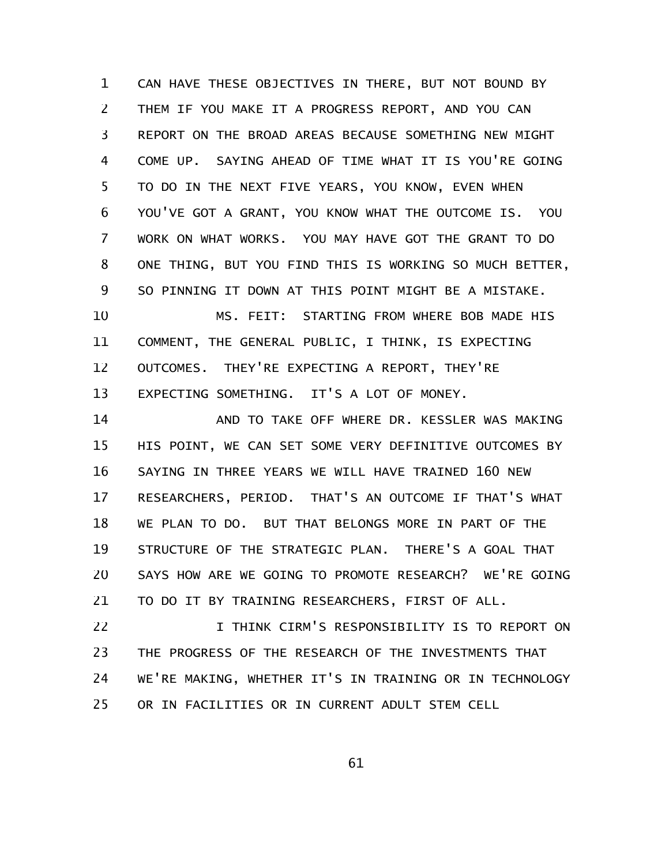CAN HAVE THESE OBJECTIVES IN THERE, BUT NOT BOUND BY THEM IF YOU MAKE IT A PROGRESS REPORT, AND YOU CAN REPORT ON THE BROAD AREAS BECAUSE SOMETHING NEW MIGHT COME UP. SAYING AHEAD OF TIME WHAT IT IS YOU'RE GOING TO DO IN THE NEXT FIVE YEARS, YOU KNOW, EVEN WHEN YOU'VE GOT A GRANT, YOU KNOW WHAT THE OUTCOME IS. YOU WORK ON WHAT WORKS. YOU MAY HAVE GOT THE GRANT TO DO ONE THING, BUT YOU FIND THIS IS WORKING SO MUCH BETTER, SO PINNING IT DOWN AT THIS POINT MIGHT BE A MISTAKE. MS. FEIT: STARTING FROM WHERE BOB MADE HIS COMMENT, THE GENERAL PUBLIC, I THINK, IS EXPECTING OUTCOMES. THEY'RE EXPECTING A REPORT, THEY'RE 1 2 3 4 5 6 7 8 9 10 11 12

EXPECTING SOMETHING. IT'S A LOT OF MONEY. 13

AND TO TAKE OFF WHERE DR. KESSLER WAS MAKING HIS POINT, WE CAN SET SOME VERY DEFINITIVE OUTCOMES BY SAYING IN THREE YEARS WE WILL HAVE TRAINED 160 NEW RESEARCHERS, PERIOD. THAT'S AN OUTCOME IF THAT'S WHAT WE PLAN TO DO. BUT THAT BELONGS MORE IN PART OF THE STRUCTURE OF THE STRATEGIC PLAN. THERE'S A GOAL THAT SAYS HOW ARE WE GOING TO PROMOTE RESEARCH? WE'RE GOING TO DO IT BY TRAINING RESEARCHERS, FIRST OF ALL. 14 15 16 17 18 19 20 21

I THINK CIRM'S RESPONSIBILITY IS TO REPORT ON THE PROGRESS OF THE RESEARCH OF THE INVESTMENTS THAT WE'RE MAKING, WHETHER IT'S IN TRAINING OR IN TECHNOLOGY OR IN FACILITIES OR IN CURRENT ADULT STEM CELL 22 23 24 25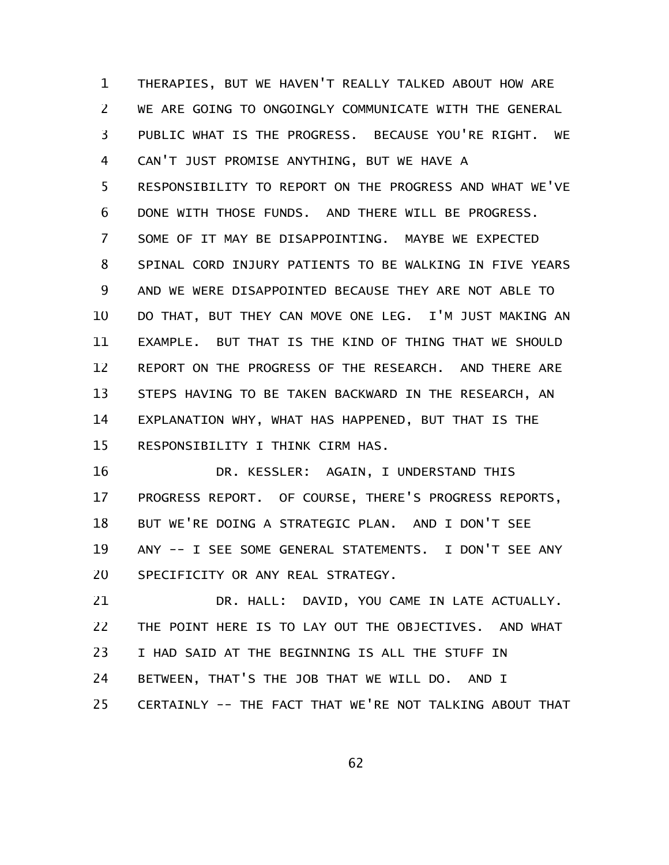THERAPIES, BUT WE HAVEN'T REALLY TALKED ABOUT HOW ARE WE ARE GOING TO ONGOINGLY COMMUNICATE WITH THE GENERAL PUBLIC WHAT IS THE PROGRESS. BECAUSE YOU'RE RIGHT. WE CAN'T JUST PROMISE ANYTHING, BUT WE HAVE A RESPONSIBILITY TO REPORT ON THE PROGRESS AND WHAT WE'VE DONE WITH THOSE FUNDS. AND THERE WILL BE PROGRESS. SOME OF IT MAY BE DISAPPOINTING. MAYBE WE EXPECTED SPINAL CORD INJURY PATIENTS TO BE WALKING IN FIVE YEARS AND WE WERE DISAPPOINTED BECAUSE THEY ARE NOT ABLE TO DO THAT, BUT THEY CAN MOVE ONE LEG. I'M JUST MAKING AN EXAMPLE. BUT THAT IS THE KIND OF THING THAT WE SHOULD REPORT ON THE PROGRESS OF THE RESEARCH. AND THERE ARE STEPS HAVING TO BE TAKEN BACKWARD IN THE RESEARCH, AN EXPLANATION WHY, WHAT HAS HAPPENED, BUT THAT IS THE RESPONSIBILITY I THINK CIRM HAS. 1 2 3 4 5 6 7 8 9 10 11 12 13 14 15

DR. KESSLER: AGAIN, I UNDERSTAND THIS PROGRESS REPORT. OF COURSE, THERE'S PROGRESS REPORTS, BUT WE'RE DOING A STRATEGIC PLAN. AND I DON'T SEE ANY -- I SEE SOME GENERAL STATEMENTS. I DON'T SEE ANY SPECIFICITY OR ANY REAL STRATEGY. 16 17 18 19 20

DR. HALL: DAVID, YOU CAME IN LATE ACTUALLY. THE POINT HERE IS TO LAY OUT THE OBJECTIVES. AND WHAT I HAD SAID AT THE BEGINNING IS ALL THE STUFF IN BETWEEN, THAT'S THE JOB THAT WE WILL DO. AND I CERTAINLY -- THE FACT THAT WE'RE NOT TALKING ABOUT THAT 21 22 23 24 25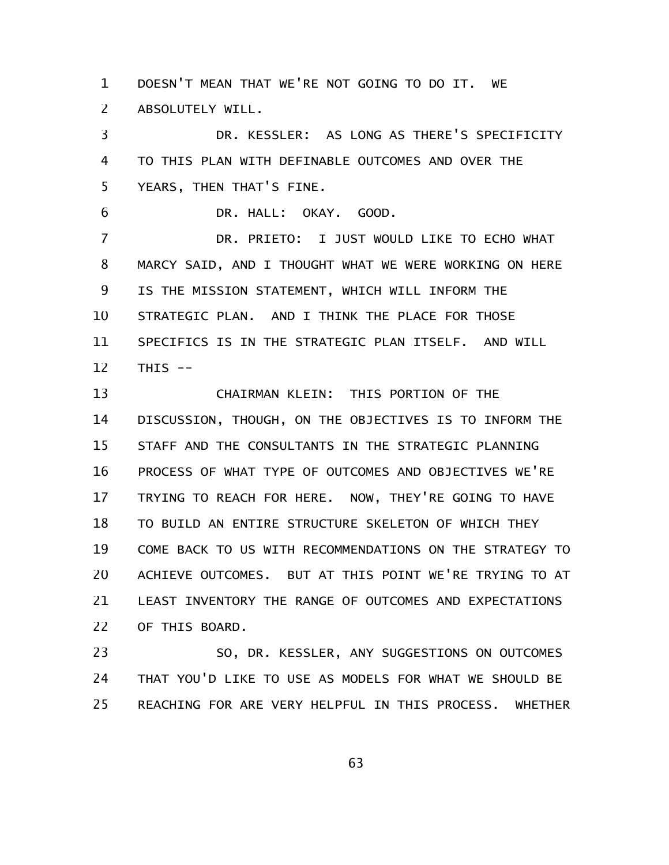DOESN'T MEAN THAT WE'RE NOT GOING TO DO IT. WE ABSOLUTELY WILL. 1 2

DR. KESSLER: AS LONG AS THERE'S SPECIFICITY TO THIS PLAN WITH DEFINABLE OUTCOMES AND OVER THE YEARS, THEN THAT'S FINE. 3 4 5

DR. HALL: OKAY. GOOD. 6

DR. PRIETO: I JUST WOULD LIKE TO ECHO WHAT MARCY SAID, AND I THOUGHT WHAT WE WERE WORKING ON HERE IS THE MISSION STATEMENT, WHICH WILL INFORM THE STRATEGIC PLAN. AND I THINK THE PLACE FOR THOSE SPECIFICS IS IN THE STRATEGIC PLAN ITSELF. AND WILL THIS -- 7 8 9 10 11 12

CHAIRMAN KLEIN: THIS PORTION OF THE DISCUSSION, THOUGH, ON THE OBJECTIVES IS TO INFORM THE STAFF AND THE CONSULTANTS IN THE STRATEGIC PLANNING PROCESS OF WHAT TYPE OF OUTCOMES AND OBJECTIVES WE'RE TRYING TO REACH FOR HERE. NOW, THEY'RE GOING TO HAVE TO BUILD AN ENTIRE STRUCTURE SKELETON OF WHICH THEY COME BACK TO US WITH RECOMMENDATIONS ON THE STRATEGY TO ACHIEVE OUTCOMES. BUT AT THIS POINT WE'RE TRYING TO AT LEAST INVENTORY THE RANGE OF OUTCOMES AND EXPECTATIONS OF THIS BOARD. 13 14 15 16 17 18 19 20 21 22

SO, DR. KESSLER, ANY SUGGESTIONS ON OUTCOMES THAT YOU'D LIKE TO USE AS MODELS FOR WHAT WE SHOULD BE REACHING FOR ARE VERY HELPFUL IN THIS PROCESS. WHETHER 23 24 25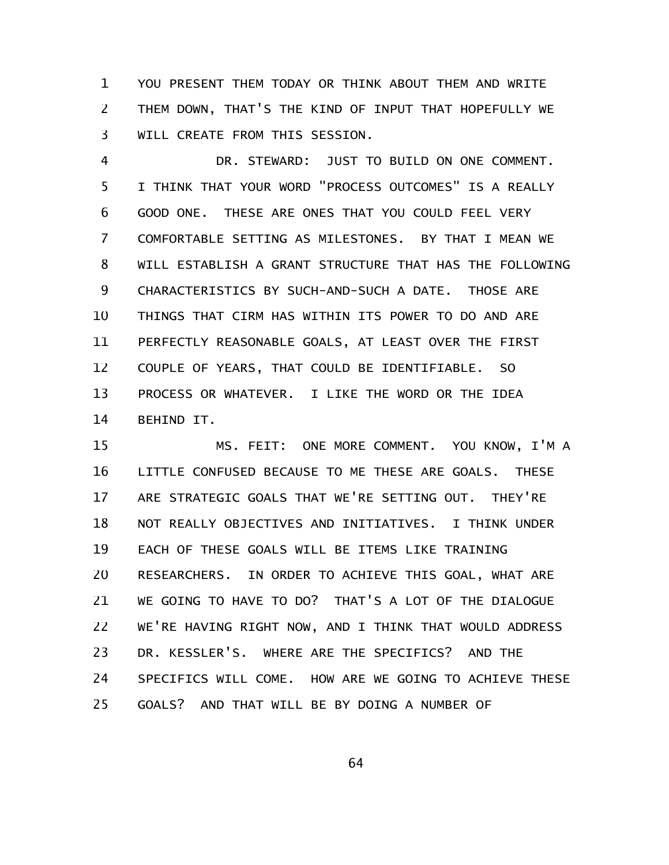YOU PRESENT THEM TODAY OR THINK ABOUT THEM AND WRITE THEM DOWN, THAT'S THE KIND OF INPUT THAT HOPEFULLY WE WILL CREATE FROM THIS SESSION. 1 2 3

DR. STEWARD: JUST TO BUILD ON ONE COMMENT. I THINK THAT YOUR WORD "PROCESS OUTCOMES" IS A REALLY GOOD ONE. THESE ARE ONES THAT YOU COULD FEEL VERY COMFORTABLE SETTING AS MILESTONES. BY THAT I MEAN WE WILL ESTABLISH A GRANT STRUCTURE THAT HAS THE FOLLOWING CHARACTERISTICS BY SUCH-AND-SUCH A DATE. THOSE ARE THINGS THAT CIRM HAS WITHIN ITS POWER TO DO AND ARE PERFECTLY REASONABLE GOALS, AT LEAST OVER THE FIRST COUPLE OF YEARS, THAT COULD BE IDENTIFIABLE. SO PROCESS OR WHATEVER. I LIKE THE WORD OR THE IDEA BEHIND IT. 4 5 6 7 8 9 10 11 12 13 14

MS. FEIT: ONE MORE COMMENT. YOU KNOW, I'M A LITTLE CONFUSED BECAUSE TO ME THESE ARE GOALS. THESE ARE STRATEGIC GOALS THAT WE'RE SETTING OUT. THEY'RE NOT REALLY OBJECTIVES AND INITIATIVES. I THINK UNDER EACH OF THESE GOALS WILL BE ITEMS LIKE TRAINING RESEARCHERS. IN ORDER TO ACHIEVE THIS GOAL, WHAT ARE WE GOING TO HAVE TO DO? THAT'S A LOT OF THE DIALOGUE WE'RE HAVING RIGHT NOW, AND I THINK THAT WOULD ADDRESS DR. KESSLER'S. WHERE ARE THE SPECIFICS? AND THE SPECIFICS WILL COME. HOW ARE WE GOING TO ACHIEVE THESE GOALS? AND THAT WILL BE BY DOING A NUMBER OF 15 16 17 18 19 20 21 22 23 24 25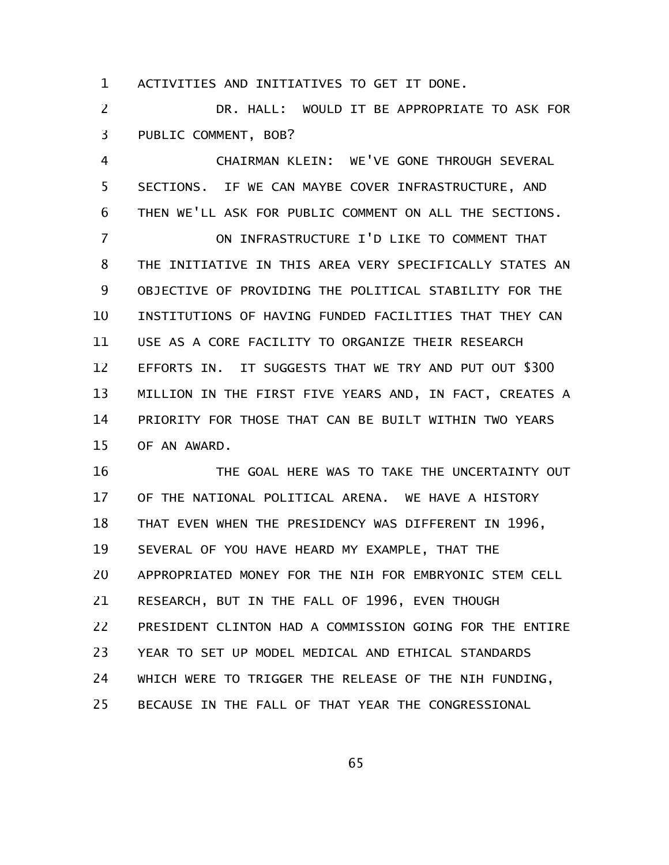ACTIVITIES AND INITIATIVES TO GET IT DONE. 1

DR. HALL: WOULD IT BE APPROPRIATE TO ASK FOR PUBLIC COMMENT, BOB? 2 3

CHAIRMAN KLEIN: WE'VE GONE THROUGH SEVERAL SECTIONS. IF WE CAN MAYBE COVER INFRASTRUCTURE, AND THEN WE'LL ASK FOR PUBLIC COMMENT ON ALL THE SECTIONS. 4 5 6

ON INFRASTRUCTURE I'D LIKE TO COMMENT THAT THE INITIATIVE IN THIS AREA VERY SPECIFICALLY STATES AN OBJECTIVE OF PROVIDING THE POLITICAL STABILITY FOR THE INSTITUTIONS OF HAVING FUNDED FACILITIES THAT THEY CAN USE AS A CORE FACILITY TO ORGANIZE THEIR RESEARCH EFFORTS IN. IT SUGGESTS THAT WE TRY AND PUT OUT \$300 MILLION IN THE FIRST FIVE YEARS AND, IN FACT, CREATES A PRIORITY FOR THOSE THAT CAN BE BUILT WITHIN TWO YEARS OF AN AWARD. 7 8 9 10 11 12 13 14 15

THE GOAL HERE WAS TO TAKE THE UNCERTAINTY OUT OF THE NATIONAL POLITICAL ARENA. WE HAVE A HISTORY THAT EVEN WHEN THE PRESIDENCY WAS DIFFERENT IN 1996, SEVERAL OF YOU HAVE HEARD MY EXAMPLE, THAT THE APPROPRIATED MONEY FOR THE NIH FOR EMBRYONIC STEM CELL RESEARCH, BUT IN THE FALL OF 1996, EVEN THOUGH PRESIDENT CLINTON HAD A COMMISSION GOING FOR THE ENTIRE YEAR TO SET UP MODEL MEDICAL AND ETHICAL STANDARDS WHICH WERE TO TRIGGER THE RELEASE OF THE NIH FUNDING, BECAUSE IN THE FALL OF THAT YEAR THE CONGRESSIONAL 16 17 18 19 20 21 22 23 24 25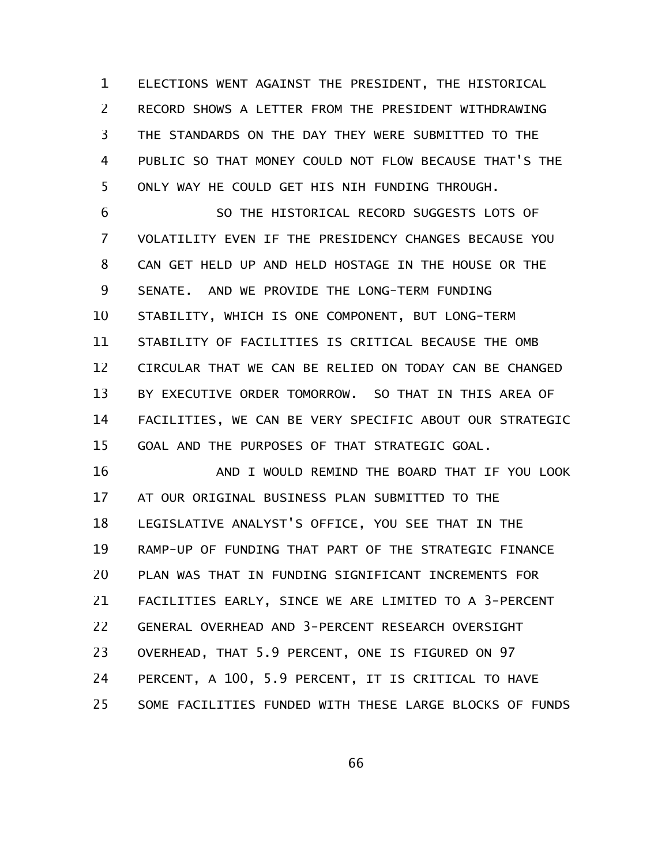ELECTIONS WENT AGAINST THE PRESIDENT, THE HISTORICAL RECORD SHOWS A LETTER FROM THE PRESIDENT WITHDRAWING THE STANDARDS ON THE DAY THEY WERE SUBMITTED TO THE PUBLIC SO THAT MONEY COULD NOT FLOW BECAUSE THAT'S THE ONLY WAY HE COULD GET HIS NIH FUNDING THROUGH. 1 2 3 4 5

SO THE HISTORICAL RECORD SUGGESTS LOTS OF VOLATILITY EVEN IF THE PRESIDENCY CHANGES BECAUSE YOU CAN GET HELD UP AND HELD HOSTAGE IN THE HOUSE OR THE SENATE. AND WE PROVIDE THE LONG-TERM FUNDING STABILITY, WHICH IS ONE COMPONENT, BUT LONG-TERM STABILITY OF FACILITIES IS CRITICAL BECAUSE THE OMB CIRCULAR THAT WE CAN BE RELIED ON TODAY CAN BE CHANGED BY EXECUTIVE ORDER TOMORROW. SO THAT IN THIS AREA OF FACILITIES, WE CAN BE VERY SPECIFIC ABOUT OUR STRATEGIC GOAL AND THE PURPOSES OF THAT STRATEGIC GOAL. 6 7 8 9 10 11 12 13 14 15

AND I WOULD REMIND THE BOARD THAT IF YOU LOOK AT OUR ORIGINAL BUSINESS PLAN SUBMITTED TO THE LEGISLATIVE ANALYST'S OFFICE, YOU SEE THAT IN THE RAMP-UP OF FUNDING THAT PART OF THE STRATEGIC FINANCE PLAN WAS THAT IN FUNDING SIGNIFICANT INCREMENTS FOR FACILITIES EARLY, SINCE WE ARE LIMITED TO A 3-PERCENT GENERAL OVERHEAD AND 3-PERCENT RESEARCH OVERSIGHT OVERHEAD, THAT 5.9 PERCENT, ONE IS FIGURED ON 97 PERCENT, A 100, 5.9 PERCENT, IT IS CRITICAL TO HAVE SOME FACILITIES FUNDED WITH THESE LARGE BLOCKS OF FUNDS 16 17 18 19 20 21 22 23 24 25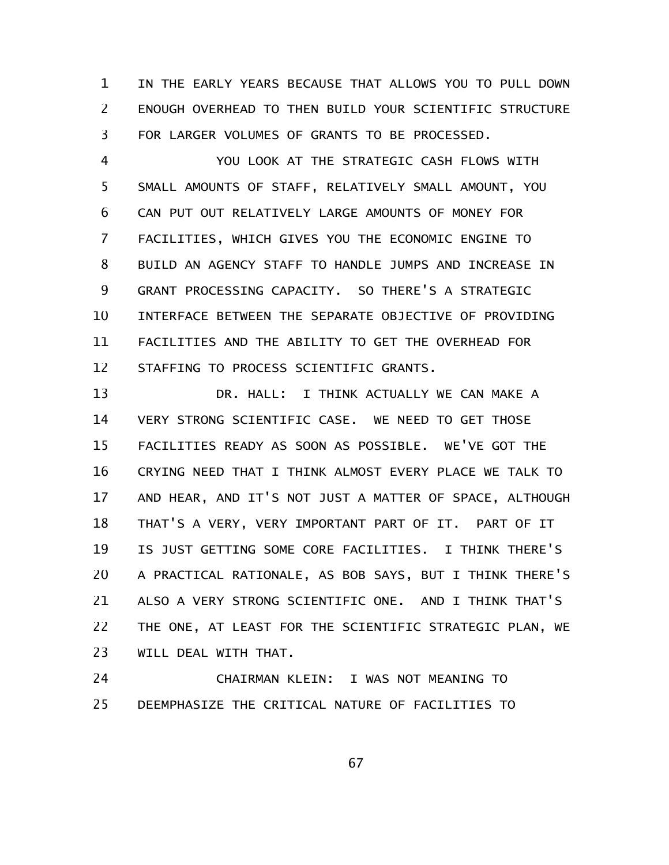IN THE EARLY YEARS BECAUSE THAT ALLOWS YOU TO PULL DOWN ENOUGH OVERHEAD TO THEN BUILD YOUR SCIENTIFIC STRUCTURE FOR LARGER VOLUMES OF GRANTS TO BE PROCESSED. 1 2 3

YOU LOOK AT THE STRATEGIC CASH FLOWS WITH SMALL AMOUNTS OF STAFF, RELATIVELY SMALL AMOUNT, YOU CAN PUT OUT RELATIVELY LARGE AMOUNTS OF MONEY FOR FACILITIES, WHICH GIVES YOU THE ECONOMIC ENGINE TO BUILD AN AGENCY STAFF TO HANDLE JUMPS AND INCREASE IN GRANT PROCESSING CAPACITY. SO THERE'S A STRATEGIC INTERFACE BETWEEN THE SEPARATE OBJECTIVE OF PROVIDING FACILITIES AND THE ABILITY TO GET THE OVERHEAD FOR STAFFING TO PROCESS SCIENTIFIC GRANTS. 4 5 6 7 8 9 10 11 12

DR. HALL: I THINK ACTUALLY WE CAN MAKE A VERY STRONG SCIENTIFIC CASE. WE NEED TO GET THOSE FACILITIES READY AS SOON AS POSSIBLE. WE'VE GOT THE CRYING NEED THAT I THINK ALMOST EVERY PLACE WE TALK TO AND HEAR, AND IT'S NOT JUST A MATTER OF SPACE, ALTHOUGH THAT'S A VERY, VERY IMPORTANT PART OF IT. PART OF IT IS JUST GETTING SOME CORE FACILITIES. I THINK THERE'S A PRACTICAL RATIONALE, AS BOB SAYS, BUT I THINK THERE'S ALSO A VERY STRONG SCIENTIFIC ONE. AND I THINK THAT'S THE ONE, AT LEAST FOR THE SCIENTIFIC STRATEGIC PLAN, WE WILL DEAL WITH THAT. 13 14 15 16 17 18 19 20 21 22 23

CHAIRMAN KLEIN: I WAS NOT MEANING TO DEEMPHASIZE THE CRITICAL NATURE OF FACILITIES TO 24 25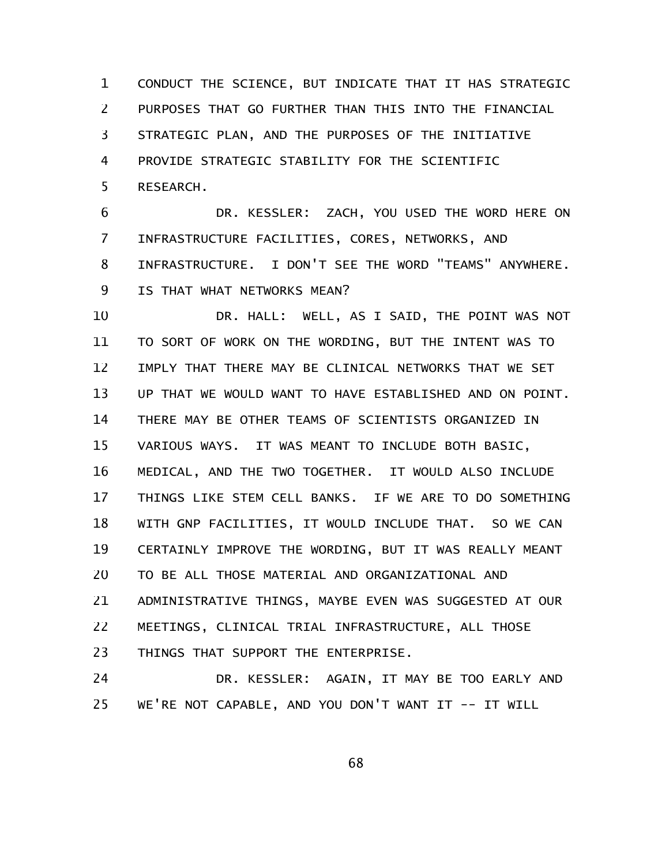CONDUCT THE SCIENCE, BUT INDICATE THAT IT HAS STRATEGIC PURPOSES THAT GO FURTHER THAN THIS INTO THE FINANCIAL STRATEGIC PLAN, AND THE PURPOSES OF THE INITIATIVE PROVIDE STRATEGIC STABILITY FOR THE SCIENTIFIC RESEARCH. 1 2 3 4 5

DR. KESSLER: ZACH, YOU USED THE WORD HERE ON INFRASTRUCTURE FACILITIES, CORES, NETWORKS, AND INFRASTRUCTURE. I DON'T SEE THE WORD "TEAMS" ANYWHERE. IS THAT WHAT NETWORKS MEAN? 6 7 8 9

DR. HALL: WELL, AS I SAID, THE POINT WAS NOT TO SORT OF WORK ON THE WORDING, BUT THE INTENT WAS TO IMPLY THAT THERE MAY BE CLINICAL NETWORKS THAT WE SET UP THAT WE WOULD WANT TO HAVE ESTABLISHED AND ON POINT. THERE MAY BE OTHER TEAMS OF SCIENTISTS ORGANIZED IN VARIOUS WAYS. IT WAS MEANT TO INCLUDE BOTH BASIC, MEDICAL, AND THE TWO TOGETHER. IT WOULD ALSO INCLUDE THINGS LIKE STEM CELL BANKS. IF WE ARE TO DO SOMETHING WITH GNP FACILITIES, IT WOULD INCLUDE THAT. SO WE CAN CERTAINLY IMPROVE THE WORDING, BUT IT WAS REALLY MEANT TO BE ALL THOSE MATERIAL AND ORGANIZATIONAL AND ADMINISTRATIVE THINGS, MAYBE EVEN WAS SUGGESTED AT OUR MEETINGS, CLINICAL TRIAL INFRASTRUCTURE, ALL THOSE THINGS THAT SUPPORT THE ENTERPRISE. 10 11 12 13 14 15 16 17 18 19 20 21 22 23

DR. KESSLER: AGAIN, IT MAY BE TOO EARLY AND WE'RE NOT CAPABLE, AND YOU DON'T WANT IT -- IT WILL 24 25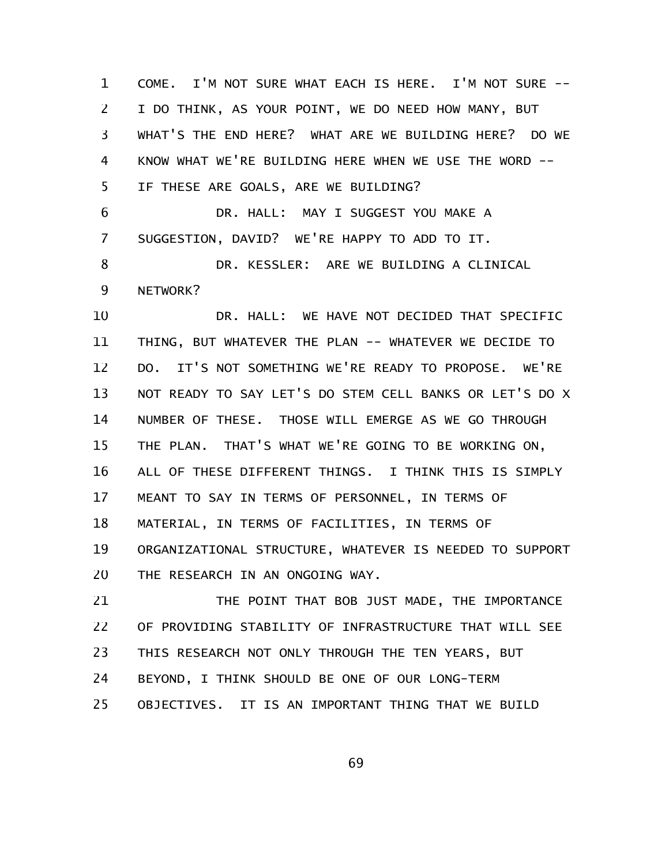COME. I'M NOT SURE WHAT EACH IS HERE. I'M NOT SURE -- I DO THINK, AS YOUR POINT, WE DO NEED HOW MANY, BUT WHAT'S THE END HERE? WHAT ARE WE BUILDING HERE? DO WE KNOW WHAT WE'RE BUILDING HERE WHEN WE USE THE WORD -- IF THESE ARE GOALS, ARE WE BUILDING? 1 2 3 4 5

DR. HALL: MAY I SUGGEST YOU MAKE A SUGGESTION, DAVID? WE'RE HAPPY TO ADD TO IT. 6 7

DR. KESSLER: ARE WE BUILDING A CLINICAL NETWORK? 8 9

DR. HALL: WE HAVE NOT DECIDED THAT SPECIFIC THING, BUT WHATEVER THE PLAN -- WHATEVER WE DECIDE TO DO. IT'S NOT SOMETHING WE'RE READY TO PROPOSE. WE'RE NOT READY TO SAY LET'S DO STEM CELL BANKS OR LET'S DO X NUMBER OF THESE. THOSE WILL EMERGE AS WE GO THROUGH THE PLAN. THAT'S WHAT WE'RE GOING TO BE WORKING ON, ALL OF THESE DIFFERENT THINGS. I THINK THIS IS SIMPLY MEANT TO SAY IN TERMS OF PERSONNEL, IN TERMS OF MATERIAL, IN TERMS OF FACILITIES, IN TERMS OF ORGANIZATIONAL STRUCTURE, WHATEVER IS NEEDED TO SUPPORT THE RESEARCH IN AN ONGOING WAY. 10 11 12 13 14 15 16 17 18 19 20

THE POINT THAT BOB JUST MADE, THE IMPORTANCE OF PROVIDING STABILITY OF INFRASTRUCTURE THAT WILL SEE THIS RESEARCH NOT ONLY THROUGH THE TEN YEARS, BUT BEYOND, I THINK SHOULD BE ONE OF OUR LONG-TERM OBJECTIVES. IT IS AN IMPORTANT THING THAT WE BUILD 21 22 23 24 25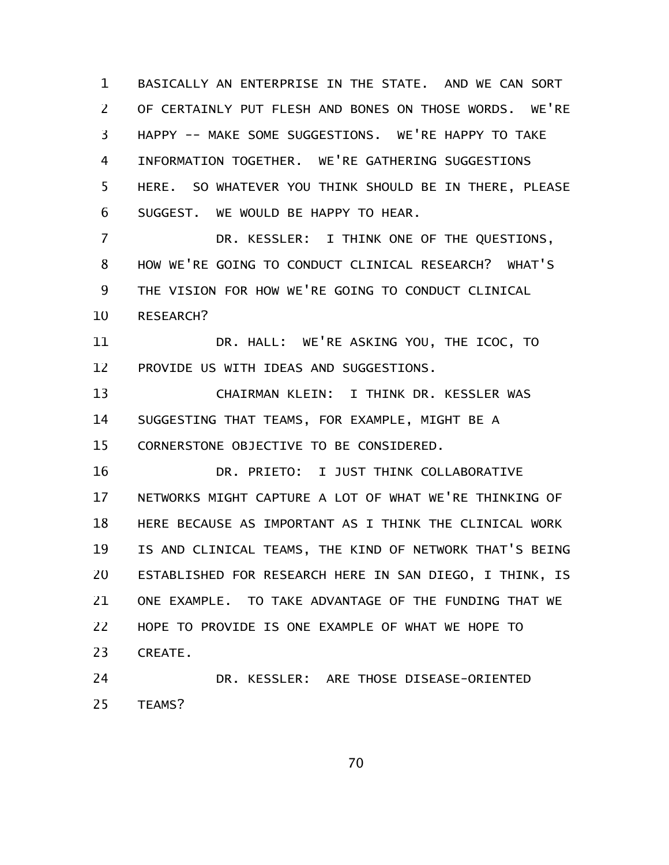BASICALLY AN ENTERPRISE IN THE STATE. AND WE CAN SORT OF CERTAINLY PUT FLESH AND BONES ON THOSE WORDS. WE'RE HAPPY -- MAKE SOME SUGGESTIONS. WE'RE HAPPY TO TAKE INFORMATION TOGETHER. WE'RE GATHERING SUGGESTIONS HERE. SO WHATEVER YOU THINK SHOULD BE IN THERE, PLEASE SUGGEST. WE WOULD BE HAPPY TO HEAR. 1 2 3 4 5 6

DR. KESSLER: I THINK ONE OF THE QUESTIONS, HOW WE'RE GOING TO CONDUCT CLINICAL RESEARCH? WHAT'S THE VISION FOR HOW WE'RE GOING TO CONDUCT CLINICAL RESEARCH? 7 8 9 10

DR. HALL: WE'RE ASKING YOU, THE ICOC, TO PROVIDE US WITH IDEAS AND SUGGESTIONS. 11 12

CHAIRMAN KLEIN: I THINK DR. KESSLER WAS SUGGESTING THAT TEAMS, FOR EXAMPLE, MIGHT BE A CORNERSTONE OBJECTIVE TO BE CONSIDERED. 13 14 15

DR. PRIETO: I JUST THINK COLLABORATIVE NETWORKS MIGHT CAPTURE A LOT OF WHAT WE'RE THINKING OF HERE BECAUSE AS IMPORTANT AS I THINK THE CLINICAL WORK IS AND CLINICAL TEAMS, THE KIND OF NETWORK THAT'S BEING ESTABLISHED FOR RESEARCH HERE IN SAN DIEGO, I THINK, IS ONE EXAMPLE. TO TAKE ADVANTAGE OF THE FUNDING THAT WE HOPE TO PROVIDE IS ONE EXAMPLE OF WHAT WE HOPE TO CREATE. 16 17 18 19 20 21 22 23

DR. KESSLER: ARE THOSE DISEASE-ORIENTED TEAMS? 24 25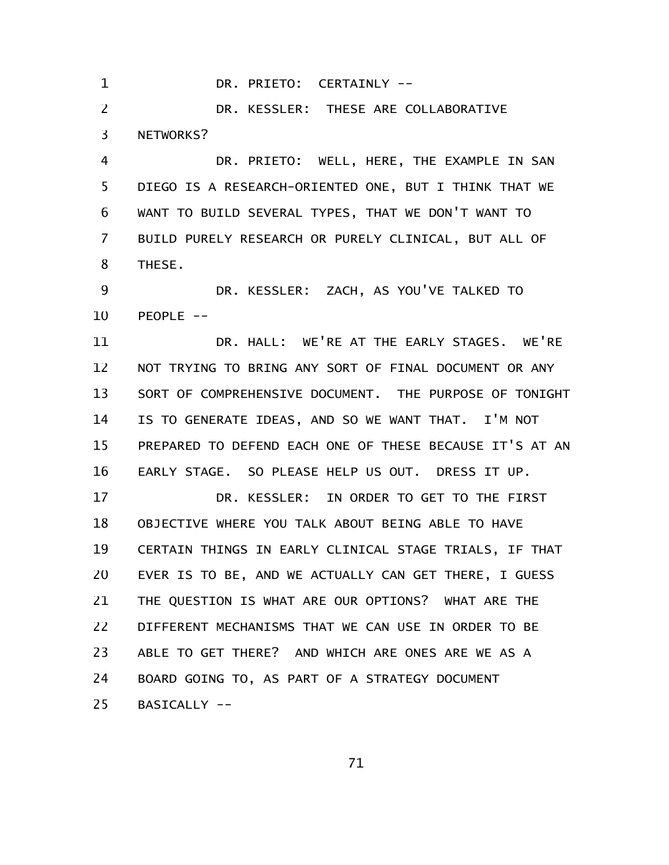DR. PRIETO: CERTAINLY -- DR. KESSLER: THESE ARE COLLABORATIVE NETWORKS? DR. PRIETO: WELL, HERE, THE EXAMPLE IN SAN DIEGO IS A RESEARCH-ORIENTED ONE, BUT I THINK THAT WE WANT TO BUILD SEVERAL TYPES, THAT WE DON'T WANT TO BUILD PURELY RESEARCH OR PURELY CLINICAL, BUT ALL OF THESE. DR. KESSLER: ZACH, AS YOU'VE TALKED TO  $PEOPLE$  --DR. HALL: WE'RE AT THE EARLY STAGES. WE'RE NOT TRYING TO BRING ANY SORT OF FINAL DOCUMENT OR ANY SORT OF COMPREHENSIVE DOCUMENT. THE PURPOSE OF TONIGHT IS TO GENERATE IDEAS, AND SO WE WANT THAT. I'M NOT PREPARED TO DEFEND EACH ONE OF THESE BECAUSE IT'S AT AN EARLY STAGE. SO PLEASE HELP US OUT. DRESS IT UP. DR. KESSLER: IN ORDER TO GET TO THE FIRST OBJECTIVE WHERE YOU TALK ABOUT BEING ABLE TO HAVE CERTAIN THINGS IN EARLY CLINICAL STAGE TRIALS, IF THAT EVER IS TO BE, AND WE ACTUALLY CAN GET THERE, I GUESS THE QUESTION IS WHAT ARE OUR OPTIONS? WHAT ARE THE DIFFERENT MECHANISMS THAT WE CAN USE IN ORDER TO BE ABLE TO GET THERE? AND WHICH ARE ONES ARE WE AS A BOARD GOING TO, AS PART OF A STRATEGY DOCUMENT BASICALLY -- 1 2 3 4 5 6 7 8 9 10 11 12 13 14 15 16 17 18 19 20 21 22 23 24 25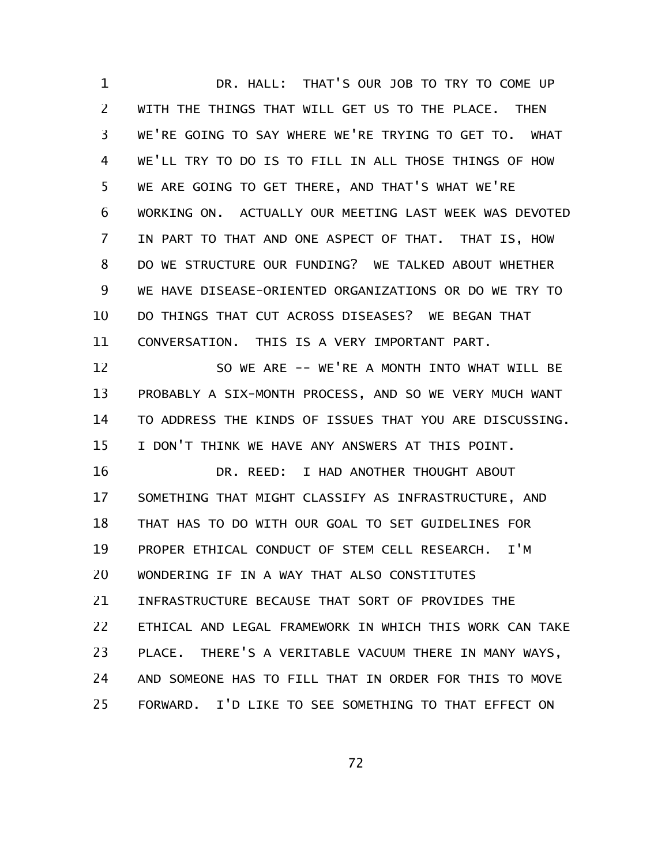DR. HALL: THAT'S OUR JOB TO TRY TO COME UP WITH THE THINGS THAT WILL GET US TO THE PLACE. THEN WE'RE GOING TO SAY WHERE WE'RE TRYING TO GET TO. WHAT WE'LL TRY TO DO IS TO FILL IN ALL THOSE THINGS OF HOW WE ARE GOING TO GET THERE, AND THAT'S WHAT WE'RE WORKING ON. ACTUALLY OUR MEETING LAST WEEK WAS DEVOTED IN PART TO THAT AND ONE ASPECT OF THAT. THAT IS, HOW DO WE STRUCTURE OUR FUNDING? WE TALKED ABOUT WHETHER WE HAVE DISEASE-ORIENTED ORGANIZATIONS OR DO WE TRY TO DO THINGS THAT CUT ACROSS DISEASES? WE BEGAN THAT CONVERSATION. THIS IS A VERY IMPORTANT PART. SO WE ARE -- WE'RE A MONTH INTO WHAT WILL BE PROBABLY A SIX-MONTH PROCESS, AND SO WE VERY MUCH WANT TO ADDRESS THE KINDS OF ISSUES THAT YOU ARE DISCUSSING. I DON'T THINK WE HAVE ANY ANSWERS AT THIS POINT. 1 2 3 4 5 6 7 8 9 10 11 12 13 14 15

DR. REED: I HAD ANOTHER THOUGHT ABOUT SOMETHING THAT MIGHT CLASSIFY AS INFRASTRUCTURE, AND THAT HAS TO DO WITH OUR GOAL TO SET GUIDELINES FOR PROPER ETHICAL CONDUCT OF STEM CELL RESEARCH. I'M WONDERING IF IN A WAY THAT ALSO CONSTITUTES INFRASTRUCTURE BECAUSE THAT SORT OF PROVIDES THE ETHICAL AND LEGAL FRAMEWORK IN WHICH THIS WORK CAN TAKE PLACE. THERE'S A VERITABLE VACUUM THERE IN MANY WAYS, AND SOMEONE HAS TO FILL THAT IN ORDER FOR THIS TO MOVE FORWARD. I'D LIKE TO SEE SOMETHING TO THAT EFFECT ON 16 17 18 19 20 21 22 23 24 25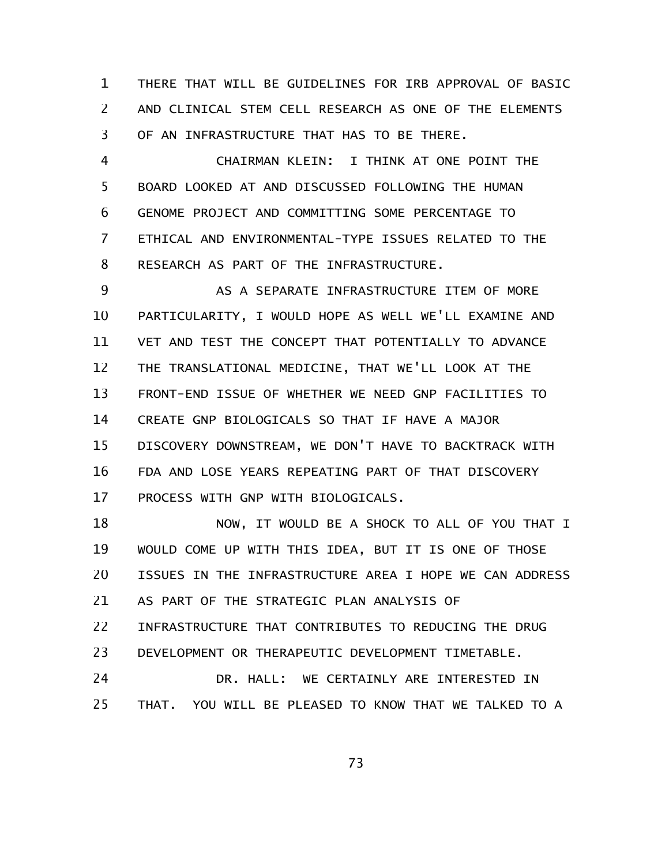THERE THAT WILL BE GUIDELINES FOR IRB APPROVAL OF BASIC AND CLINICAL STEM CELL RESEARCH AS ONE OF THE ELEMENTS OF AN INFRASTRUCTURE THAT HAS TO BE THERE. 1 2 3

CHAIRMAN KLEIN: I THINK AT ONE POINT THE BOARD LOOKED AT AND DISCUSSED FOLLOWING THE HUMAN GENOME PROJECT AND COMMITTING SOME PERCENTAGE TO ETHICAL AND ENVIRONMENTAL-TYPE ISSUES RELATED TO THE RESEARCH AS PART OF THE INFRASTRUCTURE. 4 5 6 7 8

AS A SEPARATE INFRASTRUCTURE ITEM OF MORE PARTICULARITY, I WOULD HOPE AS WELL WE'LL EXAMINE AND VET AND TEST THE CONCEPT THAT POTENTIALLY TO ADVANCE THE TRANSLATIONAL MEDICINE, THAT WE'LL LOOK AT THE FRONT-END ISSUE OF WHETHER WE NEED GNP FACILITIES TO CREATE GNP BIOLOGICALS SO THAT IF HAVE A MAJOR DISCOVERY DOWNSTREAM, WE DON'T HAVE TO BACKTRACK WITH FDA AND LOSE YEARS REPEATING PART OF THAT DISCOVERY PROCESS WITH GNP WITH BIOLOGICALS. 9 10 11 12 13 14 15 16 17

NOW, IT WOULD BE A SHOCK TO ALL OF YOU THAT I WOULD COME UP WITH THIS IDEA, BUT IT IS ONE OF THOSE ISSUES IN THE INFRASTRUCTURE AREA I HOPE WE CAN ADDRESS AS PART OF THE STRATEGIC PLAN ANALYSIS OF INFRASTRUCTURE THAT CONTRIBUTES TO REDUCING THE DRUG DEVELOPMENT OR THERAPEUTIC DEVELOPMENT TIMETABLE. 18 19 20 21 22 23

DR. HALL: WE CERTAINLY ARE INTERESTED IN THAT. YOU WILL BE PLEASED TO KNOW THAT WE TALKED TO A 24 25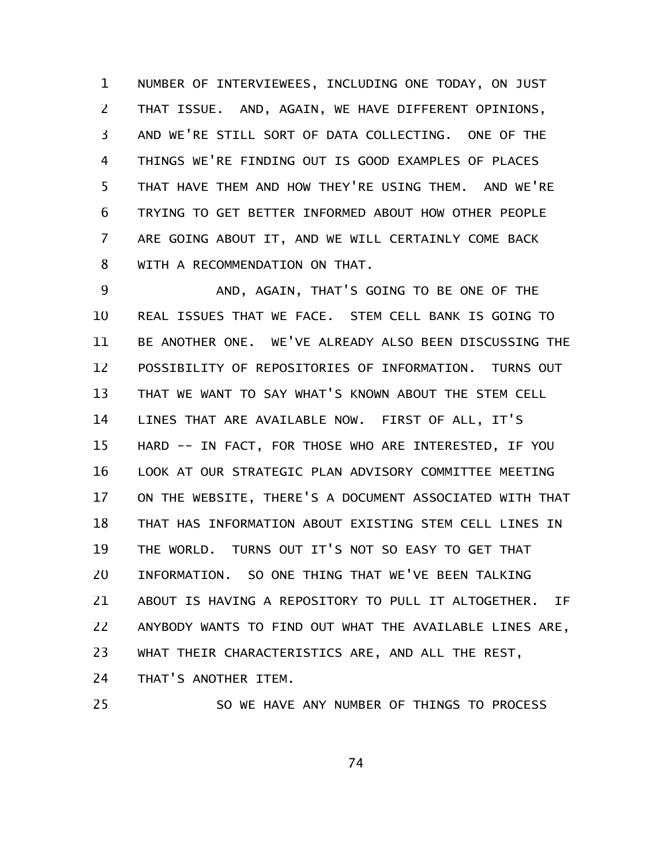NUMBER OF INTERVIEWEES, INCLUDING ONE TODAY, ON JUST THAT ISSUE. AND, AGAIN, WE HAVE DIFFERENT OPINIONS, AND WE'RE STILL SORT OF DATA COLLECTING. ONE OF THE THINGS WE'RE FINDING OUT IS GOOD EXAMPLES OF PLACES THAT HAVE THEM AND HOW THEY'RE USING THEM. AND WE'RE TRYING TO GET BETTER INFORMED ABOUT HOW OTHER PEOPLE ARE GOING ABOUT IT, AND WE WILL CERTAINLY COME BACK WITH A RECOMMENDATION ON THAT. 1 2 3 4 5 6 7 8

AND, AGAIN, THAT'S GOING TO BE ONE OF THE REAL ISSUES THAT WE FACE. STEM CELL BANK IS GOING TO BE ANOTHER ONE. WE'VE ALREADY ALSO BEEN DISCUSSING THE POSSIBILITY OF REPOSITORIES OF INFORMATION. TURNS OUT THAT WE WANT TO SAY WHAT'S KNOWN ABOUT THE STEM CELL LINES THAT ARE AVAILABLE NOW. FIRST OF ALL, IT'S HARD -- IN FACT, FOR THOSE WHO ARE INTERESTED, IF YOU LOOK AT OUR STRATEGIC PLAN ADVISORY COMMITTEE MEETING ON THE WEBSITE, THERE'S A DOCUMENT ASSOCIATED WITH THAT THAT HAS INFORMATION ABOUT EXISTING STEM CELL LINES IN THE WORLD. TURNS OUT IT'S NOT SO EASY TO GET THAT INFORMATION. SO ONE THING THAT WE'VE BEEN TALKING ABOUT IS HAVING A REPOSITORY TO PULL IT ALTOGETHER. IF ANYBODY WANTS TO FIND OUT WHAT THE AVAILABLE LINES ARE, WHAT THEIR CHARACTERISTICS ARE, AND ALL THE REST, THAT'S ANOTHER ITEM. 9 10 11 12 13 14 15 16 17 18 19 20 21 22 23 24

25

SO WE HAVE ANY NUMBER OF THINGS TO PROCESS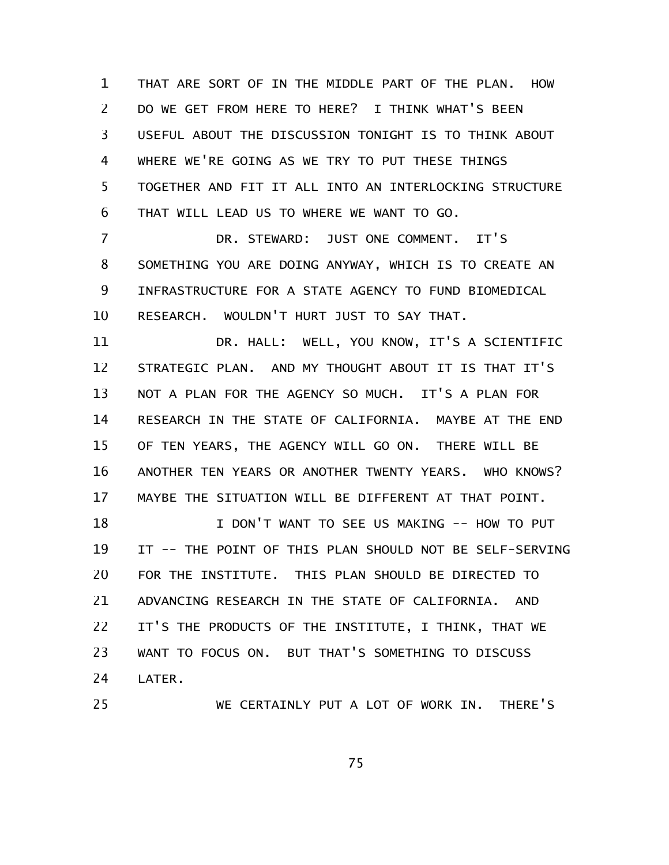THAT ARE SORT OF IN THE MIDDLE PART OF THE PLAN. HOW DO WE GET FROM HERE TO HERE? I THINK WHAT'S BEEN USEFUL ABOUT THE DISCUSSION TONIGHT IS TO THINK ABOUT WHERE WE'RE GOING AS WE TRY TO PUT THESE THINGS TOGETHER AND FIT IT ALL INTO AN INTERLOCKING STRUCTURE THAT WILL LEAD US TO WHERE WE WANT TO GO. 1 2 3 4 5 6

DR. STEWARD: JUST ONE COMMENT. IT'S SOMETHING YOU ARE DOING ANYWAY, WHICH IS TO CREATE AN INFRASTRUCTURE FOR A STATE AGENCY TO FUND BIOMEDICAL RESEARCH. WOULDN'T HURT JUST TO SAY THAT. 7 8 9 10

DR. HALL: WELL, YOU KNOW, IT'S A SCIENTIFIC STRATEGIC PLAN. AND MY THOUGHT ABOUT IT IS THAT IT'S NOT A PLAN FOR THE AGENCY SO MUCH. IT'S A PLAN FOR RESEARCH IN THE STATE OF CALIFORNIA. MAYBE AT THE END OF TEN YEARS, THE AGENCY WILL GO ON. THERE WILL BE ANOTHER TEN YEARS OR ANOTHER TWENTY YEARS. WHO KNOWS? MAYBE THE SITUATION WILL BE DIFFERENT AT THAT POINT. 11 12 13 14 15 16 17

I DON'T WANT TO SEE US MAKING -- HOW TO PUT IT -- THE POINT OF THIS PLAN SHOULD NOT BE SELF-SERVING FOR THE INSTITUTE. THIS PLAN SHOULD BE DIRECTED TO ADVANCING RESEARCH IN THE STATE OF CALIFORNIA. AND IT'S THE PRODUCTS OF THE INSTITUTE, I THINK, THAT WE WANT TO FOCUS ON. BUT THAT'S SOMETHING TO DISCUSS LATER. 18 19 20 21 22 23 24

25

WE CERTAINLY PUT A LOT OF WORK IN. THERE'S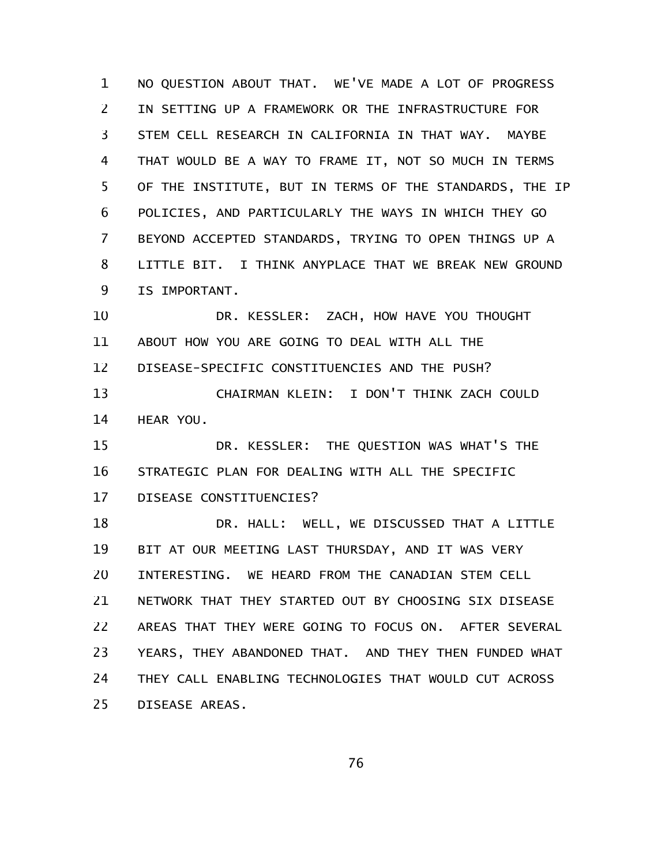NO QUESTION ABOUT THAT. WE'VE MADE A LOT OF PROGRESS IN SETTING UP A FRAMEWORK OR THE INFRASTRUCTURE FOR STEM CELL RESEARCH IN CALIFORNIA IN THAT WAY. MAYBE THAT WOULD BE A WAY TO FRAME IT, NOT SO MUCH IN TERMS OF THE INSTITUTE, BUT IN TERMS OF THE STANDARDS, THE IP POLICIES, AND PARTICULARLY THE WAYS IN WHICH THEY GO BEYOND ACCEPTED STANDARDS, TRYING TO OPEN THINGS UP A LITTLE BIT. I THINK ANYPLACE THAT WE BREAK NEW GROUND IS IMPORTANT. 1 2 3 4 5 6 7 8 9

DR. KESSLER: ZACH, HOW HAVE YOU THOUGHT ABOUT HOW YOU ARE GOING TO DEAL WITH ALL THE DISEASE-SPECIFIC CONSTITUENCIES AND THE PUSH? CHAIRMAN KLEIN: I DON'T THINK ZACH COULD 10 11 12 13

HEAR YOU. 14

DR. KESSLER: THE QUESTION WAS WHAT'S THE STRATEGIC PLAN FOR DEALING WITH ALL THE SPECIFIC DISEASE CONSTITUENCIES? 15 16 17

DR. HALL: WELL, WE DISCUSSED THAT A LITTLE BIT AT OUR MEETING LAST THURSDAY, AND IT WAS VERY INTERESTING. WE HEARD FROM THE CANADIAN STEM CELL NETWORK THAT THEY STARTED OUT BY CHOOSING SIX DISEASE AREAS THAT THEY WERE GOING TO FOCUS ON. AFTER SEVERAL YEARS, THEY ABANDONED THAT. AND THEY THEN FUNDED WHAT THEY CALL ENABLING TECHNOLOGIES THAT WOULD CUT ACROSS DISEASE AREAS. 18 19 20 21 22 23 24 25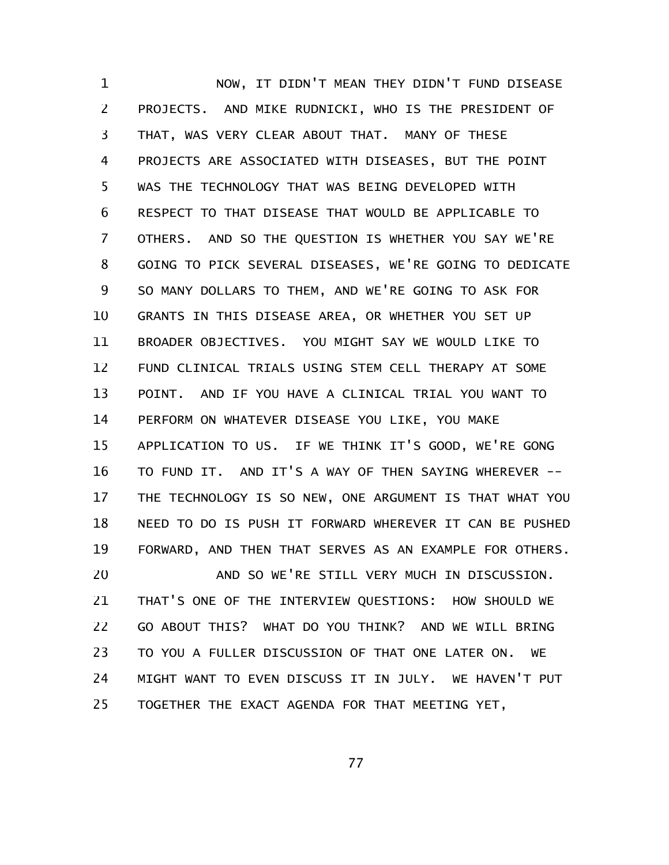NOW, IT DIDN'T MEAN THEY DIDN'T FUND DISEASE PROJECTS. AND MIKE RUDNICKI, WHO IS THE PRESIDENT OF THAT, WAS VERY CLEAR ABOUT THAT. MANY OF THESE PROJECTS ARE ASSOCIATED WITH DISEASES, BUT THE POINT WAS THE TECHNOLOGY THAT WAS BEING DEVELOPED WITH RESPECT TO THAT DISEASE THAT WOULD BE APPLICABLE TO OTHERS. AND SO THE QUESTION IS WHETHER YOU SAY WE'RE GOING TO PICK SEVERAL DISEASES, WE'RE GOING TO DEDICATE SO MANY DOLLARS TO THEM, AND WE'RE GOING TO ASK FOR GRANTS IN THIS DISEASE AREA, OR WHETHER YOU SET UP BROADER OBJECTIVES. YOU MIGHT SAY WE WOULD LIKE TO FUND CLINICAL TRIALS USING STEM CELL THERAPY AT SOME POINT. AND IF YOU HAVE A CLINICAL TRIAL YOU WANT TO PERFORM ON WHATEVER DISEASE YOU LIKE, YOU MAKE APPLICATION TO US. IF WE THINK IT'S GOOD, WE'RE GONG TO FUND IT. AND IT'S A WAY OF THEN SAYING WHEREVER -- THE TECHNOLOGY IS SO NEW, ONE ARGUMENT IS THAT WHAT YOU NEED TO DO IS PUSH IT FORWARD WHEREVER IT CAN BE PUSHED FORWARD, AND THEN THAT SERVES AS AN EXAMPLE FOR OTHERS. AND SO WE'RE STILL VERY MUCH IN DISCUSSION. THAT'S ONE OF THE INTERVIEW QUESTIONS: HOW SHOULD WE 1 2 3 4 5 6 7 8 9 10 11 12 13 14 15 16 17 18 19 20 21

GO ABOUT THIS? WHAT DO YOU THINK? AND WE WILL BRING TO YOU A FULLER DISCUSSION OF THAT ONE LATER ON. WE MIGHT WANT TO EVEN DISCUSS IT IN JULY. WE HAVEN'T PUT TOGETHER THE EXACT AGENDA FOR THAT MEETING YET, 22 23 24 25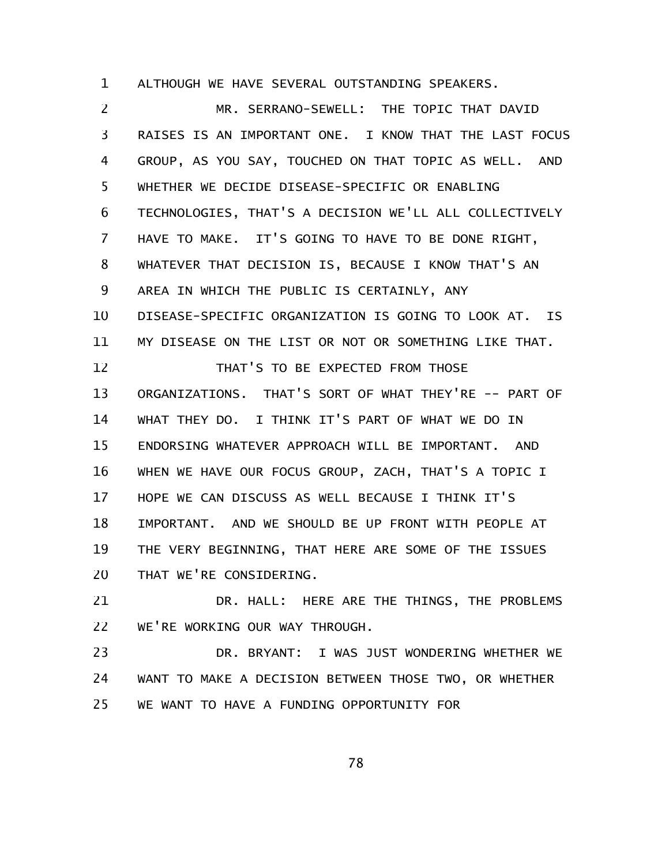ALTHOUGH WE HAVE SEVERAL OUTSTANDING SPEAKERS. 1

MR. SERRANO-SEWELL: THE TOPIC THAT DAVID RAISES IS AN IMPORTANT ONE. I KNOW THAT THE LAST FOCUS GROUP, AS YOU SAY, TOUCHED ON THAT TOPIC AS WELL. AND WHETHER WE DECIDE DISEASE-SPECIFIC OR ENABLING TECHNOLOGIES, THAT'S A DECISION WE'LL ALL COLLECTIVELY HAVE TO MAKE. IT'S GOING TO HAVE TO BE DONE RIGHT, WHATEVER THAT DECISION IS, BECAUSE I KNOW THAT'S AN AREA IN WHICH THE PUBLIC IS CERTAINLY, ANY DISEASE-SPECIFIC ORGANIZATION IS GOING TO LOOK AT. IS MY DISEASE ON THE LIST OR NOT OR SOMETHING LIKE THAT. THAT'S TO BE EXPECTED FROM THOSE ORGANIZATIONS. THAT'S SORT OF WHAT THEY'RE -- PART OF WHAT THEY DO. I THINK IT'S PART OF WHAT WE DO IN ENDORSING WHATEVER APPROACH WILL BE IMPORTANT. AND WHEN WE HAVE OUR FOCUS GROUP, ZACH, THAT'S A TOPIC I HOPE WE CAN DISCUSS AS WELL BECAUSE I THINK IT'S IMPORTANT. AND WE SHOULD BE UP FRONT WITH PEOPLE AT THE VERY BEGINNING, THAT HERE ARE SOME OF THE ISSUES THAT WE'RE CONSIDERING. 2 3 4 5 6 7 8 9 10 11 12 13 14 15 16 17 18 19 20

DR. HALL: HERE ARE THE THINGS, THE PROBLEMS WE'RE WORKING OUR WAY THROUGH. 21 22

DR. BRYANT: I WAS JUST WONDERING WHETHER WE WANT TO MAKE A DECISION BETWEEN THOSE TWO, OR WHETHER WE WANT TO HAVE A FUNDING OPPORTUNITY FOR 23 24 25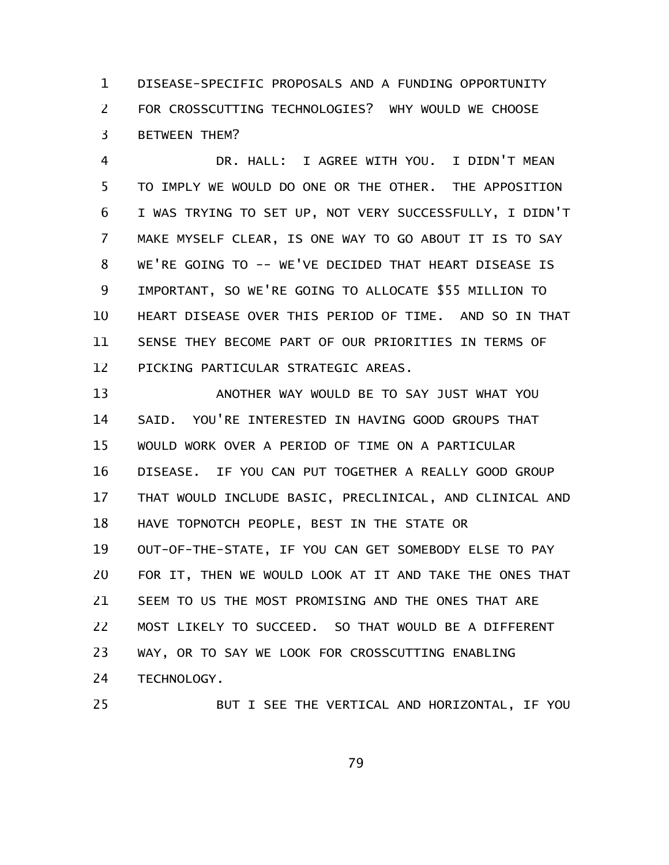DISEASE-SPECIFIC PROPOSALS AND A FUNDING OPPORTUNITY FOR CROSSCUTTING TECHNOLOGIES? WHY WOULD WE CHOOSE BETWEEN THEM? 1 2 3

DR. HALL: I AGREE WITH YOU. I DIDN'T MEAN TO IMPLY WE WOULD DO ONE OR THE OTHER. THE APPOSITION I WAS TRYING TO SET UP, NOT VERY SUCCESSFULLY, I DIDN'T MAKE MYSELF CLEAR, IS ONE WAY TO GO ABOUT IT IS TO SAY WE'RE GOING TO -- WE'VE DECIDED THAT HEART DISEASE IS IMPORTANT, SO WE'RE GOING TO ALLOCATE \$55 MILLION TO HEART DISEASE OVER THIS PERIOD OF TIME. AND SO IN THAT SENSE THEY BECOME PART OF OUR PRIORITIES IN TERMS OF PICKING PARTICULAR STRATEGIC AREAS. 4 5 6 7 8 9 10 11 12

ANOTHER WAY WOULD BE TO SAY JUST WHAT YOU SAID. YOU'RE INTERESTED IN HAVING GOOD GROUPS THAT WOULD WORK OVER A PERIOD OF TIME ON A PARTICULAR DISEASE. IF YOU CAN PUT TOGETHER A REALLY GOOD GROUP THAT WOULD INCLUDE BASIC, PRECLINICAL, AND CLINICAL AND HAVE TOPNOTCH PEOPLE, BEST IN THE STATE OR OUT-OF-THE-STATE, IF YOU CAN GET SOMEBODY ELSE TO PAY FOR IT, THEN WE WOULD LOOK AT IT AND TAKE THE ONES THAT SEEM TO US THE MOST PROMISING AND THE ONES THAT ARE MOST LIKELY TO SUCCEED. SO THAT WOULD BE A DIFFERENT WAY, OR TO SAY WE LOOK FOR CROSSCUTTING ENABLING TECHNOLOGY. 13 14 15 16 17 18 19 20 21 22 23 24

```
25
```
BUT I SEE THE VERTICAL AND HORIZONTAL, IF YOU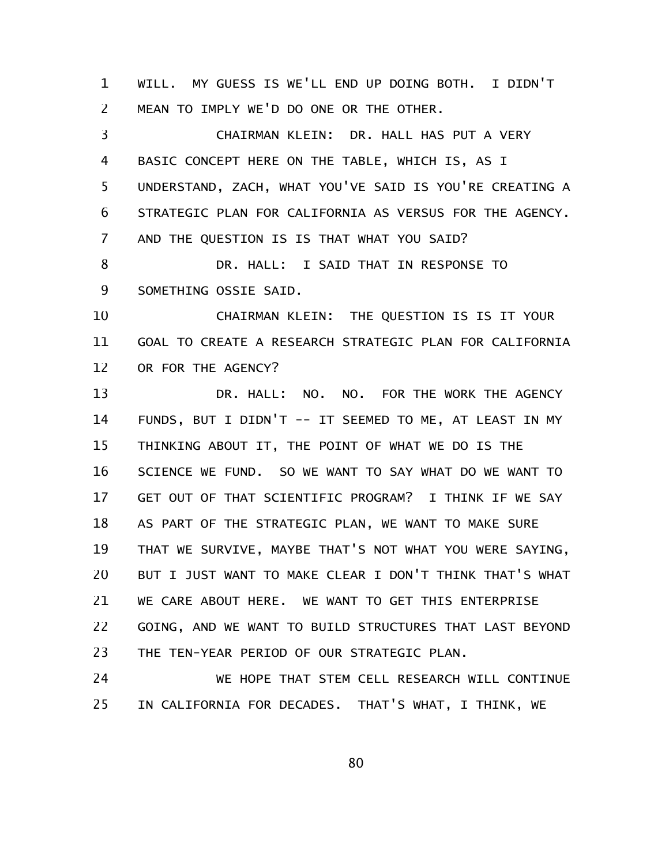WILL. MY GUESS IS WE'LL END UP DOING BOTH. I DIDN'T MEAN TO IMPLY WE'D DO ONE OR THE OTHER. 1 2

CHAIRMAN KLEIN: DR. HALL HAS PUT A VERY BASIC CONCEPT HERE ON THE TABLE, WHICH IS, AS I UNDERSTAND, ZACH, WHAT YOU'VE SAID IS YOU'RE CREATING A STRATEGIC PLAN FOR CALIFORNIA AS VERSUS FOR THE AGENCY. AND THE QUESTION IS IS THAT WHAT YOU SAID? DR. HALL: I SAID THAT IN RESPONSE TO SOMETHING OSSIE SAID. CHAIRMAN KLEIN: THE QUESTION IS IS IT YOUR GOAL TO CREATE A RESEARCH STRATEGIC PLAN FOR CALIFORNIA 3 4 5 6 7 8 9 10 11

OR FOR THE AGENCY? 12

DR. HALL: NO. NO. FOR THE WORK THE AGENCY FUNDS, BUT I DIDN'T -- IT SEEMED TO ME, AT LEAST IN MY THINKING ABOUT IT, THE POINT OF WHAT WE DO IS THE SCIENCE WE FUND. SO WE WANT TO SAY WHAT DO WE WANT TO GET OUT OF THAT SCIENTIFIC PROGRAM? I THINK IF WE SAY AS PART OF THE STRATEGIC PLAN, WE WANT TO MAKE SURE THAT WE SURVIVE, MAYBE THAT'S NOT WHAT YOU WERE SAYING, BUT I JUST WANT TO MAKE CLEAR I DON'T THINK THAT'S WHAT WE CARE ABOUT HERE. WE WANT TO GET THIS ENTERPRISE GOING, AND WE WANT TO BUILD STRUCTURES THAT LAST BEYOND THE TEN-YEAR PERIOD OF OUR STRATEGIC PLAN. 13 14 15 16 17 18 19 20 21 22 23

WE HOPE THAT STEM CELL RESEARCH WILL CONTINUE IN CALIFORNIA FOR DECADES. THAT'S WHAT, I THINK, WE 24 25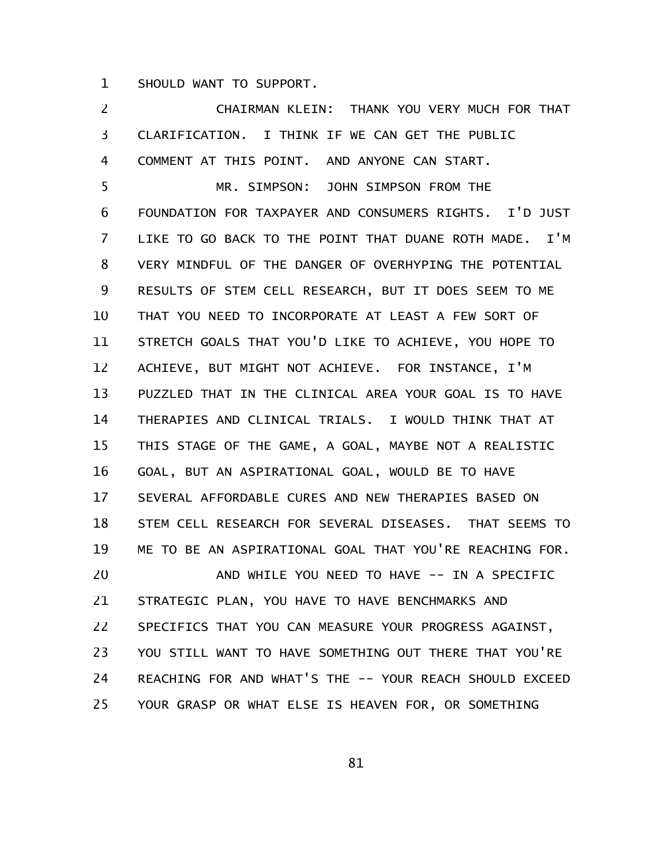SHOULD WANT TO SUPPORT. 1

CHAIRMAN KLEIN: THANK YOU VERY MUCH FOR THAT CLARIFICATION. I THINK IF WE CAN GET THE PUBLIC COMMENT AT THIS POINT. AND ANYONE CAN START. MR. SIMPSON: JOHN SIMPSON FROM THE FOUNDATION FOR TAXPAYER AND CONSUMERS RIGHTS. I'D JUST LIKE TO GO BACK TO THE POINT THAT DUANE ROTH MADE. I'M VERY MINDFUL OF THE DANGER OF OVERHYPING THE POTENTIAL RESULTS OF STEM CELL RESEARCH, BUT IT DOES SEEM TO ME THAT YOU NEED TO INCORPORATE AT LEAST A FEW SORT OF STRETCH GOALS THAT YOU'D LIKE TO ACHIEVE, YOU HOPE TO ACHIEVE, BUT MIGHT NOT ACHIEVE. FOR INSTANCE, I'M PUZZLED THAT IN THE CLINICAL AREA YOUR GOAL IS TO HAVE THERAPIES AND CLINICAL TRIALS. I WOULD THINK THAT AT THIS STAGE OF THE GAME, A GOAL, MAYBE NOT A REALISTIC GOAL, BUT AN ASPIRATIONAL GOAL, WOULD BE TO HAVE SEVERAL AFFORDABLE CURES AND NEW THERAPIES BASED ON STEM CELL RESEARCH FOR SEVERAL DISEASES. THAT SEEMS TO ME TO BE AN ASPIRATIONAL GOAL THAT YOU'RE REACHING FOR. AND WHILE YOU NEED TO HAVE -- IN A SPECIFIC STRATEGIC PLAN, YOU HAVE TO HAVE BENCHMARKS AND SPECIFICS THAT YOU CAN MEASURE YOUR PROGRESS AGAINST, YOU STILL WANT TO HAVE SOMETHING OUT THERE THAT YOU'RE REACHING FOR AND WHAT'S THE -- YOUR REACH SHOULD EXCEED YOUR GRASP OR WHAT ELSE IS HEAVEN FOR, OR SOMETHING 2 3 4 5 6 7 8 9 10 11 12 13 14 15 16 17 18 19 20 21 22 23 24 25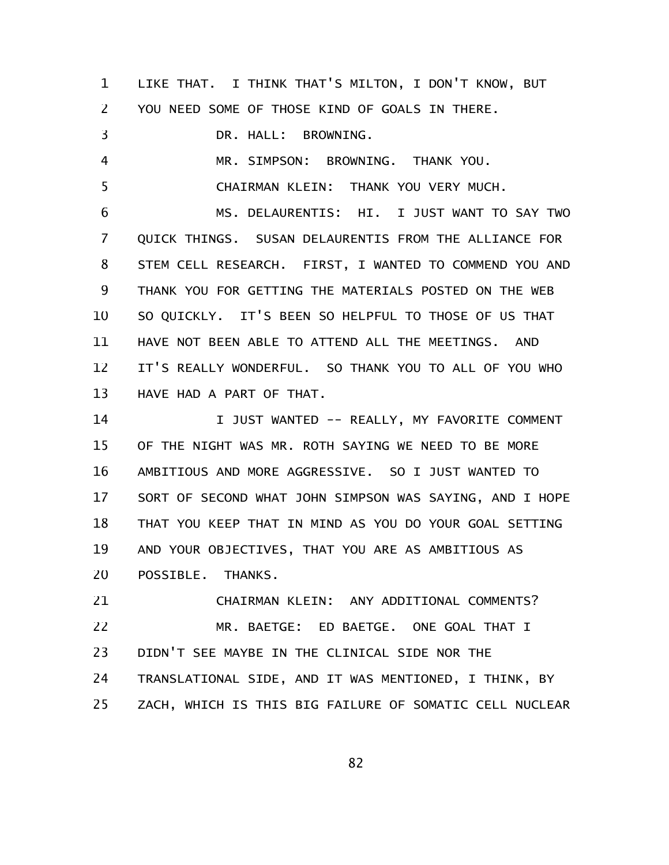LIKE THAT. I THINK THAT'S MILTON, I DON'T KNOW, BUT YOU NEED SOME OF THOSE KIND OF GOALS IN THERE. DR. HALL: BROWNING. 1 2 3

MR. SIMPSON: BROWNING. THANK YOU. CHAIRMAN KLEIN: THANK YOU VERY MUCH. 4 5

MS. DELAURENTIS: HI. I JUST WANT TO SAY TWO QUICK THINGS. SUSAN DELAURENTIS FROM THE ALLIANCE FOR STEM CELL RESEARCH. FIRST, I WANTED TO COMMEND YOU AND THANK YOU FOR GETTING THE MATERIALS POSTED ON THE WEB SO QUICKLY. IT'S BEEN SO HELPFUL TO THOSE OF US THAT HAVE NOT BEEN ABLE TO ATTEND ALL THE MEETINGS. AND IT'S REALLY WONDERFUL. SO THANK YOU TO ALL OF YOU WHO HAVE HAD A PART OF THAT. 6 7 8 9 10 11 12 13

I JUST WANTED -- REALLY, MY FAVORITE COMMENT OF THE NIGHT WAS MR. ROTH SAYING WE NEED TO BE MORE AMBITIOUS AND MORE AGGRESSIVE. SO I JUST WANTED TO SORT OF SECOND WHAT JOHN SIMPSON WAS SAYING, AND I HOPE THAT YOU KEEP THAT IN MIND AS YOU DO YOUR GOAL SETTING AND YOUR OBJECTIVES, THAT YOU ARE AS AMBITIOUS AS POSSIBLE. THANKS. 14 15 16 17 18 19 20

CHAIRMAN KLEIN: ANY ADDITIONAL COMMENTS? MR. BAETGE: ED BAETGE. ONE GOAL THAT I DIDN'T SEE MAYBE IN THE CLINICAL SIDE NOR THE TRANSLATIONAL SIDE, AND IT WAS MENTIONED, I THINK, BY ZACH, WHICH IS THIS BIG FAILURE OF SOMATIC CELL NUCLEAR 21 22 23 24 25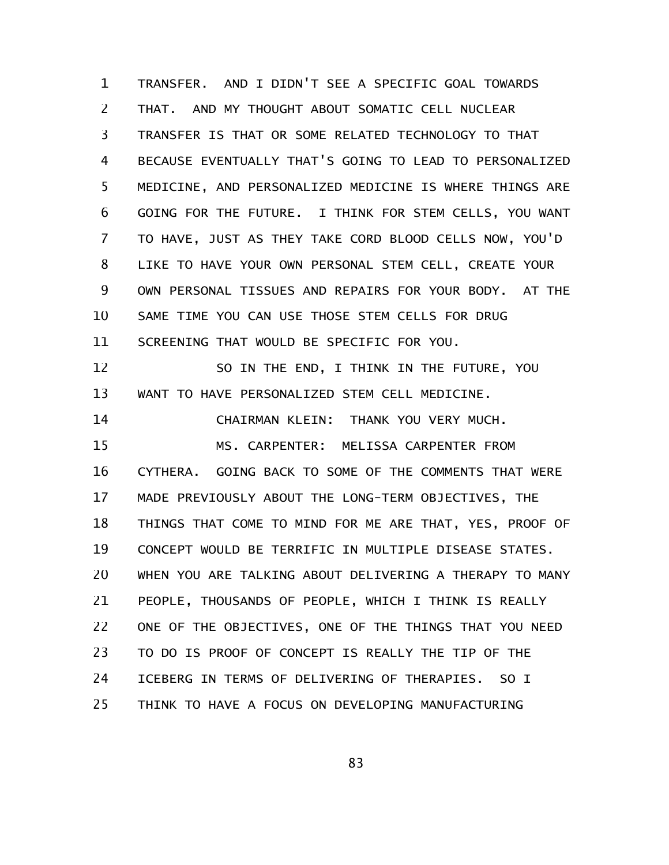TRANSFER. AND I DIDN'T SEE A SPECIFIC GOAL TOWARDS THAT. AND MY THOUGHT ABOUT SOMATIC CELL NUCLEAR TRANSFER IS THAT OR SOME RELATED TECHNOLOGY TO THAT BECAUSE EVENTUALLY THAT'S GOING TO LEAD TO PERSONALIZED MEDICINE, AND PERSONALIZED MEDICINE IS WHERE THINGS ARE GOING FOR THE FUTURE. I THINK FOR STEM CELLS, YOU WANT TO HAVE, JUST AS THEY TAKE CORD BLOOD CELLS NOW, YOU'D LIKE TO HAVE YOUR OWN PERSONAL STEM CELL, CREATE YOUR OWN PERSONAL TISSUES AND REPAIRS FOR YOUR BODY. AT THE SAME TIME YOU CAN USE THOSE STEM CELLS FOR DRUG SCREENING THAT WOULD BE SPECIFIC FOR YOU. SO IN THE END, I THINK IN THE FUTURE, YOU WANT TO HAVE PERSONALIZED STEM CELL MEDICINE. CHAIRMAN KLEIN: THANK YOU VERY MUCH. MS. CARPENTER: MELISSA CARPENTER FROM CYTHERA. GOING BACK TO SOME OF THE COMMENTS THAT WERE MADE PREVIOUSLY ABOUT THE LONG-TERM OBJECTIVES, THE THINGS THAT COME TO MIND FOR ME ARE THAT, YES, PROOF OF CONCEPT WOULD BE TERRIFIC IN MULTIPLE DISEASE STATES. WHEN YOU ARE TALKING ABOUT DELIVERING A THERAPY TO MANY PEOPLE, THOUSANDS OF PEOPLE, WHICH I THINK IS REALLY ONE OF THE OBJECTIVES, ONE OF THE THINGS THAT YOU NEED TO DO IS PROOF OF CONCEPT IS REALLY THE TIP OF THE ICEBERG IN TERMS OF DELIVERING OF THERAPIES. SO I THINK TO HAVE A FOCUS ON DEVELOPING MANUFACTURING 1 2 3 4 5 6 7 8 9 10 11 12 13 14 15 16 17 18 19 20 21 22 23 24 25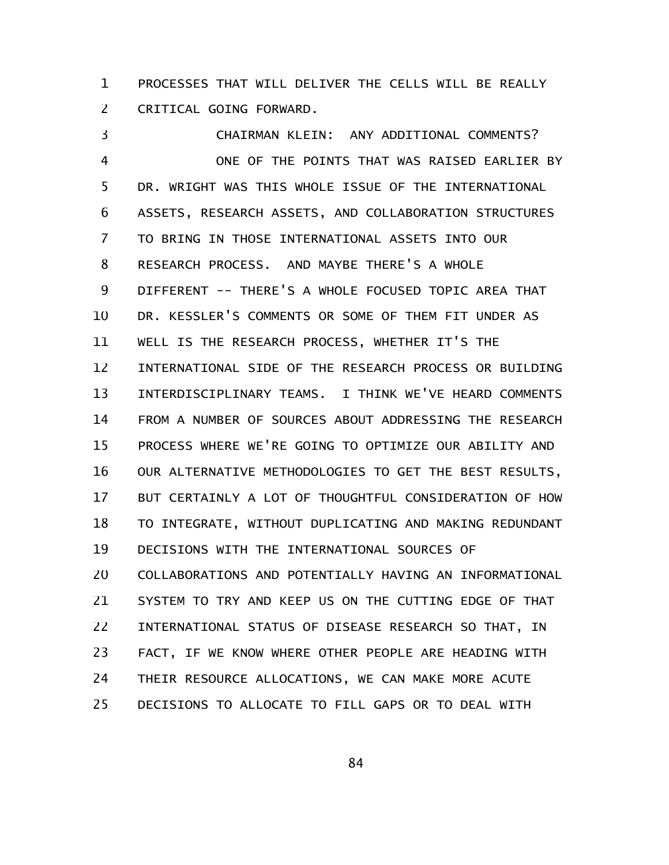PROCESSES THAT WILL DELIVER THE CELLS WILL BE REALLY CRITICAL GOING FORWARD. 1 2

CHAIRMAN KLEIN: ANY ADDITIONAL COMMENTS? ONE OF THE POINTS THAT WAS RAISED EARLIER BY DR. WRIGHT WAS THIS WHOLE ISSUE OF THE INTERNATIONAL ASSETS, RESEARCH ASSETS, AND COLLABORATION STRUCTURES TO BRING IN THOSE INTERNATIONAL ASSETS INTO OUR RESEARCH PROCESS. AND MAYBE THERE'S A WHOLE DIFFERENT -- THERE'S A WHOLE FOCUSED TOPIC AREA THAT DR. KESSLER'S COMMENTS OR SOME OF THEM FIT UNDER AS WELL IS THE RESEARCH PROCESS, WHETHER IT'S THE INTERNATIONAL SIDE OF THE RESEARCH PROCESS OR BUILDING INTERDISCIPLINARY TEAMS. I THINK WE'VE HEARD COMMENTS FROM A NUMBER OF SOURCES ABOUT ADDRESSING THE RESEARCH PROCESS WHERE WE'RE GOING TO OPTIMIZE OUR ABILITY AND OUR ALTERNATIVE METHODOLOGIES TO GET THE BEST RESULTS, BUT CERTAINLY A LOT OF THOUGHTFUL CONSIDERATION OF HOW TO INTEGRATE, WITHOUT DUPLICATING AND MAKING REDUNDANT DECISIONS WITH THE INTERNATIONAL SOURCES OF COLLABORATIONS AND POTENTIALLY HAVING AN INFORMATIONAL SYSTEM TO TRY AND KEEP US ON THE CUTTING EDGE OF THAT INTERNATIONAL STATUS OF DISEASE RESEARCH SO THAT, IN FACT, IF WE KNOW WHERE OTHER PEOPLE ARE HEADING WITH THEIR RESOURCE ALLOCATIONS, WE CAN MAKE MORE ACUTE DECISIONS TO ALLOCATE TO FILL GAPS OR TO DEAL WITH 3 4 5 6 7 8 9 10 11 12 13 14 15 16 17 18 19 20 21 22 23 24 25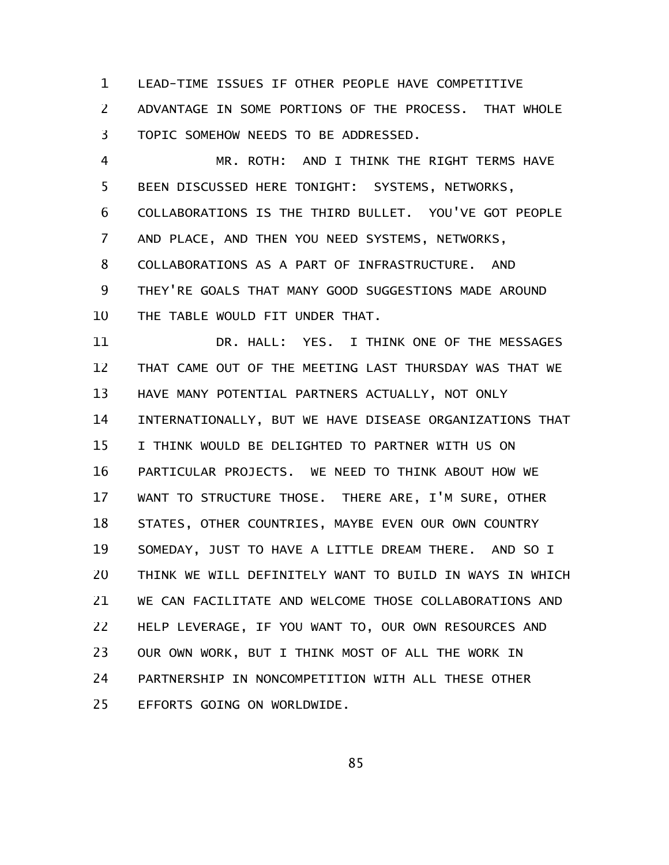LEAD-TIME ISSUES IF OTHER PEOPLE HAVE COMPETITIVE 1

ADVANTAGE IN SOME PORTIONS OF THE PROCESS. THAT WHOLE TOPIC SOMEHOW NEEDS TO BE ADDRESSED. 2 3

MR. ROTH: AND I THINK THE RIGHT TERMS HAVE BEEN DISCUSSED HERE TONIGHT: SYSTEMS, NETWORKS, COLLABORATIONS IS THE THIRD BULLET. YOU'VE GOT PEOPLE AND PLACE, AND THEN YOU NEED SYSTEMS, NETWORKS, COLLABORATIONS AS A PART OF INFRASTRUCTURE. AND THEY'RE GOALS THAT MANY GOOD SUGGESTIONS MADE AROUND THE TABLE WOULD FIT UNDER THAT. 4 5 6 7 8 9 10

DR. HALL: YES. I THINK ONE OF THE MESSAGES THAT CAME OUT OF THE MEETING LAST THURSDAY WAS THAT WE HAVE MANY POTENTIAL PARTNERS ACTUALLY, NOT ONLY INTERNATIONALLY, BUT WE HAVE DISEASE ORGANIZATIONS THAT I THINK WOULD BE DELIGHTED TO PARTNER WITH US ON PARTICULAR PROJECTS. WE NEED TO THINK ABOUT HOW WE WANT TO STRUCTURE THOSE. THERE ARE, I'M SURE, OTHER STATES, OTHER COUNTRIES, MAYBE EVEN OUR OWN COUNTRY SOMEDAY, JUST TO HAVE A LITTLE DREAM THERE. AND SO I THINK WE WILL DEFINITELY WANT TO BUILD IN WAYS IN WHICH WE CAN FACILITATE AND WELCOME THOSE COLLABORATIONS AND HELP LEVERAGE, IF YOU WANT TO, OUR OWN RESOURCES AND OUR OWN WORK, BUT I THINK MOST OF ALL THE WORK IN PARTNERSHIP IN NONCOMPETITION WITH ALL THESE OTHER EFFORTS GOING ON WORLDWIDE. 11 12 13 14 15 16 17 18 19 20 21 22 23 24 25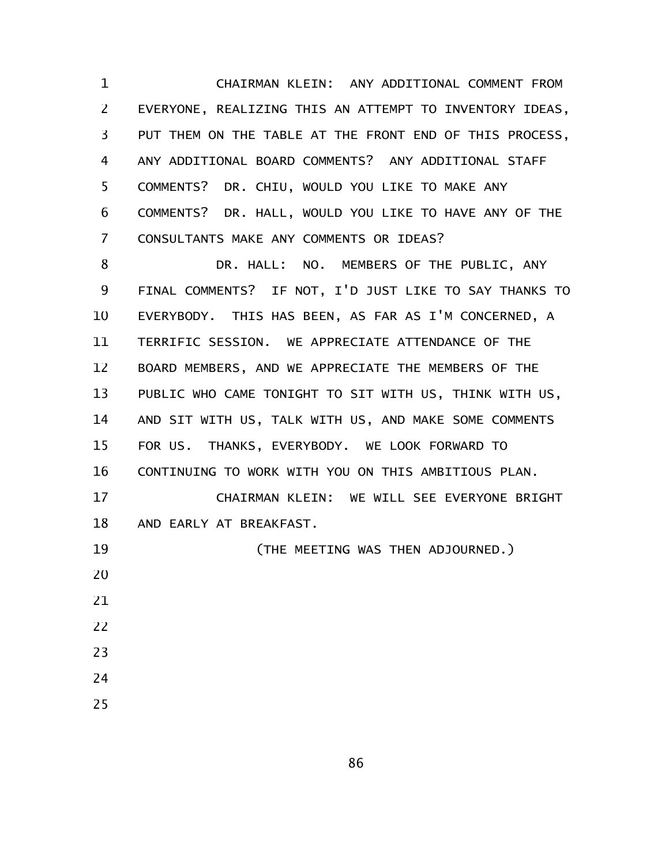CHAIRMAN KLEIN: ANY ADDITIONAL COMMENT FROM EVERYONE, REALIZING THIS AN ATTEMPT TO INVENTORY IDEAS, PUT THEM ON THE TABLE AT THE FRONT END OF THIS PROCESS, ANY ADDITIONAL BOARD COMMENTS? ANY ADDITIONAL STAFF COMMENTS? DR. CHIU, WOULD YOU LIKE TO MAKE ANY COMMENTS? DR. HALL, WOULD YOU LIKE TO HAVE ANY OF THE CONSULTANTS MAKE ANY COMMENTS OR IDEAS? 1 2 3 4 5 6 7

DR. HALL: NO. MEMBERS OF THE PUBLIC, ANY FINAL COMMENTS? IF NOT, I'D JUST LIKE TO SAY THANKS TO EVERYBODY. THIS HAS BEEN, AS FAR AS I'M CONCERNED, A TERRIFIC SESSION. WE APPRECIATE ATTENDANCE OF THE BOARD MEMBERS, AND WE APPRECIATE THE MEMBERS OF THE PUBLIC WHO CAME TONIGHT TO SIT WITH US, THINK WITH US, AND SIT WITH US, TALK WITH US, AND MAKE SOME COMMENTS FOR US. THANKS, EVERYBODY. WE LOOK FORWARD TO CONTINUING TO WORK WITH YOU ON THIS AMBITIOUS PLAN. CHAIRMAN KLEIN: WE WILL SEE EVERYONE BRIGHT AND EARLY AT BREAKFAST. (THE MEETING WAS THEN ADJOURNED.) 8 9 10 11 12 13 14 15 16 17 18 19 20 21 22 23 24 25